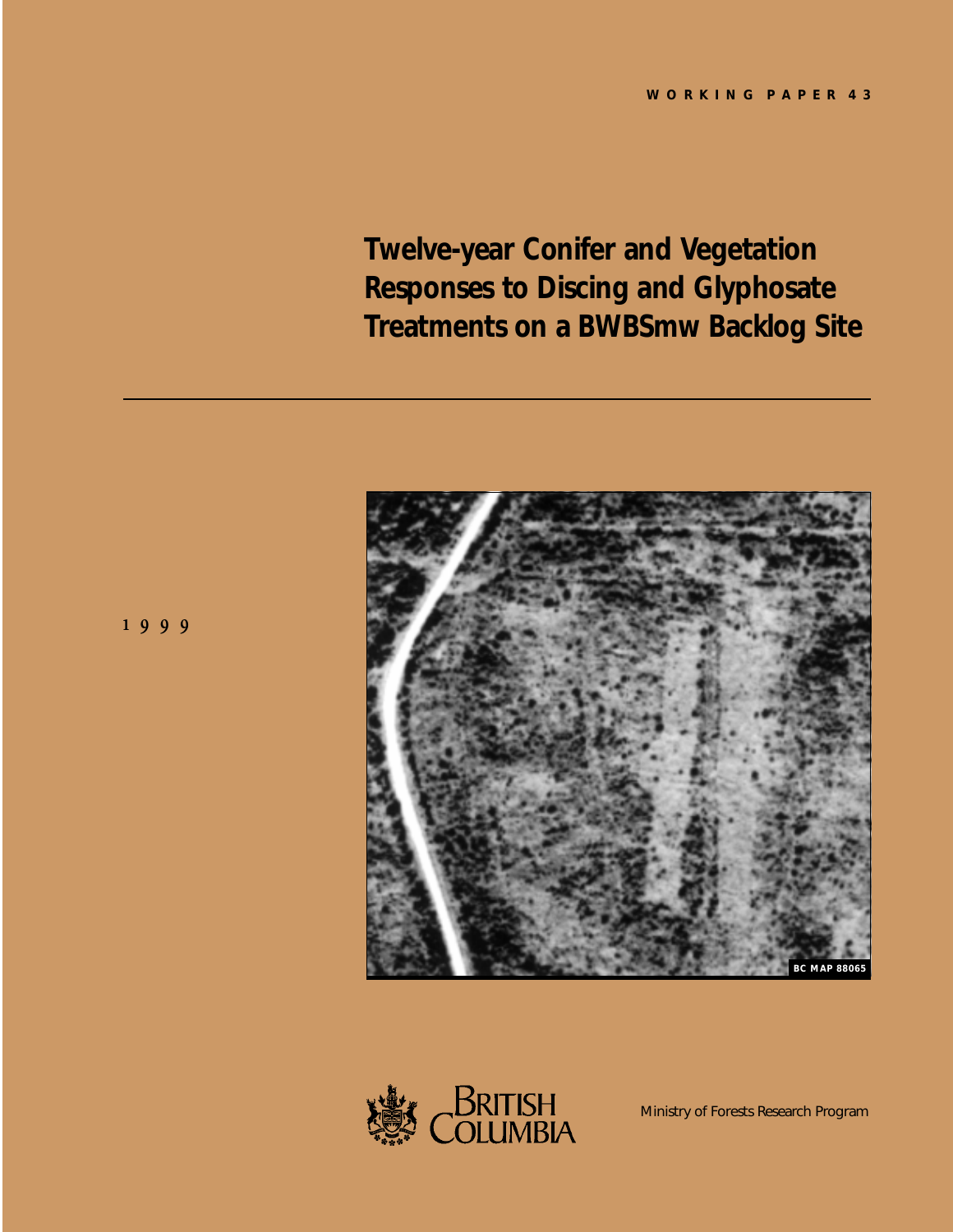**Twelve-year Conifer and Vegetation Responses to Discing and Glyphosate Treatments on a BWBSmw Backlog Site**







Ministry of Forests Research Program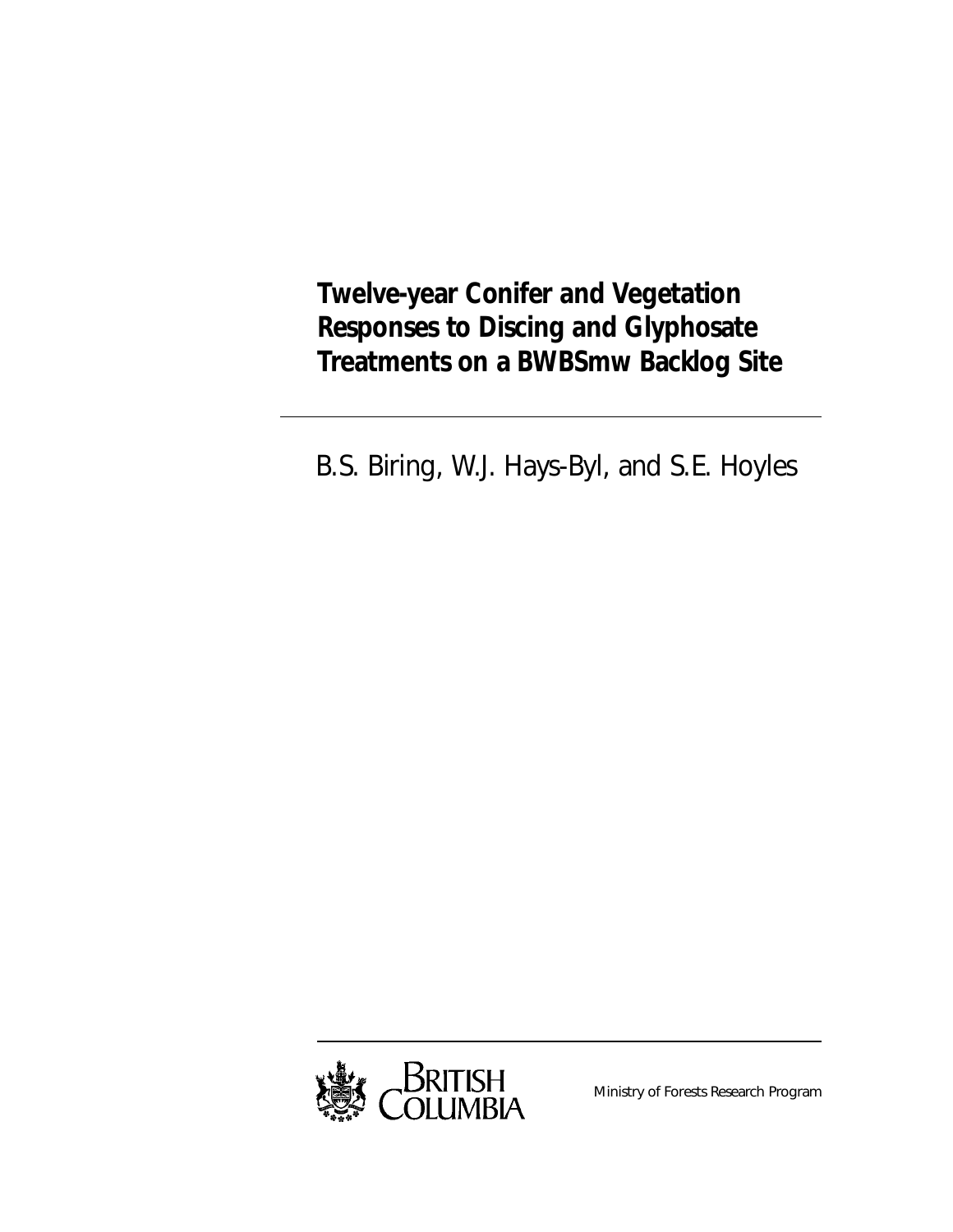**Twelve-year Conifer and Vegetation Responses to Discing and Glyphosate Treatments on a BWBSmw Backlog Site**

B.S. Biring, W.J. Hays-Byl, and S.E. Hoyles



Ministry of Forests Research Program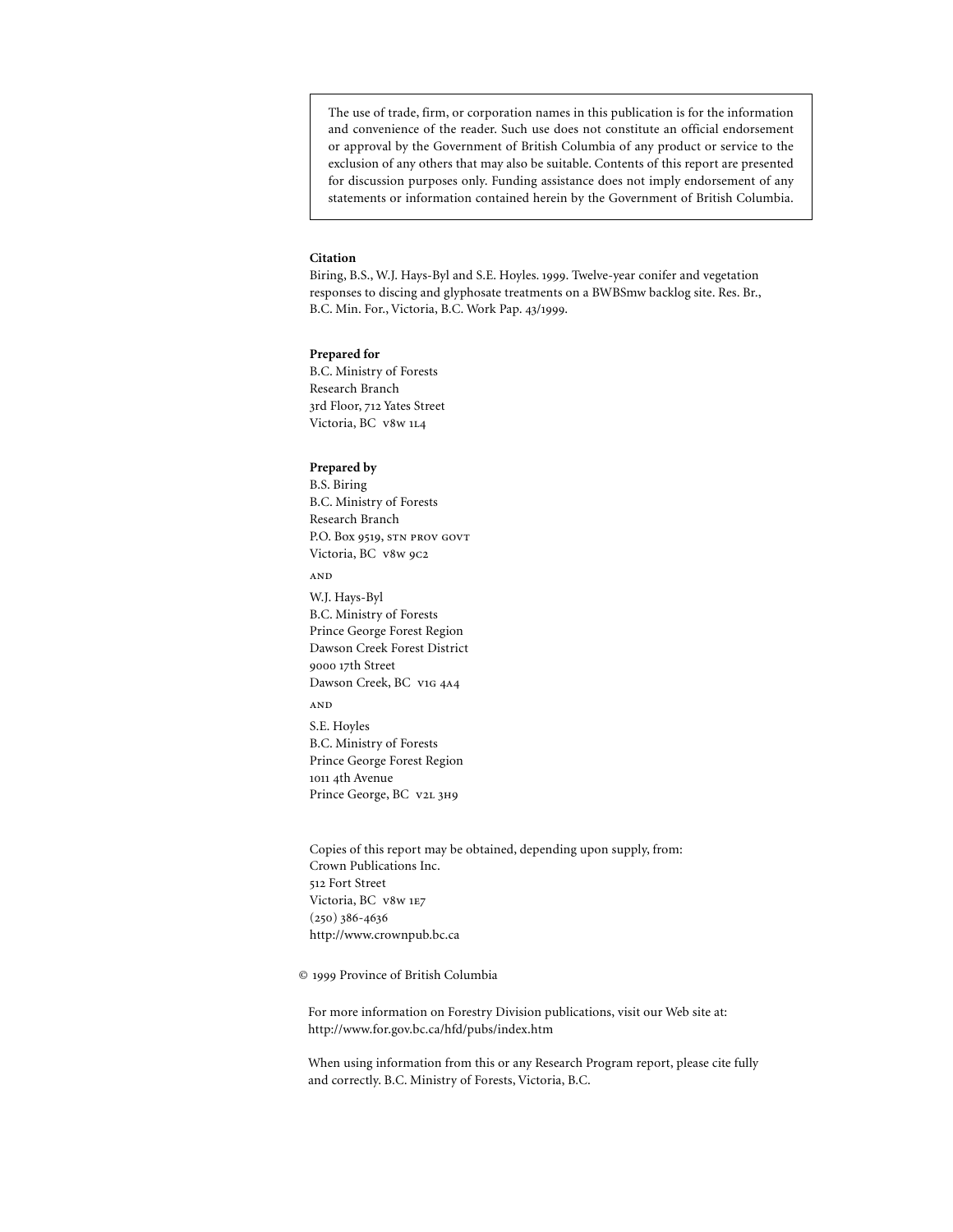The use of trade, firm, or corporation names in this publication is for the information and convenience of the reader. Such use does not constitute an official endorsement or approval by the Government of British Columbia of any product or service to the exclusion of any others that may also be suitable. Contents of this report are presented for discussion purposes only. Funding assistance does not imply endorsement of any statements or information contained herein by the Government of British Columbia.

#### **Citation**

Biring, B.S., W.J. Hays-Byl and S.E. Hoyles. 1999. Twelve-year conifer and vegetation responses to discing and glyphosate treatments on a BWBSmw backlog site. Res. Br., B.C. Min. For., Victoria, B.C. Work Pap. 43/1999.

#### **Prepared for**

B.C. Ministry of Forests Research Branch 3rd Floor, 712 Yates Street Victoria, BC v8w 1L4

#### **Prepared by**

B.S. Biring B.C. Ministry of Forests Research Branch P.O. Box 9519, STN PROV GOVT Victoria, BC v8w 9c2

AND

W.J. Hays-Byl B.C. Ministry of Forests Prince George Forest Region Dawson Creek Forest District 9000 17th Street Dawson Creek, BC v1G 4A4

 $\mathbf{AND}$ 

S.E. Hoyles B.C. Ministry of Forests Prince George Forest Region 1011 4th Avenue Prince George, BC v2L 3H9

Copies of this report may be obtained, depending upon supply, from: Crown Publications Inc. 512 Fort Street Victoria, BC v8w 1E7  $(250)$  386-4636 http://www.crownpub.bc.ca

© 1999 Province of British Columbia

For more information on Forestry Division publications, visit our Web site at: http://www.for.gov.bc.ca/hfd/pubs/index.htm

When using information from this or any Research Program report, please cite fully and correctly. B.C. Ministry of Forests, Victoria, B.C.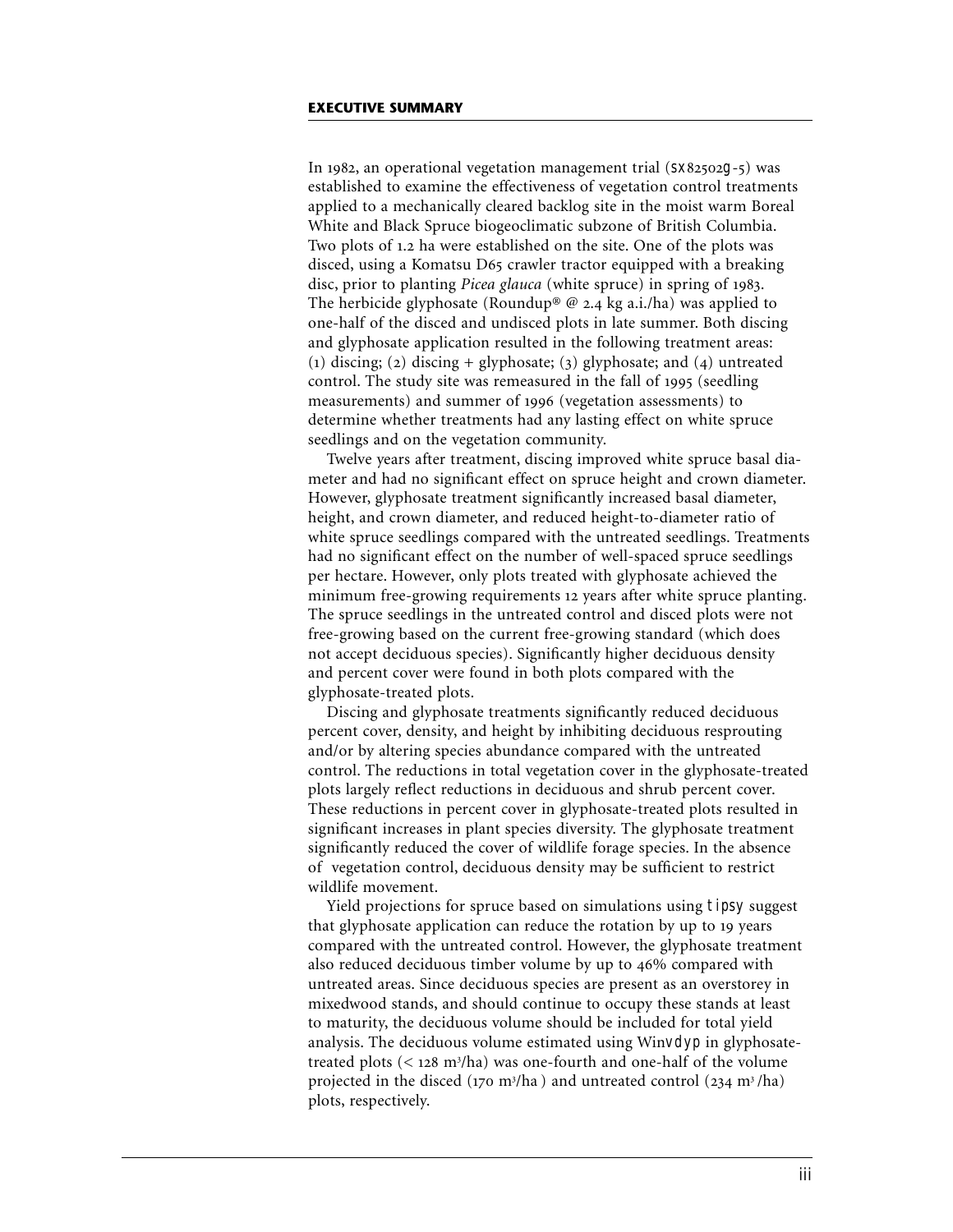In 1982, an operational vegetation management trial  $(sx82502g-5)$  was established to examine the effectiveness of vegetation control treatments applied to a mechanically cleared backlog site in the moist warm Boreal White and Black Spruce biogeoclimatic subzone of British Columbia. Two plots of 1.2 ha were established on the site. One of the plots was disced, using a Komatsu D65 crawler tractor equipped with a breaking disc, prior to planting *Picea glauca* (white spruce) in spring of 1983. The herbicide glyphosate (Roundup® @ 2.4 kg a.i./ha) was applied to one-half of the disced and undisced plots in late summer. Both discing and glyphosate application resulted in the following treatment areas: (1) discing; (2) discing + glyphosate; (3) glyphosate; and (4) untreated control. The study site was remeasured in the fall of 1995 (seedling measurements) and summer of 1996 (vegetation assessments) to determine whether treatments had any lasting effect on white spruce seedlings and on the vegetation community.

Twelve years after treatment, discing improved white spruce basal diameter and had no significant effect on spruce height and crown diameter. However, glyphosate treatment significantly increased basal diameter, height, and crown diameter, and reduced height-to-diameter ratio of white spruce seedlings compared with the untreated seedlings. Treatments had no significant effect on the number of well-spaced spruce seedlings per hectare. However, only plots treated with glyphosate achieved the minimum free-growing requirements 12 years after white spruce planting. The spruce seedlings in the untreated control and disced plots were not free-growing based on the current free-growing standard (which does not accept deciduous species). Significantly higher deciduous density and percent cover were found in both plots compared with the glyphosate-treated plots.

Discing and glyphosate treatments significantly reduced deciduous percent cover, density, and height by inhibiting deciduous resprouting and/or by altering species abundance compared with the untreated control. The reductions in total vegetation cover in the glyphosate-treated plots largely reflect reductions in deciduous and shrub percent cover. These reductions in percent cover in glyphosate-treated plots resulted in significant increases in plant species diversity. The glyphosate treatment significantly reduced the cover of wildlife forage species. In the absence of vegetation control, deciduous density may be sufficient to restrict wildlife movement.

Yield projections for spruce based on simulations using tipsy suggest that glyphosate application can reduce the rotation by up to 19 years compared with the untreated control. However, the glyphosate treatment also reduced deciduous timber volume by up to 46% compared with untreated areas. Since deciduous species are present as an overstorey in mixedwood stands, and should continue to occupy these stands at least to maturity, the deciduous volume should be included for total yield analysis. The deciduous volume estimated using Winvdyp in glyphosatetreated plots ( $\leq$  128 m<sup>3</sup>/ha) was one-fourth and one-half of the volume projected in the disced (170 m<sup>3</sup>/ha) and untreated control (234 m<sup>3</sup>/ha) plots, respectively.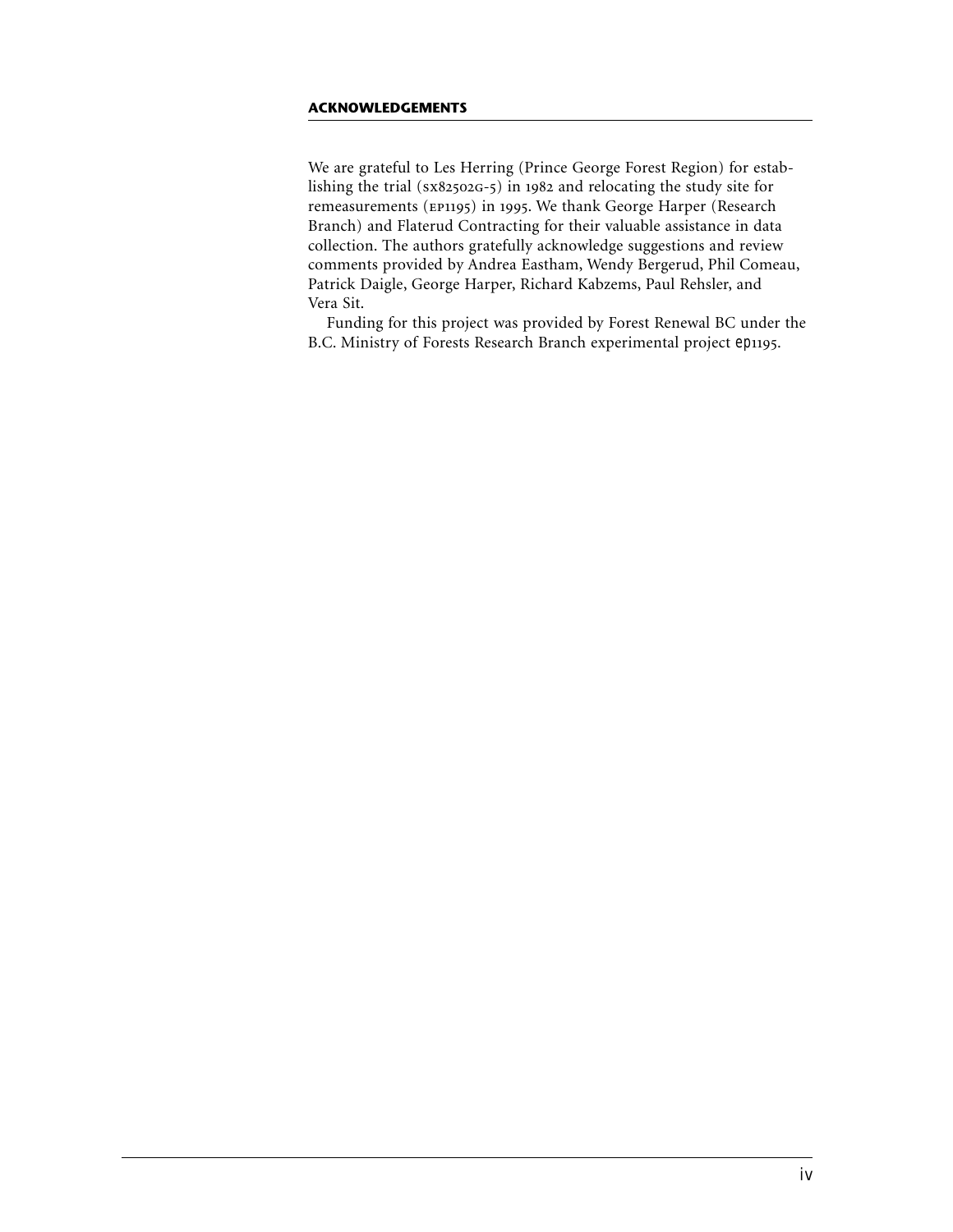## **ACKNOWLEDGEMENTS**

We are grateful to Les Herring (Prince George Forest Region) for establishing the trial ( $sx82502G-5$ ) in 1982 and relocating the study site for remeasurements (EP1195) in 1995. We thank George Harper (Research Branch) and Flaterud Contracting for their valuable assistance in data collection. The authors gratefully acknowledge suggestions and review comments provided by Andrea Eastham, Wendy Bergerud, Phil Comeau, Patrick Daigle, George Harper, Richard Kabzems, Paul Rehsler, and Vera Sit.

Funding for this project was provided by Forest Renewal BC under the B.C. Ministry of Forests Research Branch experimental project ep1195.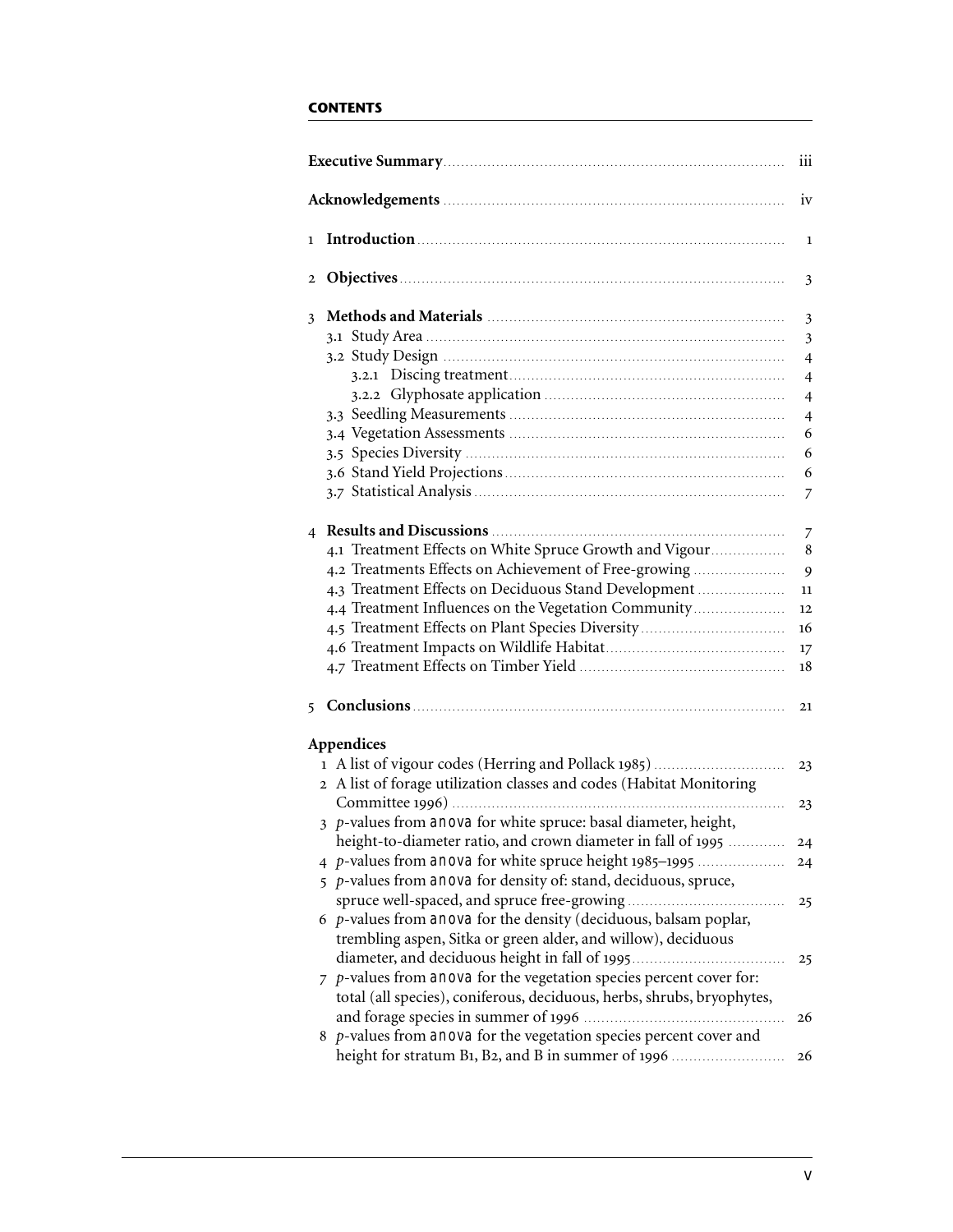# **CONTENTS**

|                |                                                                             | iii                     |
|----------------|-----------------------------------------------------------------------------|-------------------------|
|                |                                                                             | iv                      |
| $\mathbf{1}$   |                                                                             | $\mathbf{1}$            |
| 2              |                                                                             | 3                       |
| 3              |                                                                             | $\mathfrak{Z}$          |
|                |                                                                             | $\overline{\mathbf{3}}$ |
|                |                                                                             | $\overline{4}$          |
|                |                                                                             | $\overline{4}$          |
|                |                                                                             | $\overline{4}$          |
|                |                                                                             | $\overline{4}$          |
|                |                                                                             | 6                       |
|                |                                                                             | 6                       |
|                |                                                                             | 6                       |
|                |                                                                             | $\overline{7}$          |
| $\overline{4}$ |                                                                             | 7                       |
|                | 4.1 Treatment Effects on White Spruce Growth and Vigour                     | 8                       |
|                | 4.2 Treatments Effects on Achievement of Free-growing                       | 9                       |
|                | 4.3 Treatment Effects on Deciduous Stand Development                        | 11                      |
|                | 4.4 Treatment Influences on the Vegetation Community                        | 12                      |
|                | 4.5 Treatment Effects on Plant Species Diversity                            | 16                      |
|                |                                                                             | 17                      |
|                |                                                                             | 18                      |
| 5              |                                                                             | 21                      |
|                | Appendices                                                                  |                         |
|                | 1 A list of vigour codes (Herring and Pollack 1985)                         | 23                      |
|                | 2 A list of forage utilization classes and codes (Habitat Monitoring        |                         |
|                |                                                                             | 23                      |
|                | 3 p-values from anova for white spruce: basal diameter, height,             |                         |
|                | height-to-diameter ratio, and crown diameter in fall of 1995                | 24                      |
|                | 4 p-values from anova for white spruce height 1985–1995                     | 24                      |
|                | 5 p-values from anova for density of: stand, deciduous, spruce,             |                         |
|                |                                                                             | 25                      |
|                | $6$ p-values from anova for the density (deciduous, balsam poplar,          |                         |
|                | trembling aspen, Sitka or green alder, and willow), deciduous               |                         |
|                |                                                                             | 25                      |
|                | $\bar{z}$ p-values from anova for the vegetation species percent cover for: |                         |
|                | total (all species), coniferous, deciduous, herbs, shrubs, bryophytes,      |                         |
|                |                                                                             | 26                      |
|                | $8$ p-values from anova for the vegetation species percent cover and        |                         |
|                | height for stratum B1, B2, and B in summer of 1996                          | 26                      |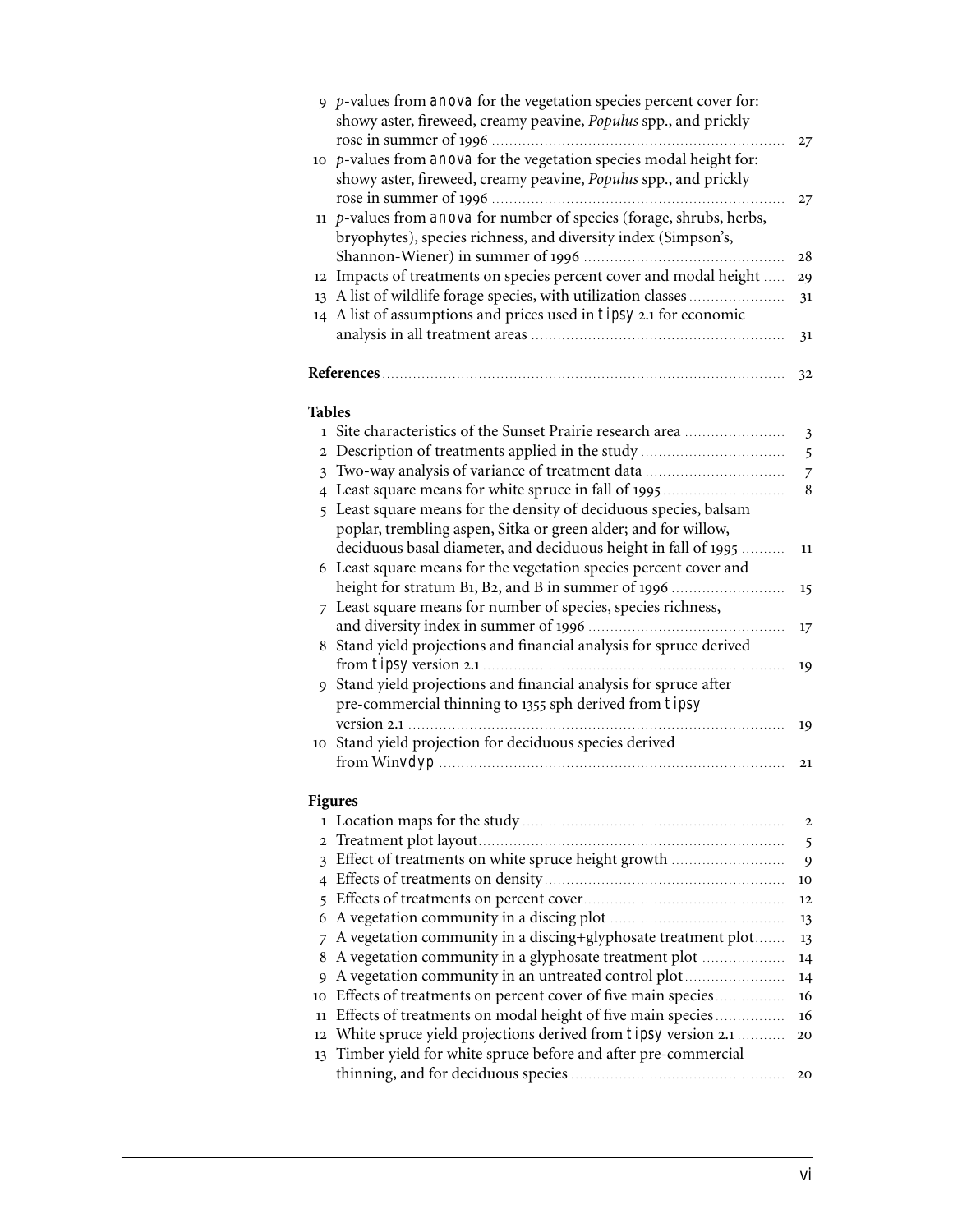|               | 9 $p$ -values from anova for the vegetation species percent cover for:<br>showy aster, fireweed, creamy peavine, Populus spp., and prickly |                |
|---------------|--------------------------------------------------------------------------------------------------------------------------------------------|----------------|
|               |                                                                                                                                            | 27             |
|               | 10 $p$ -values from anova for the vegetation species modal height for:                                                                     |                |
|               | showy aster, fireweed, creamy peavine, Populus spp., and prickly                                                                           |                |
|               |                                                                                                                                            | 27             |
|               | 11 $p$ -values from anova for number of species (forage, shrubs, herbs,                                                                    |                |
|               | bryophytes), species richness, and diversity index (Simpson's,                                                                             |                |
|               |                                                                                                                                            | 28             |
|               | 12 Impacts of treatments on species percent cover and modal height                                                                         | 29             |
|               | 13 A list of wildlife forage species, with utilization classes                                                                             | 31             |
|               | 14 A list of assumptions and prices used in tipsy 2.1 for economic                                                                         |                |
|               |                                                                                                                                            | 31             |
|               | References                                                                                                                                 | 32             |
| <b>Tables</b> |                                                                                                                                            |                |
|               | 1 Site characteristics of the Sunset Prairie research area                                                                                 | $\mathfrak{Z}$ |
|               | 2 Description of treatments applied in the study                                                                                           | 5              |
|               | 3 Two-way analysis of variance of treatment data                                                                                           | $\overline{7}$ |
|               | 4 Least square means for white spruce in fall of 1995                                                                                      | 8              |
|               | 5 Least square means for the density of deciduous species, balsam                                                                          |                |
|               | poplar, trembling aspen, Sitka or green alder; and for willow,                                                                             |                |
|               | deciduous basal diameter, and deciduous height in fall of 1995                                                                             | 11             |
|               | 6 Least square means for the vegetation species percent cover and                                                                          |                |
|               | height for stratum B1, B2, and B in summer of 1996                                                                                         | 15             |
|               | 7 Least square means for number of species, species richness,                                                                              |                |
|               |                                                                                                                                            | 17             |
|               | 8 Stand yield projections and financial analysis for spruce derived                                                                        |                |
|               |                                                                                                                                            | 19             |
|               | 9 Stand yield projections and financial analysis for spruce after                                                                          |                |
|               | pre-commercial thinning to 1355 sph derived from tipsy                                                                                     |                |
|               |                                                                                                                                            | 19             |
|               | 10 Stand yield projection for deciduous species derived                                                                                    |                |
|               |                                                                                                                                            | 21             |
|               |                                                                                                                                            |                |
|               | <b>Figures</b>                                                                                                                             |                |
|               |                                                                                                                                            | 2              |
| $\mathbf{2}$  |                                                                                                                                            | 5              |
|               | 3 Effect of treatments on white spruce height growth                                                                                       | 9              |
|               |                                                                                                                                            | 10             |
| 6             |                                                                                                                                            | 12             |
|               |                                                                                                                                            | 13             |
| 7<br>8        | A vegetation community in a discing+glyphosate treatment plot<br>A vegetation community in a glyphosate treatment plot                     | 13             |
|               | A vegetation community in an untreated control plot                                                                                        | 14             |
| 9<br>10       | Effects of treatments on percent cover of five main species                                                                                | 14<br>16       |
| 11            | Effects of treatments on modal height of five main species                                                                                 | 16             |
| 12            | White spruce yield projections derived from tipsy version 2.1                                                                              | 20             |
| 13            | Timber yield for white spruce before and after pre-commercial                                                                              |                |
|               |                                                                                                                                            | 20             |
|               |                                                                                                                                            |                |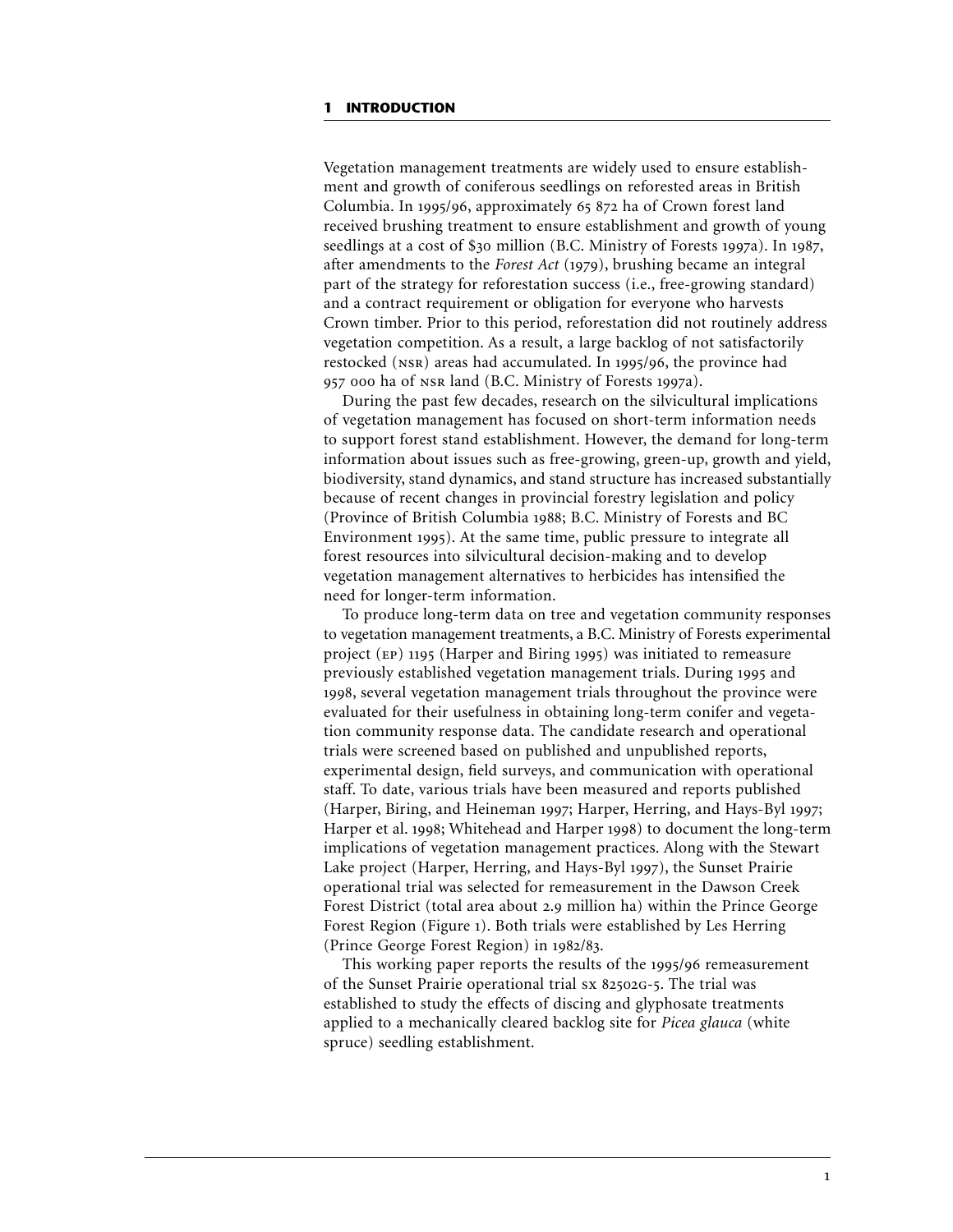### **1 INTRODUCTION**

Vegetation management treatments are widely used to ensure establishment and growth of coniferous seedlings on reforested areas in British Columbia. In 1995/96, approximately 65 872 ha of Crown forest land received brushing treatment to ensure establishment and growth of young seedlings at a cost of  $$30$  million (B.C. Ministry of Forests 1997a). In 1987, after amendments to the *Forest Act* (1979), brushing became an integral part of the strategy for reforestation success (i.e., free-growing standard) and a contract requirement or obligation for everyone who harvests Crown timber. Prior to this period, reforestation did not routinely address vegetation competition. As a result, a large backlog of not satisfactorily restocked (NSR) areas had accumulated. In 1995/96, the province had 957 000 ha of NSR land (B.C. Ministry of Forests 1997a).

During the past few decades, research on the silvicultural implications of vegetation management has focused on short-term information needs to support forest stand establishment. However, the demand for long-term information about issues such as free-growing, green-up, growth and yield, biodiversity, stand dynamics, and stand structure has increased substantially because of recent changes in provincial forestry legislation and policy (Province of British Columbia 1988; B.C. Ministry of Forests and BC Environment 1995). At the same time, public pressure to integrate all forest resources into silvicultural decision-making and to develop vegetation management alternatives to herbicides has intensified the need for longer-term information.

To produce long-term data on tree and vegetation community responses to vegetation management treatments, a B.C. Ministry of Forests experimental project ( $EP$ ) 1195 (Harper and Biring 1995) was initiated to remeasure previously established vegetation management trials. During 1995 and 1998, several vegetation management trials throughout the province were evaluated for their usefulness in obtaining long-term conifer and vegetation community response data. The candidate research and operational trials were screened based on published and unpublished reports, experimental design, field surveys, and communication with operational staff. To date, various trials have been measured and reports published (Harper, Biring, and Heineman 1997; Harper, Herring, and Hays-Byl 1997; Harper et al. 1998; Whitehead and Harper 1998) to document the long-term implications of vegetation management practices. Along with the Stewart Lake project (Harper, Herring, and Hays-Byl 1997), the Sunset Prairie operational trial was selected for remeasurement in the Dawson Creek Forest District (total area about 2.9 million ha) within the Prince George Forest Region (Figure ). Both trials were established by Les Herring (Prince George Forest Region) in 1982/83.

This working paper reports the results of the 1995/96 remeasurement of the Sunset Prairie operational trial sx 82502G-5. The trial was established to study the effects of discing and glyphosate treatments applied to a mechanically cleared backlog site for *Picea glauca* (white spruce) seedling establishment.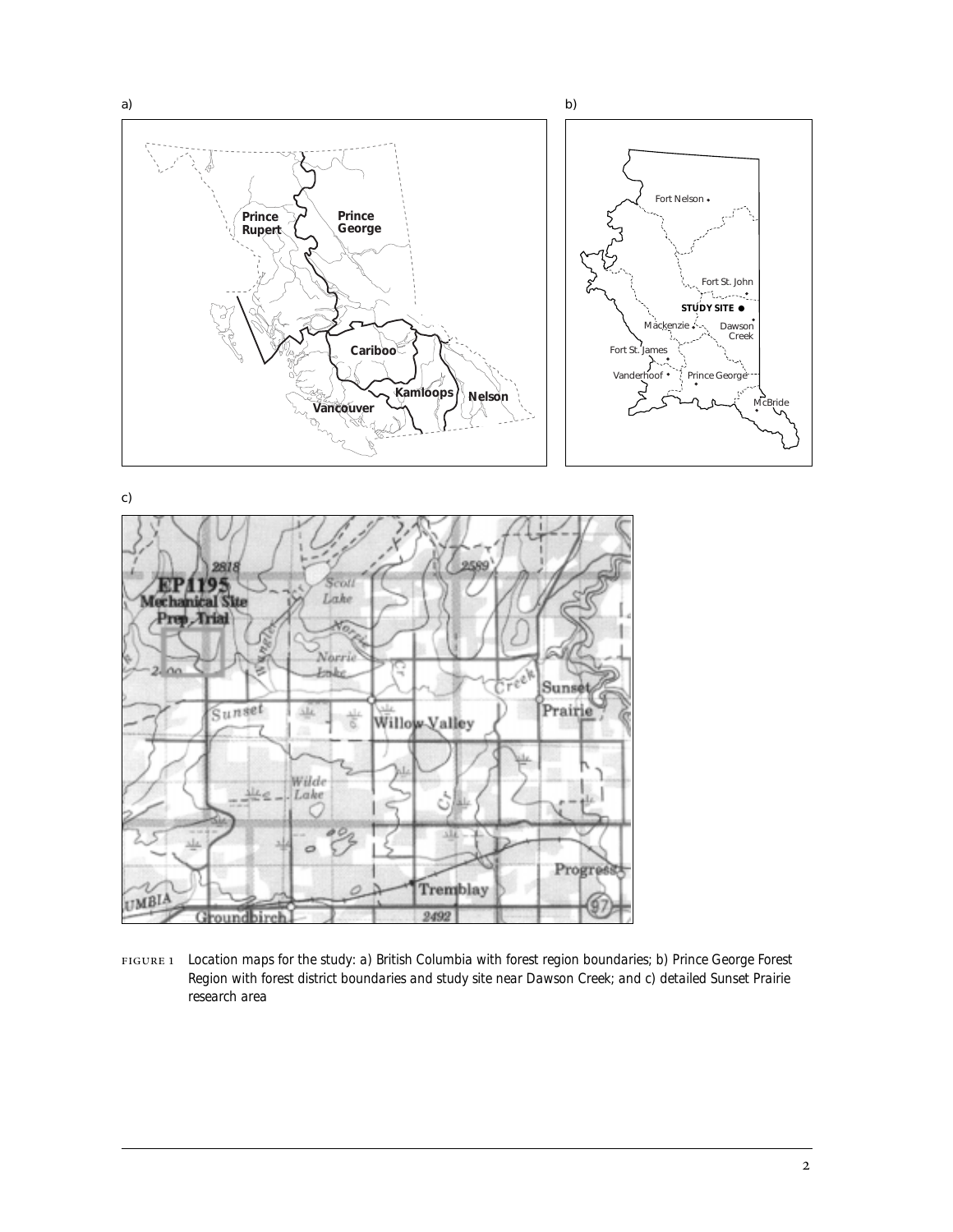





 *Location maps for the study: a) British Columbia with forest region boundaries; b) Prince George Forest Region with forest district boundaries and study site near Dawson Creek; and c) detailed Sunset Prairie research area*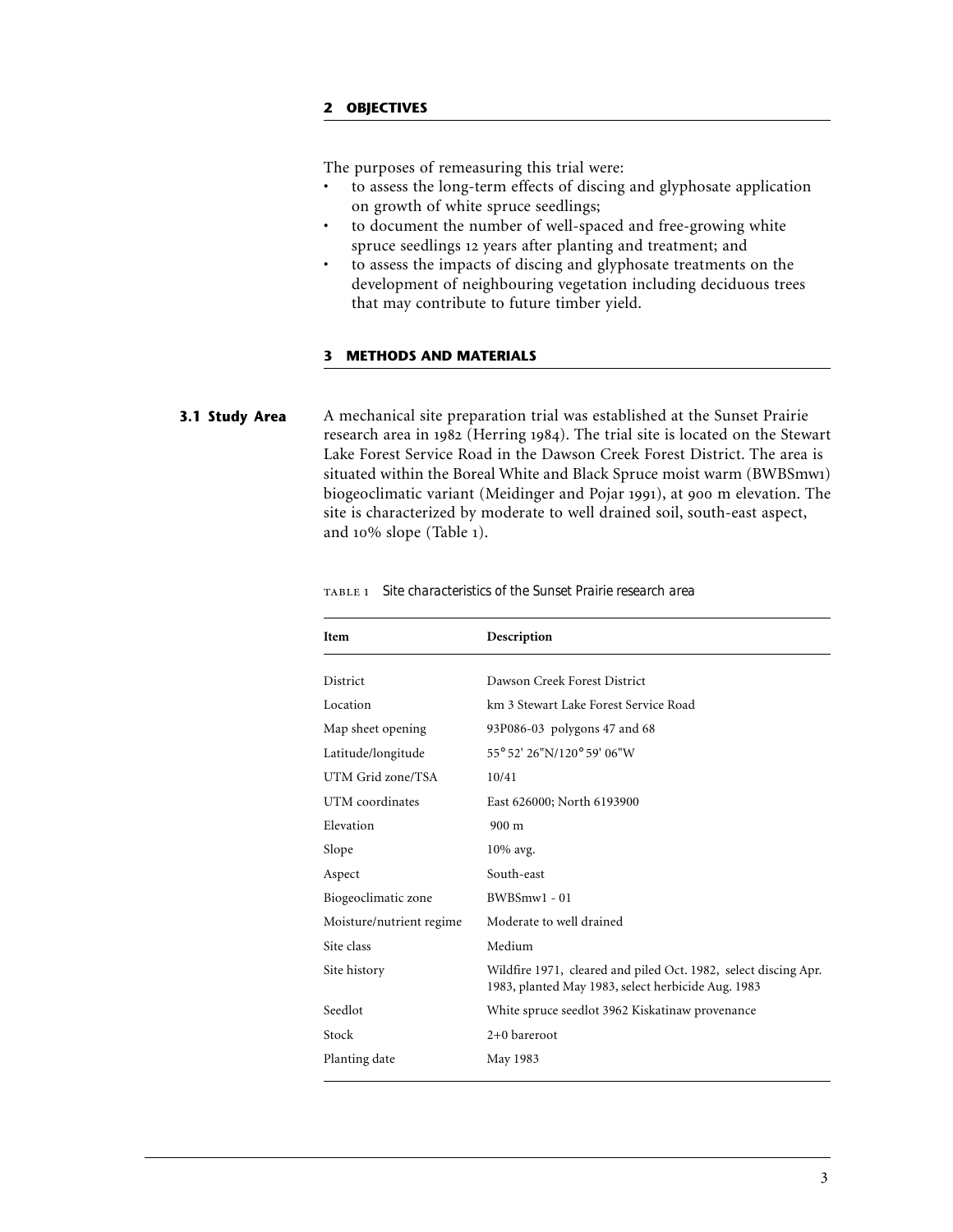The purposes of remeasuring this trial were:

- to assess the long-term effects of discing and glyphosate application on growth of white spruce seedlings;
- to document the number of well-spaced and free-growing white spruce seedlings 12 years after planting and treatment; and
- to assess the impacts of discing and glyphosate treatments on the development of neighbouring vegetation including deciduous trees that may contribute to future timber yield.

## **3 METHODS AND MATERIALS**

A mechanical site preparation trial was established at the Sunset Prairie research area in 1982 (Herring 1984). The trial site is located on the Stewart Lake Forest Service Road in the Dawson Creek Forest District. The area is situated within the Boreal White and Black Spruce moist warm (BWBSmw) biogeoclimatic variant (Meidinger and Pojar 1991), at 900 m elevation. The site is characterized by moderate to well drained soil, south-east aspect, and  $10\%$  slope (Table 1). **3.1 Study Area**

| Item                     | Description                                                                                                           |
|--------------------------|-----------------------------------------------------------------------------------------------------------------------|
| District                 | Dawson Creek Forest District                                                                                          |
| Location                 | km 3 Stewart Lake Forest Service Road                                                                                 |
| Map sheet opening        | 93P086-03 polygons 47 and 68                                                                                          |
| Latitude/longitude       | 55° 52' 26"N/120° 59' 06"W                                                                                            |
| UTM Grid zone/TSA        | 10/41                                                                                                                 |
| UTM coordinates          | East 626000; North 6193900                                                                                            |
| Elevation                | $900 \text{ m}$                                                                                                       |
| Slope                    | 10% avg.                                                                                                              |
| Aspect                   | South-east                                                                                                            |
| Biogeoclimatic zone      | BWBSmw1 - 01                                                                                                          |
| Moisture/nutrient regime | Moderate to well drained                                                                                              |
| Site class               | Medium                                                                                                                |
| Site history             | Wildfire 1971, cleared and piled Oct. 1982, select discing Apr.<br>1983, planted May 1983, select herbicide Aug. 1983 |
| Seedlot                  | White spruce seedlot 3962 Kiskatinaw provenance                                                                       |
| Stock                    | $2+0$ bareroot                                                                                                        |
| Planting date            | May 1983                                                                                                              |

*Site characteristics of the Sunset Prairie research area*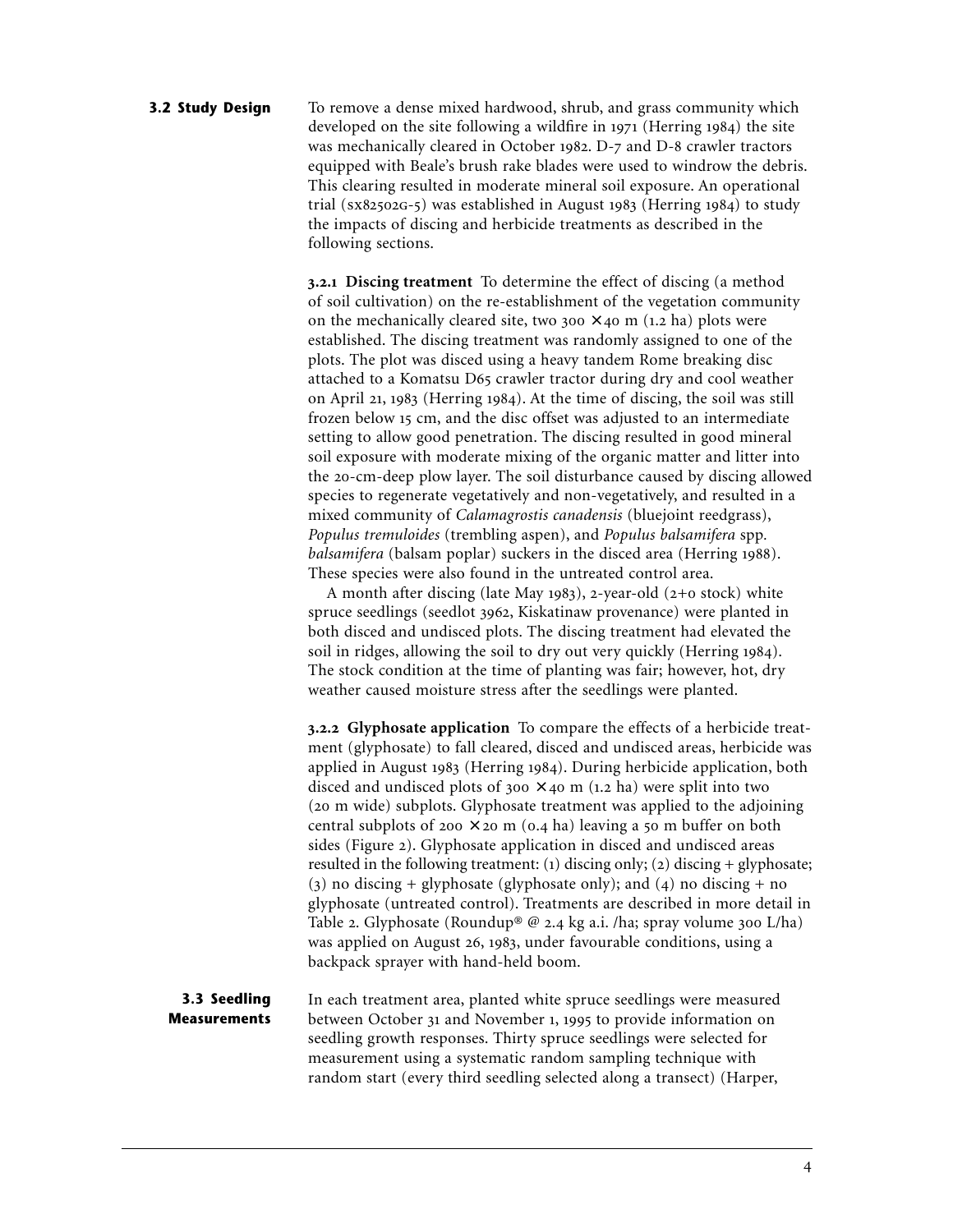### To remove a dense mixed hardwood, shrub, and grass community which developed on the site following a wildfire in  $1971$  (Herring  $1984$ ) the site was mechanically cleared in October 1982. D-7 and D-8 crawler tractors equipped with Beale's brush rake blades were used to windrow the debris. This clearing resulted in moderate mineral soil exposure. An operational trial  $(sx82502G-5)$  was established in August 1983 (Herring 1984) to study the impacts of discing and herbicide treatments as described in the following sections. **3.2 Study Design**

**.. Discing treatment** To determine the effect of discing (a method of soil cultivation) on the re-establishment of the vegetation community on the mechanically cleared site, two  $300 \times 40$  m (1.2 ha) plots were established. The discing treatment was randomly assigned to one of the plots. The plot was disced using a heavy tandem Rome breaking disc attached to a Komatsu D65 crawler tractor during dry and cool weather on April 21, 1983 (Herring 1984). At the time of discing, the soil was still frozen below 15 cm, and the disc offset was adjusted to an intermediate setting to allow good penetration. The discing resulted in good mineral soil exposure with moderate mixing of the organic matter and litter into the 20-cm-deep plow layer. The soil disturbance caused by discing allowed species to regenerate vegetatively and non-vegetatively, and resulted in a mixed community of *Calamagrostis canadensis* (bluejoint reedgrass), *Populus tremuloides* (trembling aspen), and *Populus balsamifera* spp*. balsamifera* (balsam poplar) suckers in the disced area (Herring 1988). These species were also found in the untreated control area.

A month after discing (late May 1983), 2-year-old  $(2+0$  stock) white spruce seedlings (seedlot 3962, Kiskatinaw provenance) were planted in both disced and undisced plots. The discing treatment had elevated the soil in ridges, allowing the soil to dry out very quickly (Herring 1984). The stock condition at the time of planting was fair; however, hot, dry weather caused moisture stress after the seedlings were planted.

**.. Glyphosate application** To compare the effects of a herbicide treatment (glyphosate) to fall cleared, disced and undisced areas, herbicide was applied in August 1983 (Herring 1984). During herbicide application, both disced and undisced plots of  $300 \times 40$  m (1.2 ha) were split into two (20 m wide) subplots. Glyphosate treatment was applied to the adjoining central subplots of  $200 \times 20$  m  $(0.4)$  ha) leaving a 50 m buffer on both sides (Figure 2). Glyphosate application in disced and undisced areas resulted in the following treatment: (1) discing only; (2) discing + glyphosate; (3) no discing + glyphosate (glyphosate only); and (4) no discing + no glyphosate (untreated control). Treatments are described in more detail in Table 2. Glyphosate (Roundup® @ 2.4 kg a.i. /ha; spray volume 300 L/ha) was applied on August 26, 1983, under favourable conditions, using a backpack sprayer with hand-held boom.

In each treatment area, planted white spruce seedlings were measured between October 31 and November 1, 1995 to provide information on seedling growth responses. Thirty spruce seedlings were selected for measurement using a systematic random sampling technique with random start (every third seedling selected along a transect) (Harper, **3.3 Seedling Measurements**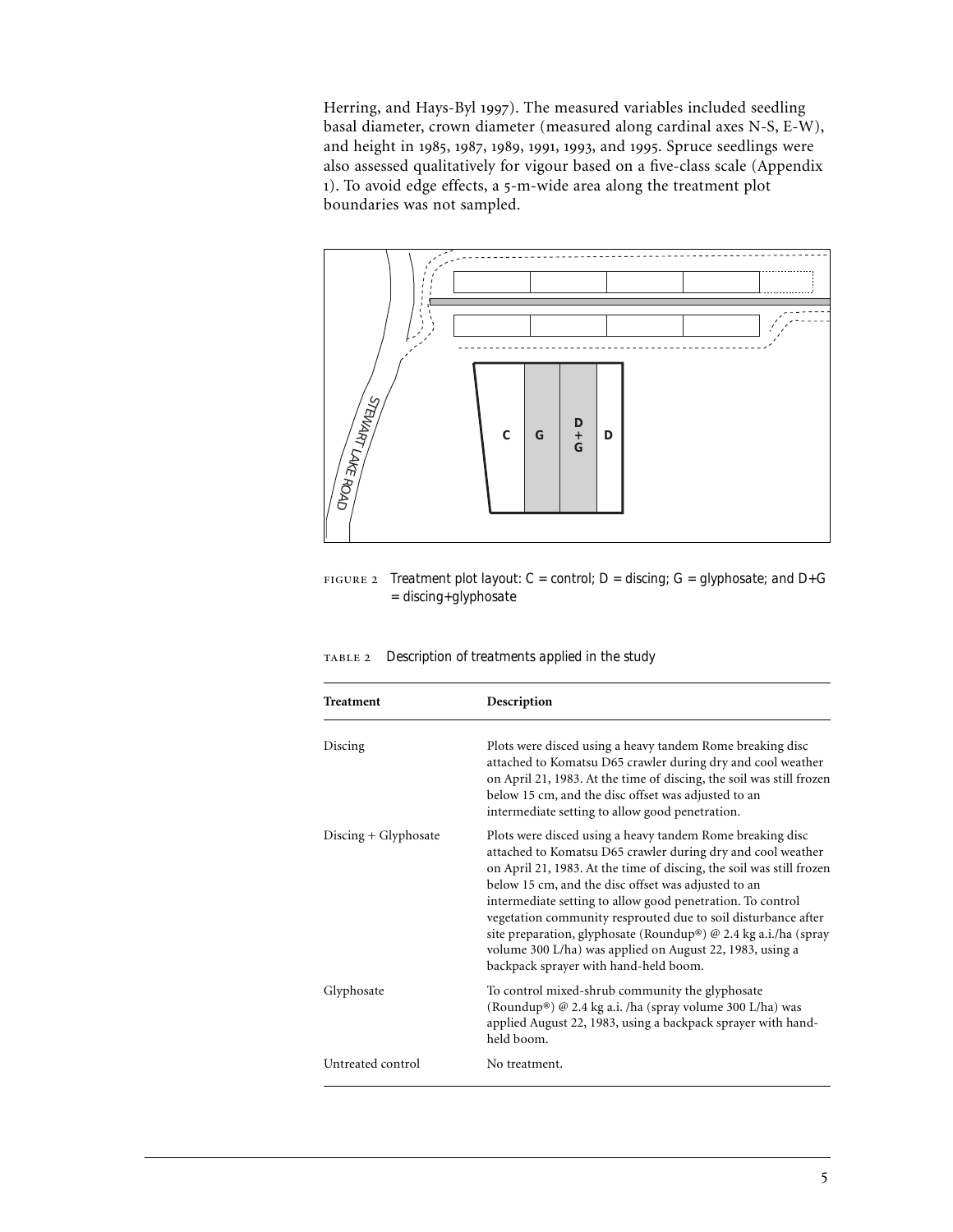Herring, and Hays-Byl 1997). The measured variables included seedling basal diameter, crown diameter (measured along cardinal axes N-S, E-W), and height in 1985, 1987, 1989, 1991, 1993, and 1995. Spruce seedlings were also assessed qualitatively for vigour based on a five-class scale (Appendix 1). To avoid edge effects, a 5-m-wide area along the treatment plot boundaries was not sampled.



 *Treatment plot layout: C = control; D = discing; G = glyphosate; and D+G = discing+glyphosate*

*Description of treatments applied in the study*

| <b>Treatment</b>     | Description                                                                                                                                                                                                                                                                                                                                                                                                                                                                                                                                                    |
|----------------------|----------------------------------------------------------------------------------------------------------------------------------------------------------------------------------------------------------------------------------------------------------------------------------------------------------------------------------------------------------------------------------------------------------------------------------------------------------------------------------------------------------------------------------------------------------------|
| Discing              | Plots were disced using a heavy tandem Rome breaking disc<br>attached to Komatsu D65 crawler during dry and cool weather<br>on April 21, 1983. At the time of discing, the soil was still frozen<br>below 15 cm, and the disc offset was adjusted to an<br>intermediate setting to allow good penetration.                                                                                                                                                                                                                                                     |
| Discing + Glyphosate | Plots were disced using a heavy tandem Rome breaking disc<br>attached to Komatsu D65 crawler during dry and cool weather<br>on April 21, 1983. At the time of discing, the soil was still frozen<br>below 15 cm, and the disc offset was adjusted to an<br>intermediate setting to allow good penetration. To control<br>vegetation community resprouted due to soil disturbance after<br>site preparation, glyphosate (Roundup®) @ 2.4 kg a.i./ha (spray<br>volume 300 L/ha) was applied on August 22, 1983, using a<br>backpack sprayer with hand-held boom. |
| Glyphosate           | To control mixed-shrub community the glyphosate<br>(Roundup®) @ 2.4 kg a.i. /ha (spray volume 300 L/ha) was<br>applied August 22, 1983, using a backpack sprayer with hand-<br>held boom.                                                                                                                                                                                                                                                                                                                                                                      |
| Untreated control    | No treatment.                                                                                                                                                                                                                                                                                                                                                                                                                                                                                                                                                  |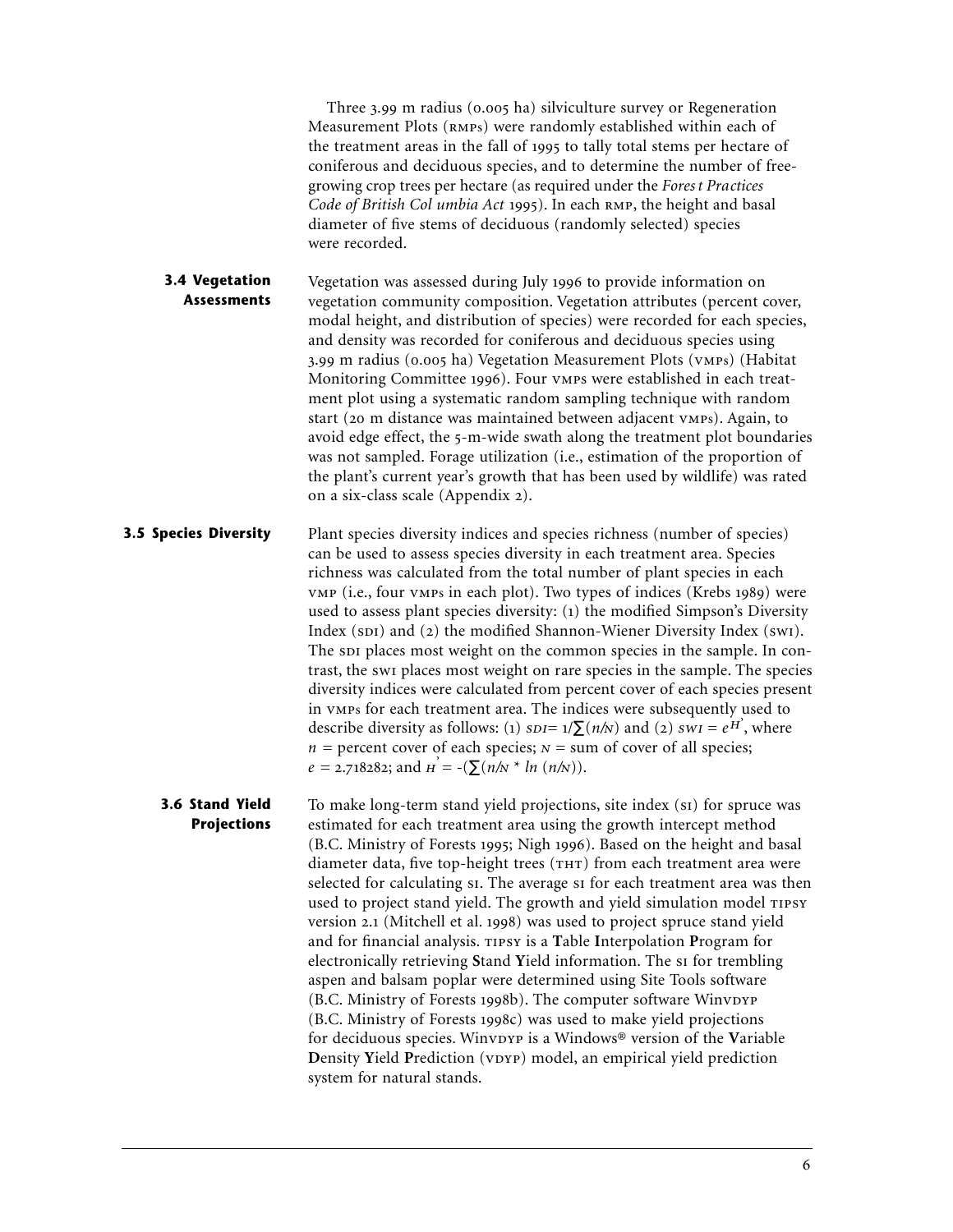Three 3.99 m radius (0.005 ha) silviculture survey or Regeneration Measurement Plots (RMPs) were randomly established within each of the treatment areas in the fall of 1995 to tally total stems per hectare of coniferous and deciduous species, and to determine the number of freegrowing crop trees per hectare (as required under the *Fores t Practices Code of British Col umbia Act* 1995). In each RMP, the height and basal diameter of five stems of deciduous (randomly selected) species were recorded.

Vegetation was assessed during July 1996 to provide information on vegetation community composition. Vegetation attributes (percent cover, modal height, and distribution of species) were recorded for each species, and density was recorded for coniferous and deciduous species using 3.99 m radius (0.005 ha) Vegetation Measurement Plots (VMPs) (Habitat Monitoring Committee 1996). Four vmps were established in each treatment plot using a systematic random sampling technique with random start (20 m distance was maintained between adjacent vMPs). Again, to avoid edge effect, the 5-m-wide swath along the treatment plot boundaries was not sampled. Forage utilization (i.e., estimation of the proportion of the plant's current year's growth that has been used by wildlife) was rated on a six-class scale (Appendix 2). **3.4 Vegetation Assessments**

Plant species diversity indices and species richness (number of species) can be used to assess species diversity in each treatment area. Species richness was calculated from the total number of plant species in each VMP (i.e., four VMPs in each plot). Two types of indices (Krebs 1989) were used to assess plant species diversity:  $(i)$  the modified Simpson's Diversity Index (SDI) and (2) the modified Shannon-Wiener Diversity Index (SWI). The spi places most weight on the common species in the sample. In contrast, the swi places most weight on rare species in the sample. The species diversity indices were calculated from percent cover of each species present in vMPs for each treatment area. The indices were subsequently used to describe diversity as follows: (1)  $SDI = 1/\sum(n/N)$  and (2)  $SWI = e^{H}$ , where  $n =$  percent cover of each species;  $N =$  sum of cover of all species;  $e = 2.718282$ ; and  $\overrightarrow{n} = -(\sum (n/N * ln(n/N))$ . **3.5 Species Diversity**

To make long-term stand yield projections, site index (s1) for spruce was estimated for each treatment area using the growth intercept method (B.C. Ministry of Forests 1995; Nigh 1996). Based on the height and basal diameter data, five top-height trees (THT) from each treatment area were selected for calculating si. The average si for each treatment area was then used to project stand yield. The growth and yield simulation model version 2.1 (Mitchell et al. 1998) was used to project spruce stand yield and for financial analysis. TIPSY is a Table Interpolation Program for electronically retrieving Stand Yield information. The si for trembling aspen and balsam poplar were determined using Site Tools software  $(B.C.$  Ministry of Forests 1998b). The computer software Winvpyp (B.C. Ministry of Forests 1998c) was used to make yield projections for deciduous species. Winvpyp is a Windows® version of the Variable **Density Yield Prediction** (vpyp) model, an empirical yield prediction system for natural stands. **3.6 Stand Yield Projections**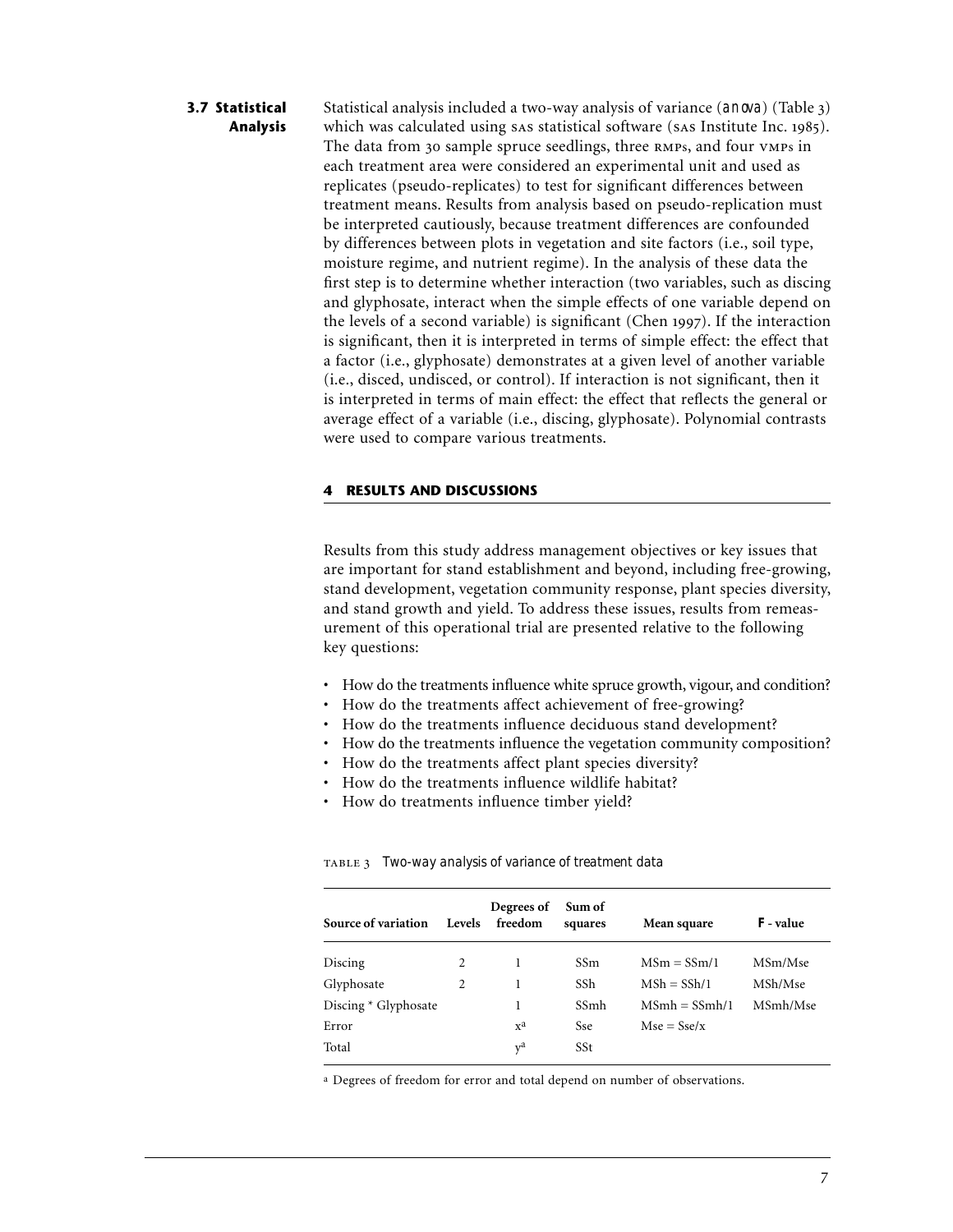## Statistical analysis included a two-way analysis of variance  $($ anova $)$   $($ Table 3 $)$ which was calculated using sas statistical software (sas Institute Inc. 1985). The data from 30 sample spruce seedlings, three RMPs, and four VMPs in each treatment area were considered an experimental unit and used as replicates (pseudo-replicates) to test for significant differences between treatment means. Results from analysis based on pseudo-replication must be interpreted cautiously, because treatment differences are confounded by differences between plots in vegetation and site factors (i.e., soil type, moisture regime, and nutrient regime). In the analysis of these data the first step is to determine whether interaction (two variables, such as discing and glyphosate, interact when the simple effects of one variable depend on the levels of a second variable) is significant (Chen 1997). If the interaction is significant, then it is interpreted in terms of simple effect: the effect that a factor (i.e., glyphosate) demonstrates at a given level of another variable (i.e., disced, undisced, or control). If interaction is not significant, then it is interpreted in terms of main effect: the effect that reflects the general or average effect of a variable (i.e., discing, glyphosate). Polynomial contrasts were used to compare various treatments. **3.7 Statistical Analysis**

## **4 RESULTS AND DISCUSSIONS**

Results from this study address management objectives or key issues that are important for stand establishment and beyond, including free-growing, stand development, vegetation community response, plant species diversity, and stand growth and yield. To address these issues, results from remeasurement of this operational trial are presented relative to the following key questions:

- How do the treatments influence white spruce growth, vigour, and condition?
- How do the treatments affect achievement of free-growing?
- How do the treatments influence deciduous stand development?
- How do the treatments influence the vegetation community composition?
- How do the treatments affect plant species diversity?
- How do the treatments influence wildlife habitat?
- How do treatments influence timber yield?

| Source of variation  | Levels | Degrees of<br>freedom     | Sum of<br>squares | Mean square     | $F$ -value |
|----------------------|--------|---------------------------|-------------------|-----------------|------------|
| Discing              | 2      |                           | SS <sub>m</sub>   | $MSm = SSm/1$   | MSm/Mse    |
| Glyphosate           | 2      | 1                         | SSh               | $MSh = SSh/1$   | MSh/Mse    |
| Discing * Glyphosate |        |                           | SSmh              | $MSmh = SSmh/1$ | MSmh/Mse   |
| Error                |        | $\mathbf{x}^{\mathbf{a}}$ | <b>Sse</b>        | $Mse = Sse/x$   |            |
| Total                |        | $v^a$                     | SSt               |                 |            |
|                      |        |                           |                   |                 |            |

#### *Two-way analysis of variance of treatment data*

a Degrees of freedom for error and total depend on number of observations.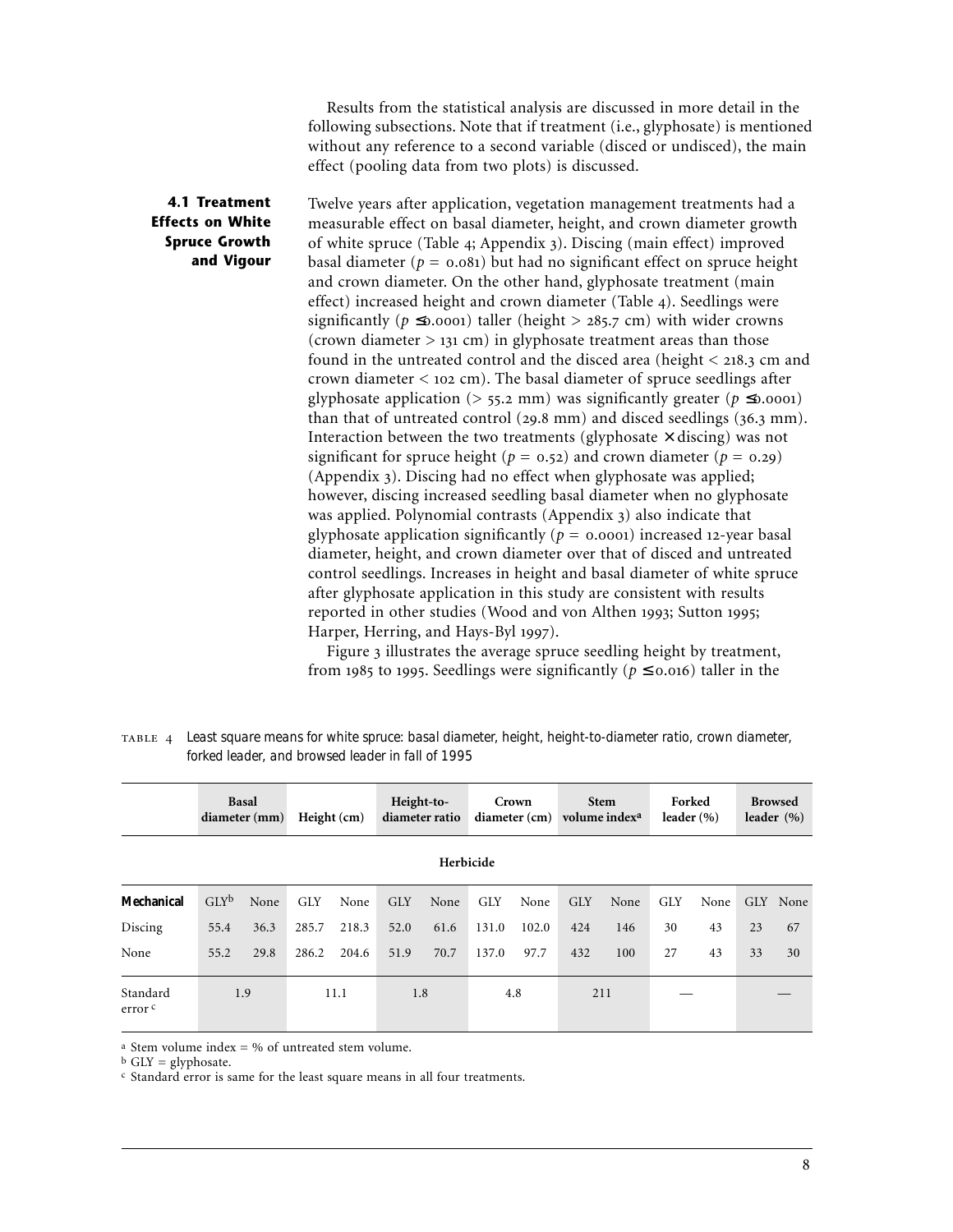Results from the statistical analysis are discussed in more detail in the following subsections. Note that if treatment (i.e., glyphosate) is mentioned without any reference to a second variable (disced or undisced), the main effect (pooling data from two plots) is discussed.

## **4.1 Treatment Effects on White Spruce Growth and Vigour**

Twelve years after application, vegetation management treatments had a measurable effect on basal diameter, height, and crown diameter growth of white spruce (Table 4; Appendix 3). Discing (main effect) improved basal diameter ( $p = 0.081$ ) but had no significant effect on spruce height and crown diameter. On the other hand, glyphosate treatment (main effect) increased height and crown diameter (Table 4). Seedlings were significantly ( $p \le 0.0001$ ) taller (height > 285.7 cm) with wider crowns (crown diameter  $> 131$  cm) in glyphosate treatment areas than those found in the untreated control and the disced area (height  $<$  218.3 cm and crown diameter  $<$  102 cm). The basal diameter of spruce seedlings after glyphosate application (>  $55.2$  mm) was significantly greater ( $p \le 0.0001$ ) than that of untreated control (29.8 mm) and disced seedlings (36.3 mm). Interaction between the two treatments (glyphosate  $\times$  discing) was not significant for spruce height ( $p = 0.52$ ) and crown diameter ( $p = 0.29$ ) (Appendix 3). Discing had no effect when glyphosate was applied; however, discing increased seedling basal diameter when no glyphosate was applied. Polynomial contrasts (Appendix 3) also indicate that glyphosate application significantly ( $p = 0.0001$ ) increased 12-year basal diameter, height, and crown diameter over that of disced and untreated control seedlings. Increases in height and basal diameter of white spruce after glyphosate application in this study are consistent with results reported in other studies (Wood and von Althen 1993; Sutton 1995; Harper, Herring, and Hays-Byl 1997).

Figure 3 illustrates the average spruce seedling height by treatment, from 1985 to 1995. Seedlings were significantly ( $p \le 0.016$ ) taller in the

 *Least square means for white spruce: basal diameter, height, height-to-diameter ratio, crown diameter, forked leader, and browsed leader in fall of 1995*

|                                | <b>Basal</b><br>diameter (mm) |      | Height $(cm)$ |       | Height-to-<br>diameter ratio |      | Crown      |       | <b>Stem</b><br>$diameter (cm)$ volume index <sup>a</sup> |      | Forked<br>leader $(\% )$ |      | <b>Browsed</b><br>leader $(\% )$ |          |  |
|--------------------------------|-------------------------------|------|---------------|-------|------------------------------|------|------------|-------|----------------------------------------------------------|------|--------------------------|------|----------------------------------|----------|--|
| Herbicide                      |                               |      |               |       |                              |      |            |       |                                                          |      |                          |      |                                  |          |  |
| <b>Mechanical</b>              | $GLY^b$                       | None | <b>GLY</b>    | None  | <b>GLY</b>                   | None | <b>GLY</b> | None  | <b>GLY</b>                                               | None | <b>GLY</b>               | None |                                  | GLY None |  |
| Discing                        | 55.4                          | 36.3 | 285.7         | 218.3 | 52.0                         | 61.6 | 131.0      | 102.0 | 424                                                      | 146  | 30                       | 43   | 23                               | 67       |  |
| None                           | 55.2                          | 29.8 | 286.2         | 204.6 | 51.9                         | 70.7 | 137.0      | 97.7  | 432                                                      | 100  | 27                       | 43   | 33                               | 30       |  |
| Standard<br>error <sup>c</sup> | 1.9                           |      | 11.1          |       | 1.8                          |      | 4.8        |       | 211                                                      |      |                          |      |                                  |          |  |

<sup>a</sup> Stem volume index =  $%$  of untreated stem volume.

 $<sup>b</sup>$  GLY = glyphosate.</sup>

c Standard error is same for the least square means in all four treatments.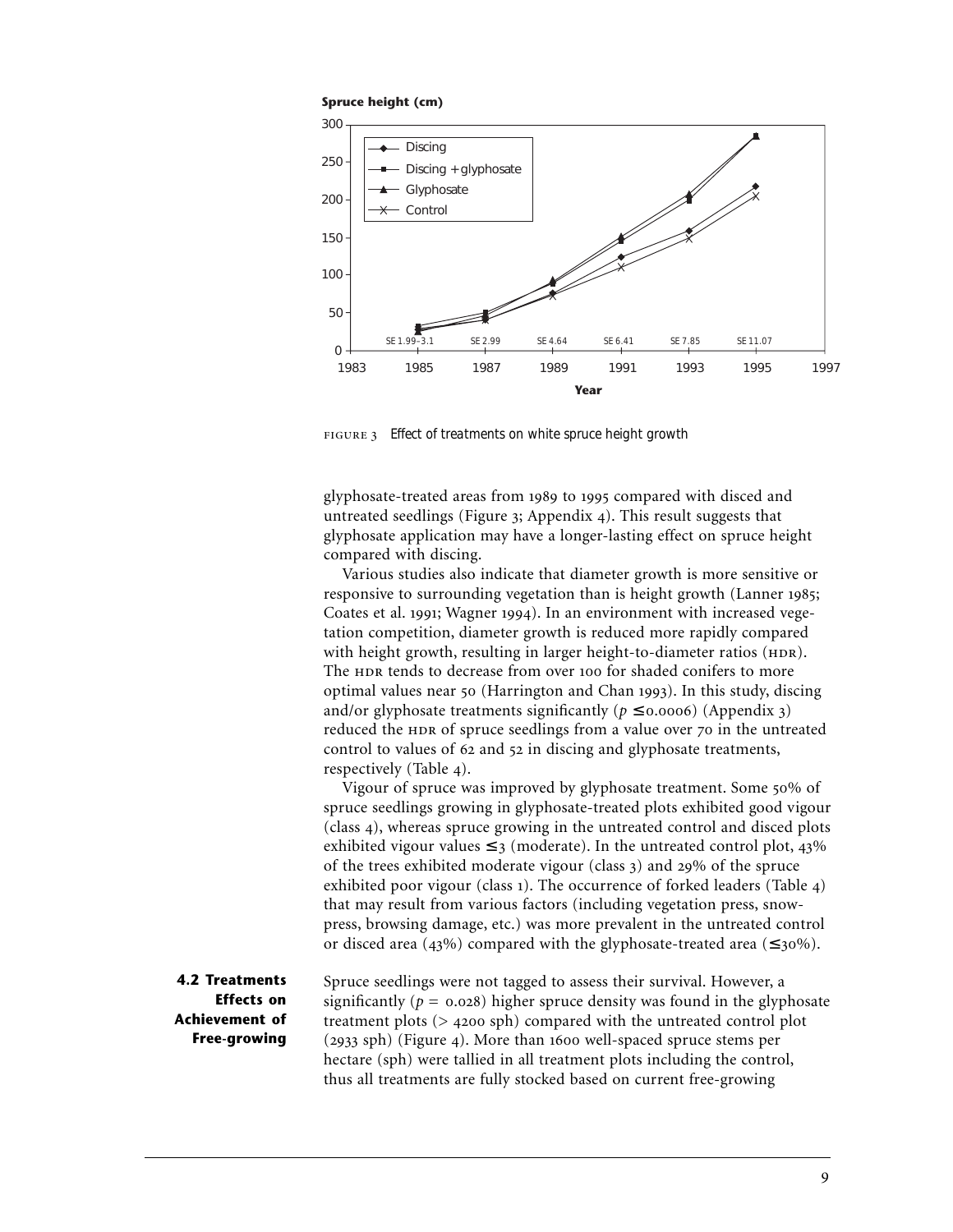



*Effect of treatments on white spruce height growth*

glyphosate-treated areas from 1989 to 1995 compared with disced and untreated seedlings (Figure  $x$ ; Appendix  $y$ ). This result suggests that glyphosate application may have a longer-lasting effect on spruce height compared with discing.

Various studies also indicate that diameter growth is more sensitive or responsive to surrounding vegetation than is height growth (Lanner 1985; Coates et al. 1991; Wagner 1994). In an environment with increased vegetation competition, diameter growth is reduced more rapidly compared with height growth, resulting in larger height-to-diameter ratios (HDR). The HDR tends to decrease from over 100 for shaded conifers to more optimal values near 50 (Harrington and Chan 1993). In this study, discing and/or glyphosate treatments significantly ( $p \le 0.0006$ ) (Appendix 3) reduced the HDR of spruce seedlings from a value over 70 in the untreated control to values of 62 and 52 in discing and glyphosate treatments, respectively (Table 4).

Vigour of spruce was improved by glyphosate treatment. Some 50% of spruce seedlings growing in glyphosate-treated plots exhibited good vigour (class 4), whereas spruce growing in the untreated control and disced plots exhibited vigour values  $\leq$  3 (moderate). In the untreated control plot, 43% of the trees exhibited moderate vigour (class  $_3$ ) and  $_{29\%}$  of the spruce exhibited poor vigour (class 1). The occurrence of forked leaders (Table  $4$ ) that may result from various factors (including vegetation press, snowpress, browsing damage, etc.) was more prevalent in the untreated control or disced area (43%) compared with the glyphosate-treated area ( $\leq$ 30%).

**4.2 Treatments Effects on Achievement of Free-growing**

Spruce seedlings were not tagged to assess their survival. However, a significantly ( $p = 0.028$ ) higher spruce density was found in the glyphosate treatment plots  $(> 4200$  sph) compared with the untreated control plot  $(2933$  sph) (Figure 4). More than 1600 well-spaced spruce stems per hectare (sph) were tallied in all treatment plots including the control, thus all treatments are fully stocked based on current free-growing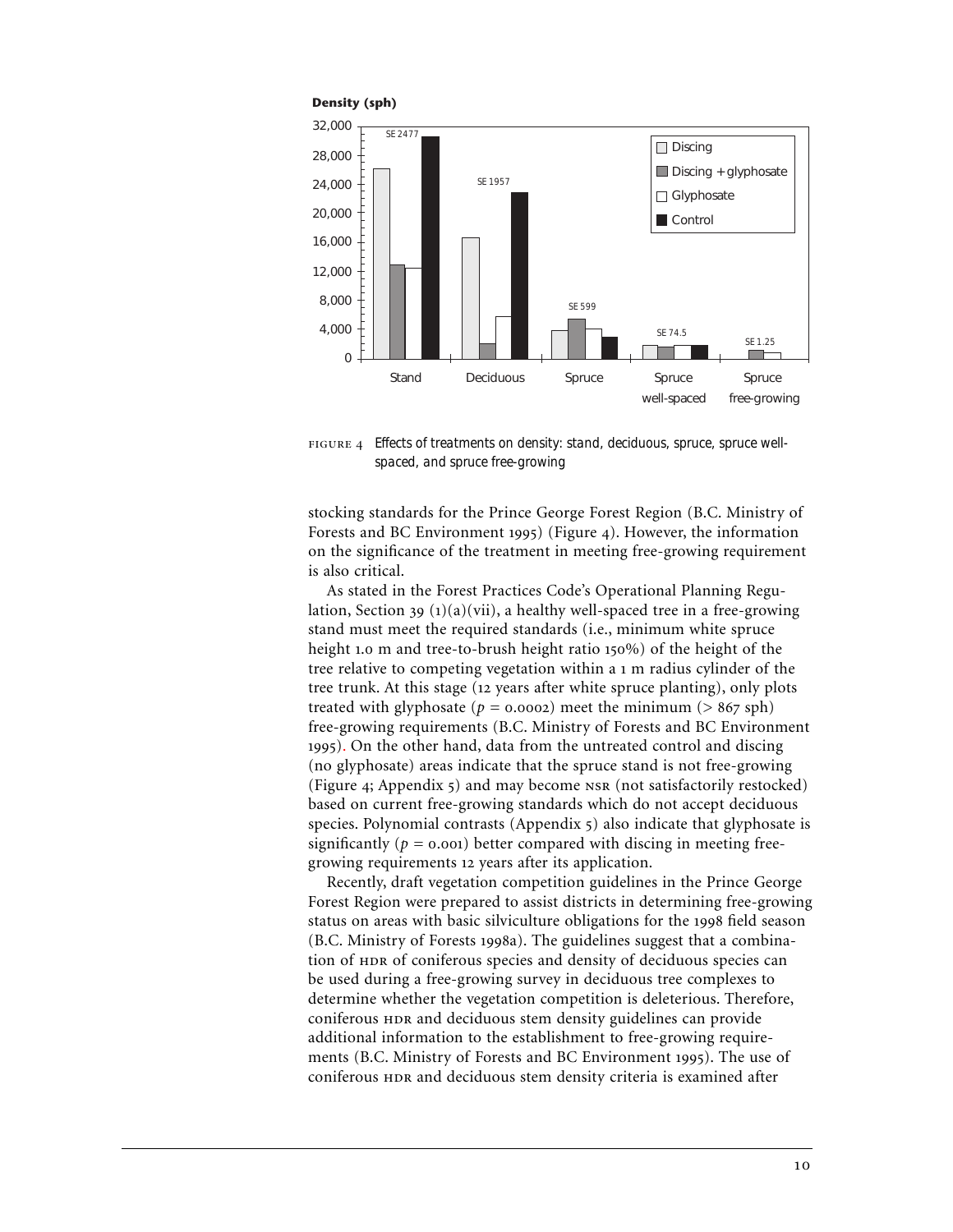

 *Effects of treatments on density: stand, deciduous, spruce, spruce wellspaced, and spruce free-growing*

stocking standards for the Prince George Forest Region (B.C. Ministry of Forests and BC Environment 1995) (Figure 4). However, the information on the significance of the treatment in meeting free-growing requirement is also critical.

As stated in the Forest Practices Code's Operational Planning Regulation, Section 39  $(1)(a)(vii)$ , a healthy well-spaced tree in a free-growing stand must meet the required standards (i.e., minimum white spruce height 1.0 m and tree-to-brush height ratio  $150\%$ ) of the height of the tree relative to competing vegetation within a 1 m radius cylinder of the tree trunk. At this stage (12 years after white spruce planting), only plots treated with glyphosate ( $p = 0.0002$ ) meet the minimum ( $> 867$  sph) free-growing requirements (B.C. Ministry of Forests and BC Environment ). On the other hand, data from the untreated control and discing (no glyphosate) areas indicate that the spruce stand is not free-growing (Figure 4; Appendix  $\varsigma$ ) and may become  $\kappa$  (not satisfactorily restocked) based on current free-growing standards which do not accept deciduous species. Polynomial contrasts (Appendix 5) also indicate that glyphosate is significantly ( $p = 0.001$ ) better compared with discing in meeting freegrowing requirements 12 years after its application.

Recently, draft vegetation competition guidelines in the Prince George Forest Region were prepared to assist districts in determining free-growing status on areas with basic silviculture obligations for the 1998 field season (B.C. Ministry of Forests 1998a). The guidelines suggest that a combination of HDR of coniferous species and density of deciduous species can be used during a free-growing survey in deciduous tree complexes to determine whether the vegetation competition is deleterious. Therefore, coniferous and deciduous stem density guidelines can provide additional information to the establishment to free-growing requirements (B.C. Ministry of Forests and BC Environment 1995). The use of coniferous and deciduous stem density criteria is examined after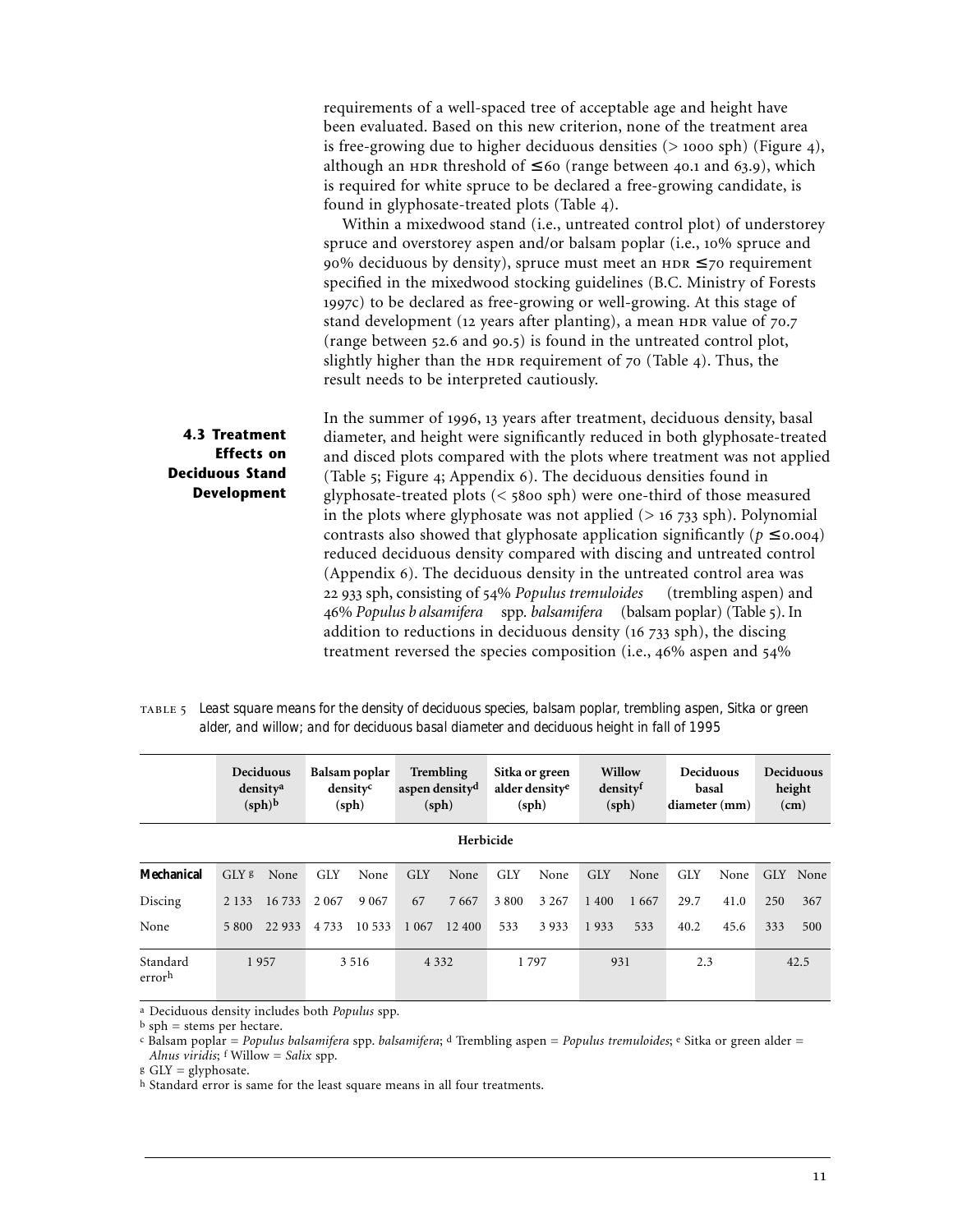|                                                                                           | requirements of a well-spaced tree of acceptable age and height have<br>been evaluated. Based on this new criterion, none of the treatment area<br>is free-growing due to higher deciduous densities $(> 1000$ sph) (Figure 4),<br>although an HDR threshold of $\leq 60$ (range between 40.1 and 63.9), which<br>is required for white spruce to be declared a free-growing candidate, is<br>found in glyphosate-treated plots (Table 4).<br>Within a mixedwood stand (i.e., untreated control plot) of understorey<br>spruce and overstorey aspen and/or balsam poplar (i.e., 10% spruce and<br>90% deciduous by density), spruce must meet an $HDR \le 70$ requirement<br>specified in the mixedwood stocking guidelines (B.C. Ministry of Forests<br>1997c) to be declared as free-growing or well-growing. At this stage of<br>stand development (12 years after planting), a mean HDR value of 70.7<br>(range between 52.6 and 90.5) is found in the untreated control plot,                                 |
|-------------------------------------------------------------------------------------------|--------------------------------------------------------------------------------------------------------------------------------------------------------------------------------------------------------------------------------------------------------------------------------------------------------------------------------------------------------------------------------------------------------------------------------------------------------------------------------------------------------------------------------------------------------------------------------------------------------------------------------------------------------------------------------------------------------------------------------------------------------------------------------------------------------------------------------------------------------------------------------------------------------------------------------------------------------------------------------------------------------------------|
|                                                                                           | slightly higher than the HDR requirement of 70 (Table 4). Thus, the<br>result needs to be interpreted cautiously.                                                                                                                                                                                                                                                                                                                                                                                                                                                                                                                                                                                                                                                                                                                                                                                                                                                                                                  |
| <b>4.3 Treatment</b><br><b>Effects</b> on<br><b>Deciduous Stand</b><br><b>Development</b> | In the summer of 1996, 13 years after treatment, deciduous density, basal<br>diameter, and height were significantly reduced in both glyphosate-treated<br>and disced plots compared with the plots where treatment was not applied<br>(Table 5; Figure 4; Appendix 6). The deciduous densities found in<br>glyphosate-treated plots $(<$ 5800 sph) were one-third of those measured<br>in the plots where glyphosate was not applied $(> 16 733$ sph). Polynomial<br>contrasts also showed that glyphosate application significantly ( $p \le 0.004$ )<br>reduced deciduous density compared with discing and untreated control<br>(Appendix 6). The deciduous density in the untreated control area was<br>22 933 sph, consisting of 54% Populus tremuloides<br>(trembling aspen) and<br>46% Populus b alsamifera spp. balsamifera (balsam poplar) (Table 5). In<br>addition to reductions in deciduous density (16 733 sph), the discing<br>treatment reversed the species composition (i.e., 46% aspen and 54% |

| TABLE 5 Least square means for the density of deciduous species, balsam poplar, trembling aspen, Sitka or green |
|-----------------------------------------------------------------------------------------------------------------|
| alder, and willow; and for deciduous basal diameter and deciduous height in fall of 1995                        |

|                    | Deciduous<br>density <sup>a</sup><br>$(sph)^b$ |         | Balsam poplar<br>densityc<br>(sph) |         | <b>Trembling</b><br>aspen density <sup>d</sup><br>(sph) |        | Sitka or green<br>alder density <sup>e</sup><br>(sph) |         | Willow<br>densityf<br>(sph) |      | Deciduous<br>basal<br>diameter (mm) |      | Deciduous<br>height<br>(cm) |          |
|--------------------|------------------------------------------------|---------|------------------------------------|---------|---------------------------------------------------------|--------|-------------------------------------------------------|---------|-----------------------------|------|-------------------------------------|------|-----------------------------|----------|
| Herbicide          |                                                |         |                                    |         |                                                         |        |                                                       |         |                             |      |                                     |      |                             |          |
| Mechanical         | GLY <sup>g</sup>                               | None    | <b>GLY</b>                         | None    | <b>GLY</b>                                              | None   | <b>GLY</b>                                            | None    | <b>GLY</b>                  | None | <b>GLY</b>                          | None |                             | GLY None |
| Discing            | 2 1 3 3                                        | 16 733  | 2 0 6 7                            | 9 0 6 7 | 67                                                      | 7667   | 3 800                                                 | 3 2 6 7 | 1 400                       | 1667 | 29.7                                | 41.0 | 250                         | 367      |
| None               | 5 800                                          | 22 9 33 | 4 7 3 3                            | 10 533  | 1 0 6 7                                                 | 12 400 | 533                                                   | 3933    | 1933                        | 533  | 40.2                                | 45.6 | 333                         | 500      |
| Standard<br>errorh | 1957                                           |         | 3 5 1 6                            |         | 4 3 3 2                                                 |        | 1797                                                  |         | 931                         |      | 2.3                                 |      | 42.5                        |          |

a Deciduous density includes both *Populus* spp.

b sph = stems per hectare.

c Balsam poplar = *Populus balsamifera* spp. *balsamifera*; d Trembling aspen = *Populus tremuloides*; e Sitka or green alder = *Alnus viridis*; f Willow = *Salix* spp.

g GLY = glyphosate.

h Standard error is same for the least square means in all four treatments.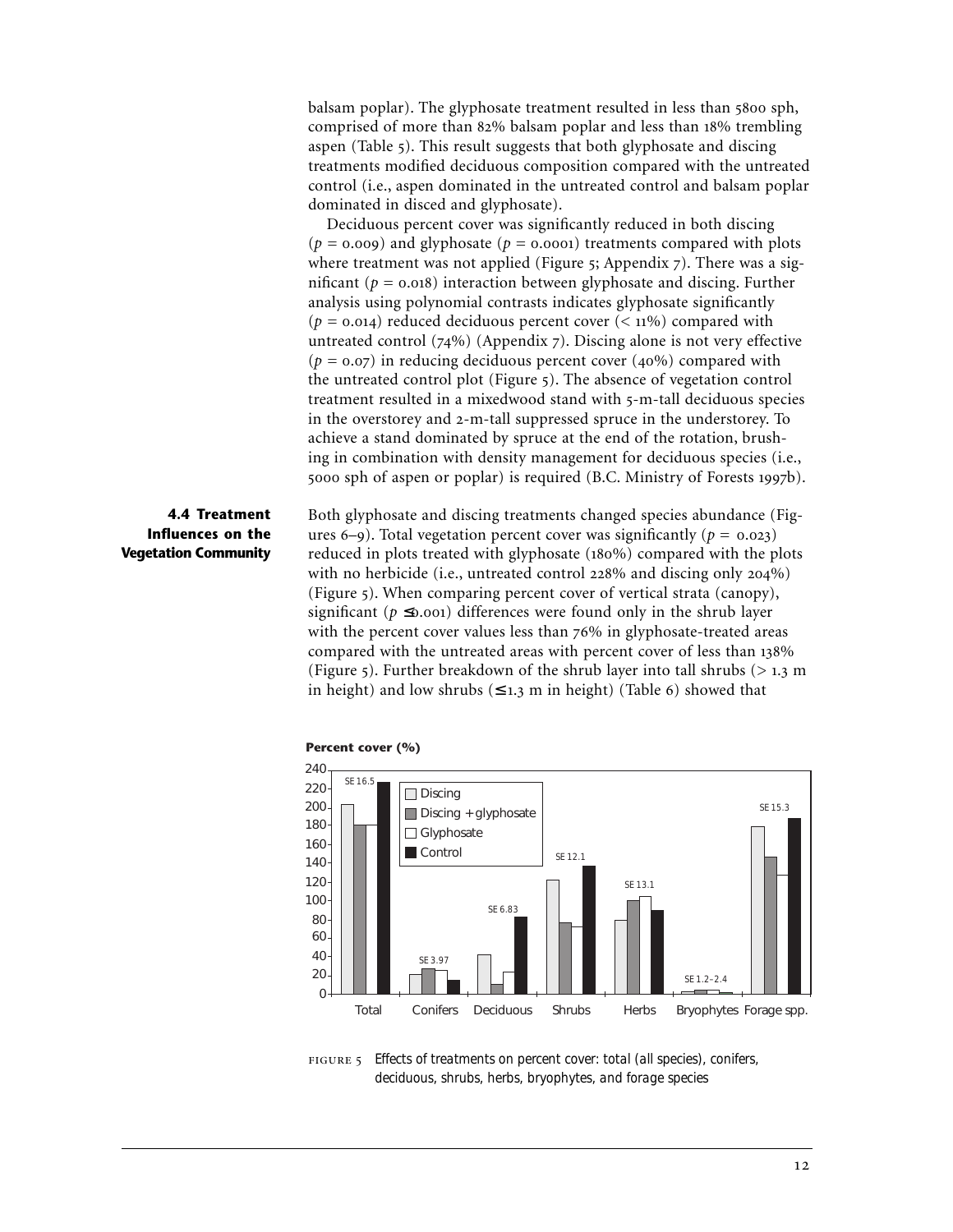balsam poplar). The glyphosate treatment resulted in less than 5800 sph, comprised of more than 82% balsam poplar and less than 18% trembling aspen (Table 5). This result suggests that both glyphosate and discing treatments modified deciduous composition compared with the untreated control (i.e., aspen dominated in the untreated control and balsam poplar dominated in disced and glyphosate).

Deciduous percent cover was significantly reduced in both discing  $(p = 0.009)$  and glyphosate  $(p = 0.0001)$  treatments compared with plots where treatment was not applied (Figure  $\zeta$ ; Appendix  $\zeta$ ). There was a significant ( $p = 0.018$ ) interaction between glyphosate and discing. Further analysis using polynomial contrasts indicates glyphosate significantly ( $p = 0.014$ ) reduced deciduous percent cover ( $\lt 11\%$ ) compared with untreated control  $(74%)$  (Appendix 7). Discing alone is not very effective  $(p = 0.07)$  in reducing deciduous percent cover (40%) compared with the untreated control plot (Figure 5). The absence of vegetation control treatment resulted in a mixedwood stand with 5-m-tall deciduous species in the overstorey and 2-m-tall suppressed spruce in the understorey. To achieve a stand dominated by spruce at the end of the rotation, brushing in combination with density management for deciduous species (i.e., 5000 sph of aspen or poplar) is required (B.C. Ministry of Forests 1997b).

# **4.4 Treatment Influences on the Vegetation Community**

Both glyphosate and discing treatments changed species abundance (Figures 6–9). Total vegetation percent cover was significantly ( $p = 0.023$ ) reduced in plots treated with glyphosate  $(180\%)$  compared with the plots with no herbicide (i.e., untreated control  $228\%$  and discing only  $204\%$ ) (Figure 5). When comparing percent cover of vertical strata (canopy), significant ( $p \le 0.001$ ) differences were found only in the shrub layer with the percent cover values less than  $76\%$  in glyphosate-treated areas compared with the untreated areas with percent cover of less than 138% (Figure 5). Further breakdown of the shrub layer into tall shrubs  $(> 1.3 \text{ m})$ in height) and low shrubs  $(≤ 1.3 m in height)$  (Table 6) showed that



**Percent cover (%)**

 *Effects of treatments on percent cover: total (all species), conifers, deciduous, shrubs, herbs, bryophytes, and forage species*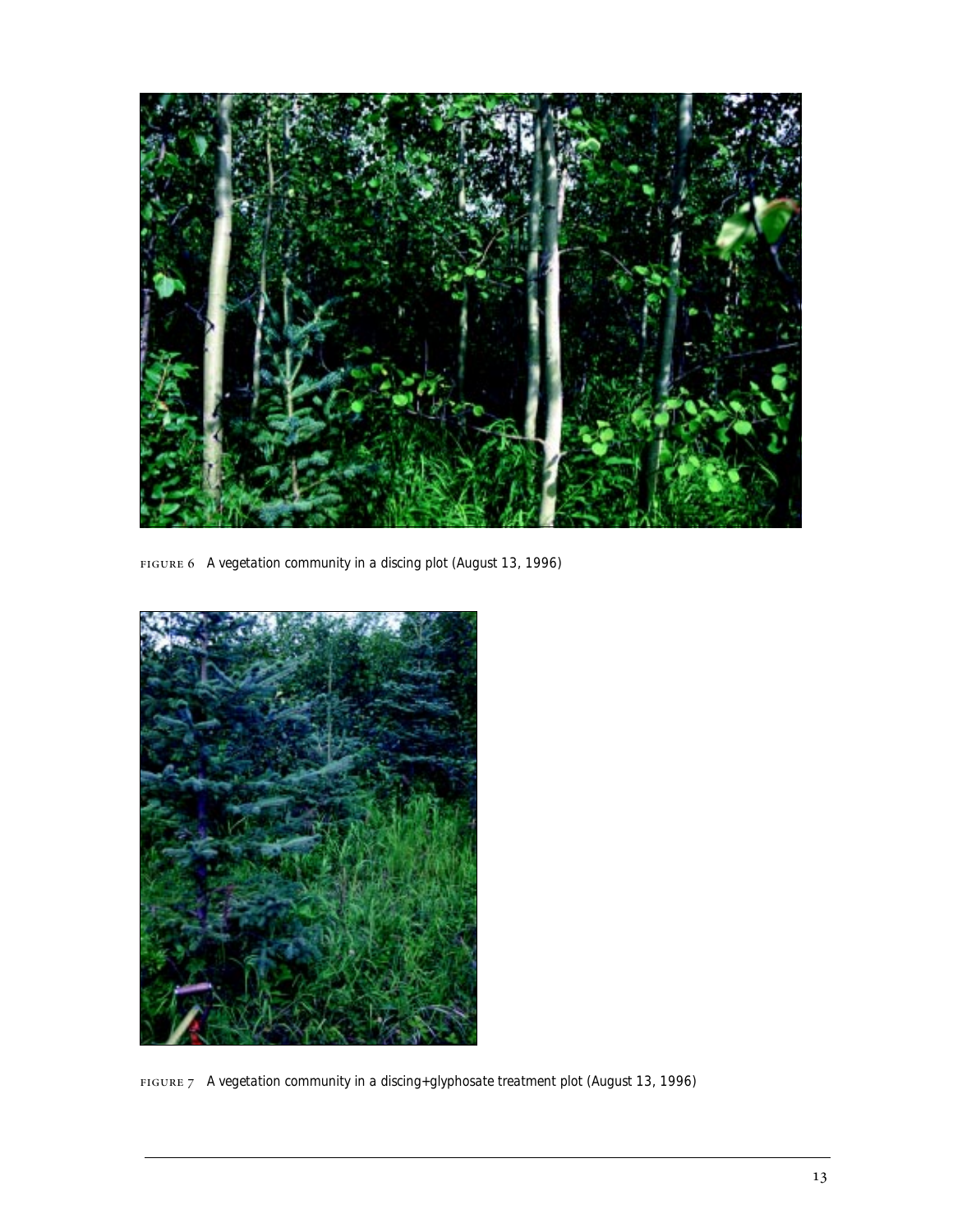

*A vegetation community in a discing plot (August 13, 1996)*



*A vegetation community in a discing+glyphosate treatment plot (August 13, 1996)*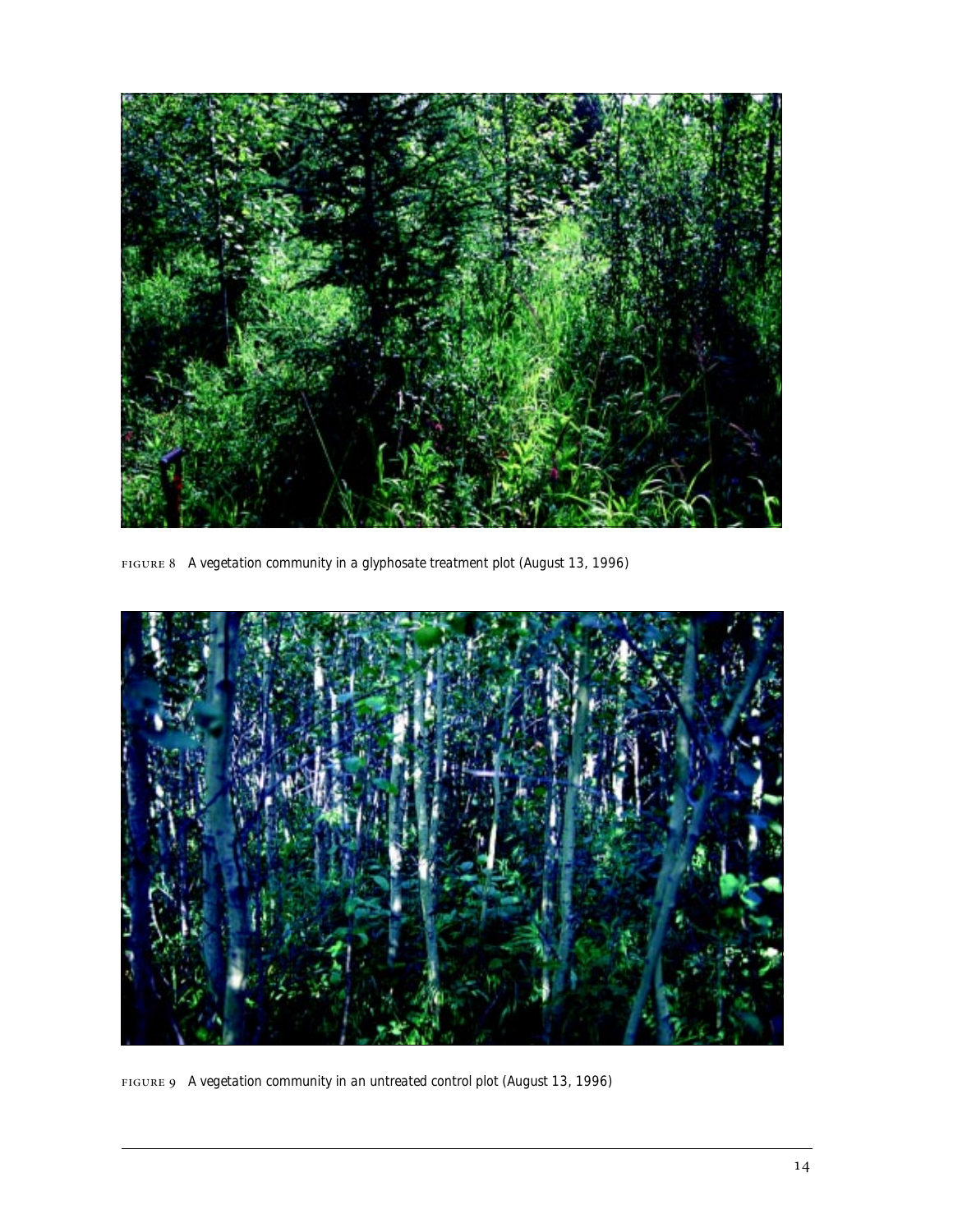

*A vegetation community in a glyphosate treatment plot (August 13, 1996)*



*A vegetation community in an untreated control plot (August 13, 1996)*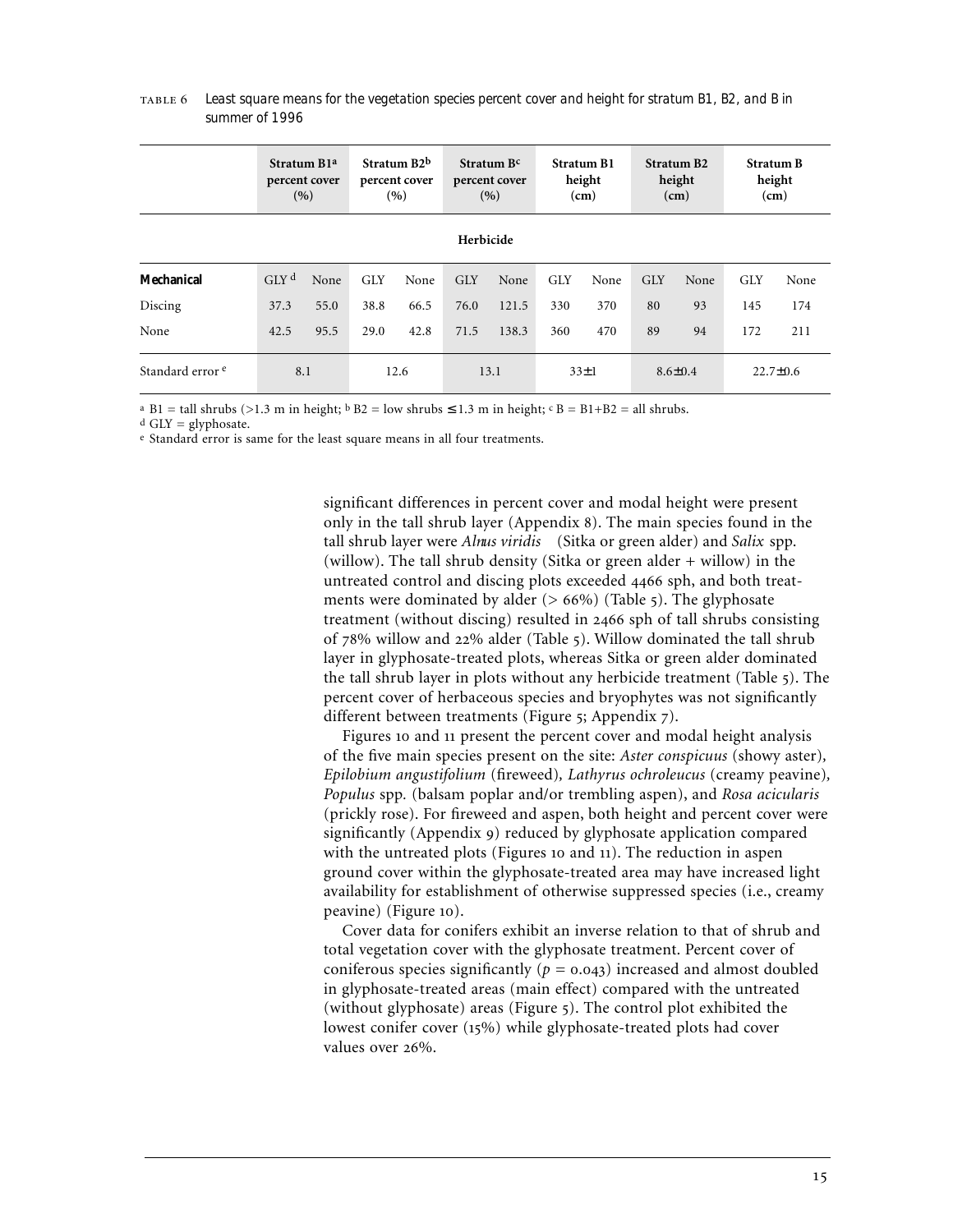|                                    | Stratum B <sub>1a</sub><br>percent cover<br>(9) |      | Stratum B <sub>2</sub> b<br>percent cover<br>(9) |      | Stratum B <sup>c</sup><br>percent cover<br>(9) |       | <b>Stratum B1</b><br>height<br>(cm) |      | <b>Stratum B2</b><br>height<br>(cm) |      | <b>Stratum B</b><br>height<br>(cm) |      |
|------------------------------------|-------------------------------------------------|------|--------------------------------------------------|------|------------------------------------------------|-------|-------------------------------------|------|-------------------------------------|------|------------------------------------|------|
| Herbicide                          |                                                 |      |                                                  |      |                                                |       |                                     |      |                                     |      |                                    |      |
| Mechanical                         | GIY <sup>d</sup>                                | None | <b>GLY</b>                                       | None | <b>GLY</b>                                     | None  | <b>GLY</b>                          | None | <b>GLY</b>                          | None | <b>GLY</b>                         | None |
| Discing                            | 37.3                                            | 55.0 | 38.8                                             | 66.5 | 76.0                                           | 121.5 | 330                                 | 370  | 80                                  | 93   | 145                                | 174  |
| None                               | 42.5                                            | 95.5 | 29.0                                             | 42.8 | 71.5                                           | 138.3 | 360                                 | 470  | 89                                  | 94   | 172                                | 211  |
| Standard error <sup>e</sup><br>8.1 |                                                 |      | 12.6                                             |      | 13.1                                           |       | $33\pm1$                            |      | $8.6 \pm 0.4$                       |      | $22.7 \pm 0.6$                     |      |

 *Least square means for the vegetation species percent cover and height for stratum B1, B2, and B in summer of 1996*

<sup>a</sup> B1 = tall shrubs (>1.3 m in height;  $\overline{b}$  B2 = low shrubs  $\leq$  1.3 m in height;  $\overline{c}$  B = B1+B2 = all shrubs.

 $d$  GLY = glyphosate.

e Standard error is same for the least square means in all four treatments.

significant differences in percent cover and modal height were present only in the tall shrub layer (Appendix 8). The main species found in the tall shrub layer were *Alnus viridis* (Sitka or green alder) and *Salix* spp. (willow). The tall shrub density (Sitka or green alder + willow) in the untreated control and discing plots exceeded 4466 sph, and both treatments were dominated by alder  $(> 66\%)$  (Table 5). The glyphosate treatment (without discing) resulted in  $2466$  sph of tall shrubs consisting of 78% willow and 22% alder (Table 5). Willow dominated the tall shrub layer in glyphosate-treated plots, whereas Sitka or green alder dominated the tall shrub layer in plots without any herbicide treatment (Table ). The percent cover of herbaceous species and bryophytes was not significantly different between treatments (Figure 5; Appendix 7).

Figures 10 and 11 present the percent cover and modal height analysis of the five main species present on the site: *Aster conspicuus* (showy aster)*, Epilobium angustifolium* (fireweed)*, Lathyrus ochroleucus* (creamy peavine)*, Populus* spp*.* (balsam poplar and/or trembling aspen), and *Rosa acicularis* (prickly rose). For fireweed and aspen, both height and percent cover were significantly (Appendix 9) reduced by glyphosate application compared with the untreated plots (Figures 10 and 11). The reduction in aspen ground cover within the glyphosate-treated area may have increased light availability for establishment of otherwise suppressed species (i.e., creamy peavine) (Figure 10).

Cover data for conifers exhibit an inverse relation to that of shrub and total vegetation cover with the glyphosate treatment. Percent cover of coniferous species significantly ( $p = 0.043$ ) increased and almost doubled in glyphosate-treated areas (main effect) compared with the untreated (without glyphosate) areas (Figure 5). The control plot exhibited the lowest conifer cover (15%) while glyphosate-treated plots had cover values over 26%.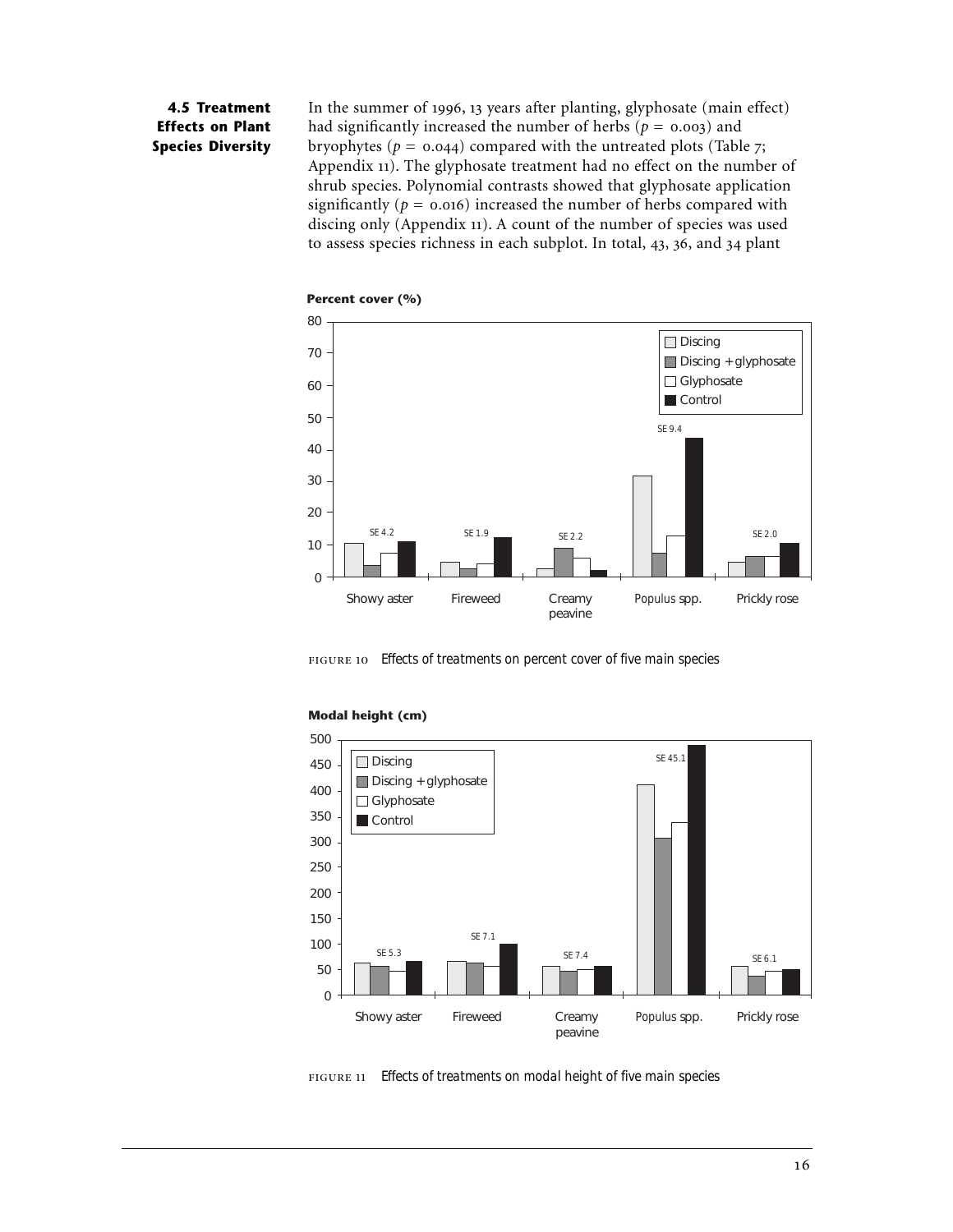# **4.5 Treatment Effects on Plant Species Diversity**

In the summer of 1996, 13 years after planting, glyphosate (main effect) had significantly increased the number of herbs ( $p = 0.003$ ) and bryophytes ( $p = 0.044$ ) compared with the untreated plots (Table 7; Appendix 11). The glyphosate treatment had no effect on the number of shrub species. Polynomial contrasts showed that glyphosate application significantly ( $p = 0.016$ ) increased the number of herbs compared with discing only (Appendix 11). A count of the number of species was used to assess species richness in each subplot. In total,  $43, 36,$  and  $34$  plant



*Effects of treatments on percent cover of five main species*



#### **Modal height (cm)**

*Effects of treatments on modal height of five main species*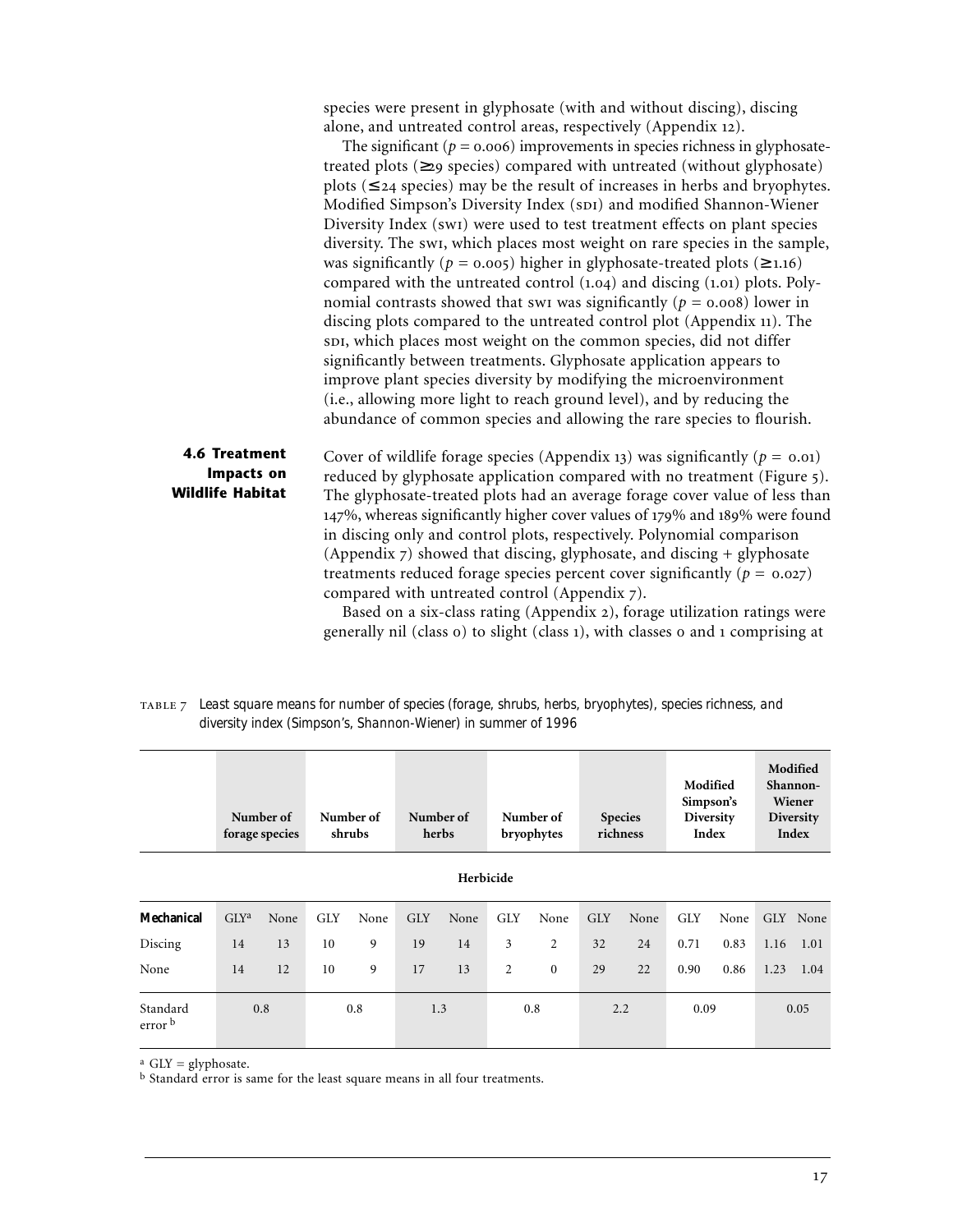species were present in glyphosate (with and without discing), discing alone, and untreated control areas, respectively (Appendix 12).

The significant ( $p = 0.006$ ) improvements in species richness in glyphosatetreated plots  $(\geq_{29}$  species) compared with untreated (without glyphosate) plots ( $\leq$  24 species) may be the result of increases in herbs and bryophytes. Modified Simpson's Diversity Index (SDI) and modified Shannon-Wiener Diversity Index (sw1) were used to test treatment effects on plant species diversity. The swi, which places most weight on rare species in the sample, was significantly ( $p = 0.005$ ) higher in glyphosate-treated plots ( $\ge 1.16$ ) compared with the untreated control  $(1.04)$  and discing  $(1.01)$  plots. Polynomial contrasts showed that swi was significantly ( $p = 0.008$ ) lower in discing plots compared to the untreated control plot (Appendix 11). The , which places most weight on the common species, did not differ significantly between treatments. Glyphosate application appears to improve plant species diversity by modifying the microenvironment (i.e., allowing more light to reach ground level), and by reducing the abundance of common species and allowing the rare species to flourish.

Cover of wildlife forage species (Appendix 13) was significantly ( $p = 0.01$ ) reduced by glyphosate application compared with no treatment (Figure 5). The glyphosate-treated plots had an average forage cover value of less than  $147\%$ , whereas significantly higher cover values of  $179\%$  and  $189\%$  were found in discing only and control plots, respectively. Polynomial comparison (Appendix  $\overline{z}$ ) showed that discing, glyphosate, and discing  $+$  glyphosate treatments reduced forage species percent cover significantly  $(p = 0.027)$ compared with untreated control (Appendix 7). **4.6 Treatment Impacts on Wildlife Habitat**

Based on a six-class rating (Appendix 2), forage utilization ratings were generally nil (class o) to slight (class 1), with classes o and 1 comprising at

| TABLE 7 Least square means for number of species (forage, shrubs, herbs, bryophytes), species richness, and |
|-------------------------------------------------------------------------------------------------------------|
| diversity index (Simpson's, Shannon-Wiener) in summer of 1996                                               |

| Number of<br>forage species    |         | Number of<br>shrubs |            | Number of<br>herbs |            | Number of<br>bryophytes |                | <b>Species</b><br>richness |            | Modified<br>Simpson's<br>Diversity<br>Index |            | Modified<br>Shannon-<br>Wiener<br>Diversity<br>Index |      |          |
|--------------------------------|---------|---------------------|------------|--------------------|------------|-------------------------|----------------|----------------------------|------------|---------------------------------------------|------------|------------------------------------------------------|------|----------|
| Herbicide                      |         |                     |            |                    |            |                         |                |                            |            |                                             |            |                                                      |      |          |
| Mechanical                     | $GLY^a$ | None                | <b>GLY</b> | None               | <b>GLY</b> | None                    | <b>GLY</b>     | None                       | <b>GLY</b> | None                                        | <b>GLY</b> | None                                                 |      | GLY None |
| Discing                        | 14      | 13                  | 10         | 9                  | 19         | 14                      | 3              | 2                          | 32         | 24                                          | 0.71       | 0.83                                                 | 1.16 | 1.01     |
| None                           | 14      | 12                  | 10         | 9                  | 17         | 13                      | $\overline{2}$ | $\mathbf{0}$               | 29         | 22                                          | 0.90       | 0.86                                                 | 1.23 | 1.04     |
| Standard<br>error <sup>b</sup> | 0.8     |                     | 0.8        |                    | 1.3        |                         | 0.8            |                            | 2.2        |                                             | 0.09       |                                                      | 0.05 |          |

 $a$  GLY = glyphosate.

b Standard error is same for the least square means in all four treatments.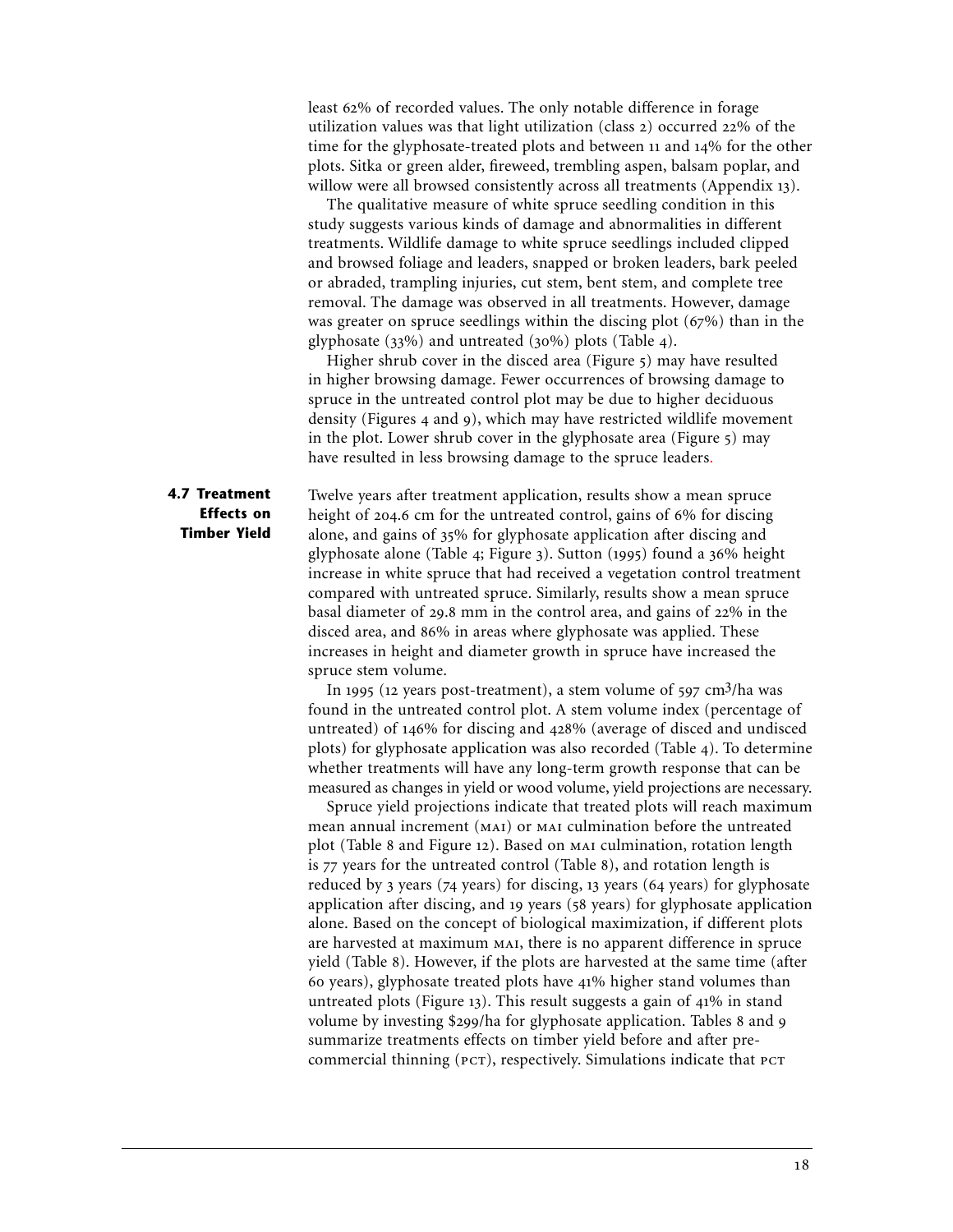least 62% of recorded values. The only notable difference in forage utilization values was that light utilization (class  $2$ ) occurred  $22\%$  of the time for the glyphosate-treated plots and between 11 and 14% for the other plots. Sitka or green alder, fireweed, trembling aspen, balsam poplar, and willow were all browsed consistently across all treatments (Appendix 13).

The qualitative measure of white spruce seedling condition in this study suggests various kinds of damage and abnormalities in different treatments. Wildlife damage to white spruce seedlings included clipped and browsed foliage and leaders, snapped or broken leaders, bark peeled or abraded, trampling injuries, cut stem, bent stem, and complete tree removal. The damage was observed in all treatments. However, damage was greater on spruce seedlings within the discing plot  $(67%)$  than in the glyphosate  $(33\%)$  and untreated  $(30\%)$  plots (Table 4).

Higher shrub cover in the disced area (Figure 5) may have resulted in higher browsing damage. Fewer occurrences of browsing damage to spruce in the untreated control plot may be due to higher deciduous density (Figures 4 and 9), which may have restricted wildlife movement in the plot. Lower shrub cover in the glyphosate area (Figure  $\frac{1}{2}$ ) may have resulted in less browsing damage to the spruce leaders.

## **4.7 Treatment Effects on Timber Yield**

Twelve years after treatment application, results show a mean spruce height of 204.6 cm for the untreated control, gains of  $6\%$  for discing alone, and gains of 35% for glyphosate application after discing and glyphosate alone (Table 4; Figure 3). Sutton (1995) found a  $36\%$  height increase in white spruce that had received a vegetation control treatment compared with untreated spruce. Similarly, results show a mean spruce basal diameter of 29.8 mm in the control area, and gains of  $22\%$  in the disced area, and 86% in areas where glyphosate was applied. These increases in height and diameter growth in spruce have increased the spruce stem volume.

In 1995 (12 years post-treatment), a stem volume of  $597 \text{ cm}^3/\text{ha}$  was found in the untreated control plot. A stem volume index (percentage of untreated) of  $146\%$  for discing and  $428\%$  (average of disced and undisced plots) for glyphosate application was also recorded (Table 4). To determine whether treatments will have any long-term growth response that can be measured as changes in yield or wood volume, yield projections are necessary.

Spruce yield projections indicate that treated plots will reach maximum mean annual increment (MAI) or MAI culmination before the untreated plot (Table 8 and Figure 12). Based on MAI culmination, rotation length is  $77$  years for the untreated control (Table 8), and rotation length is reduced by  $\frac{3}{7}$  years ( $\frac{74}{7}$  years) for discing,  $\frac{13}{7}$  years ( $\frac{64}{7}$  years) for glyphosate application after discing, and 19 years (58 years) for glyphosate application alone. Based on the concept of biological maximization, if different plots are harvested at maximum MAI, there is no apparent difference in spruce yield (Table 8). However, if the plots are harvested at the same time (after 60 years), glyphosate treated plots have 41% higher stand volumes than untreated plots (Figure 13). This result suggests a gain of  $41\%$  in stand volume by investing \$299/ha for glyphosate application. Tables 8 and 9 summarize treatments effects on timber yield before and after precommercial thinning (PCT), respectively. Simulations indicate that PCT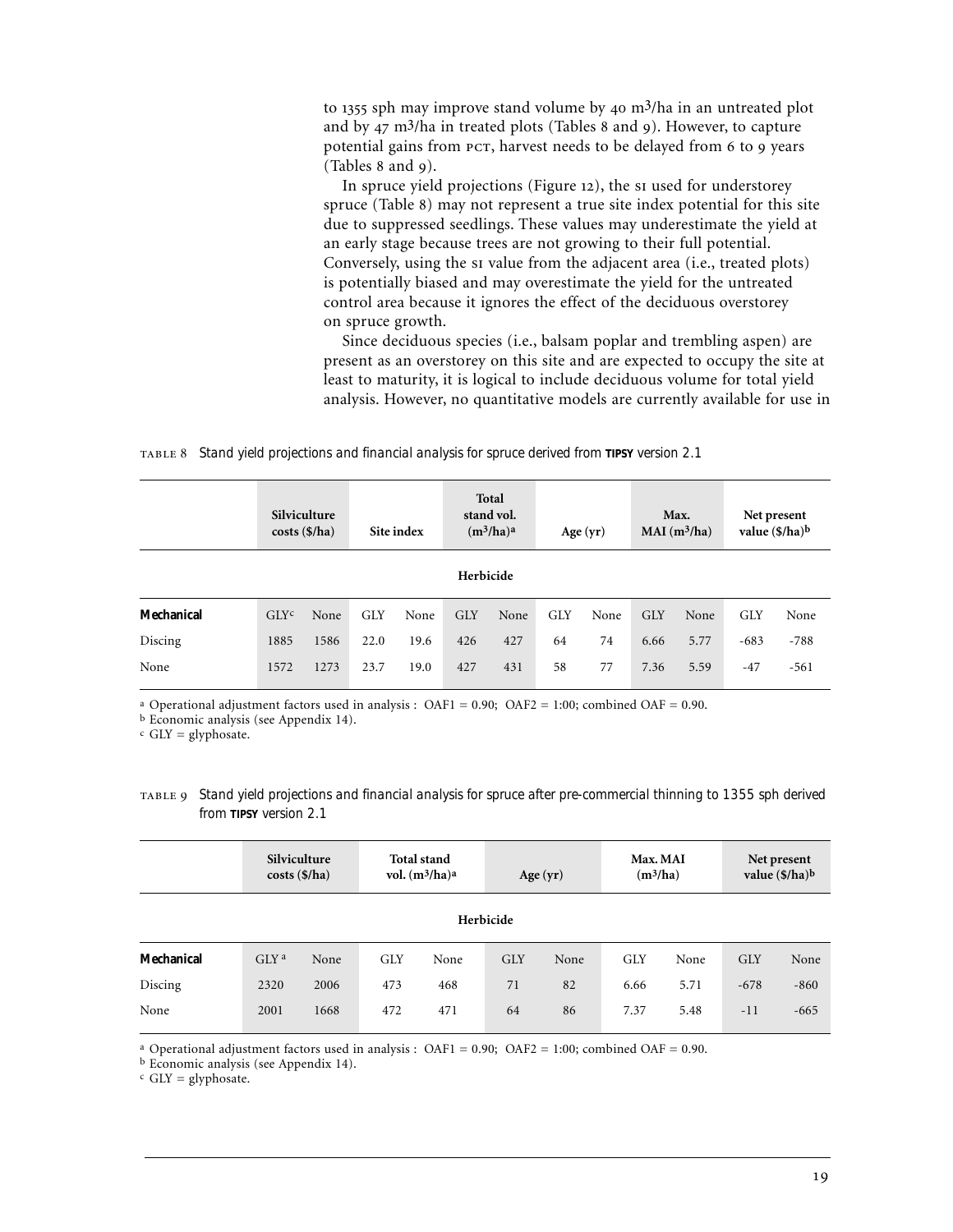to 1355 sph may improve stand volume by  $40 \text{ m}^3$ /ha in an untreated plot and by  $47 \text{ m}^3/\text{ha}$  in treated plots (Tables 8 and 9). However, to capture potential gains from PCT, harvest needs to be delayed from 6 to 9 years (Tables 8 and 9).

In spruce yield projections (Figure 12), the si used for understorey spruce (Table 8) may not represent a true site index potential for this site due to suppressed seedlings. These values may underestimate the yield at an early stage because trees are not growing to their full potential. Conversely, using the si value from the adjacent area (i.e., treated plots) is potentially biased and may overestimate the yield for the untreated control area because it ignores the effect of the deciduous overstorey on spruce growth.

Since deciduous species (i.e., balsam poplar and trembling aspen) are present as an overstorey on this site and are expected to occupy the site at least to maturity, it is logical to include deciduous volume for total yield analysis. However, no quantitative models are currently available for use in

#### *Stand yield projections and financial analysis for spruce derived from TIPSY version 2.1*

|            |                  | Silviculture<br>$costs$ (\$/ha) |            | Site index |            | Total<br>stand vol.<br>$(m^3/ha)^a$ |            | Age $(yr)$ |            | Max.<br>$MAI(m^3/ha)$ | Net present<br>value $(\frac{6}{ha})^b$ |        |
|------------|------------------|---------------------------------|------------|------------|------------|-------------------------------------|------------|------------|------------|-----------------------|-----------------------------------------|--------|
| Herbicide  |                  |                                 |            |            |            |                                     |            |            |            |                       |                                         |        |
| Mechanical | GLY <sup>c</sup> | None                            | <b>GLY</b> | None       | <b>GLY</b> | None                                | <b>GLY</b> | None       | <b>GLY</b> | None                  | <b>GLY</b>                              | None   |
| Discing    | 1885             | 1586                            | 22.0       | 19.6       | 426        | 427                                 | 64         | 74         | 6.66       | 5.77                  | $-683$                                  | $-788$ |
| None       | 1572             | 1273                            | 23.7       | 19.0       | 427        | 431                                 | 58         | 77         | 7.36       | 5.59                  | $-47$                                   | $-561$ |

<sup>a</sup> Operational adjustment factors used in analysis : OAF1 = 0.90; OAF2 = 1:00; combined OAF = 0.90.

b Economic analysis (see Appendix 14).

 $c$  GLY = glyphosate.

| TABLE 9 Stand yield projections and financial analysis for spruce after pre-commercial thinning to 1355 sph derived |  |
|---------------------------------------------------------------------------------------------------------------------|--|
| from TIPSY version 2.1                                                                                              |  |

|            | Silviculture<br>$costs$ (\$/ha) |      | <b>Total stand</b><br>vol. $(m^3/ha)^a$ |      | Age $(yr)$ |      | Max. MAI<br>$(m^3/ha)$ |      | Net present<br>value $(\frac{s}{ha})^b$ |        |  |
|------------|---------------------------------|------|-----------------------------------------|------|------------|------|------------------------|------|-----------------------------------------|--------|--|
| Herbicide  |                                 |      |                                         |      |            |      |                        |      |                                         |        |  |
| Mechanical | GLY <sup>a</sup>                | None | <b>GLY</b>                              | None | <b>GLY</b> | None | <b>GLY</b>             | None | <b>GLY</b>                              | None   |  |
| Discing    | 2320                            | 2006 | 473                                     | 468  | 71         | 82   | 6.66                   | 5.71 | $-678$                                  | $-860$ |  |
| None       | 2001                            | 1668 | 472                                     | 471  | 64         | 86   | 7.37                   | 5.48 | $-11$                                   | $-665$ |  |

a Operational adjustment factors used in analysis : OAF1 = 0.90; OAF2 = 1:00; combined OAF = 0.90.

b Economic analysis (see Appendix 14).

 $c$  GLY = glyphosate.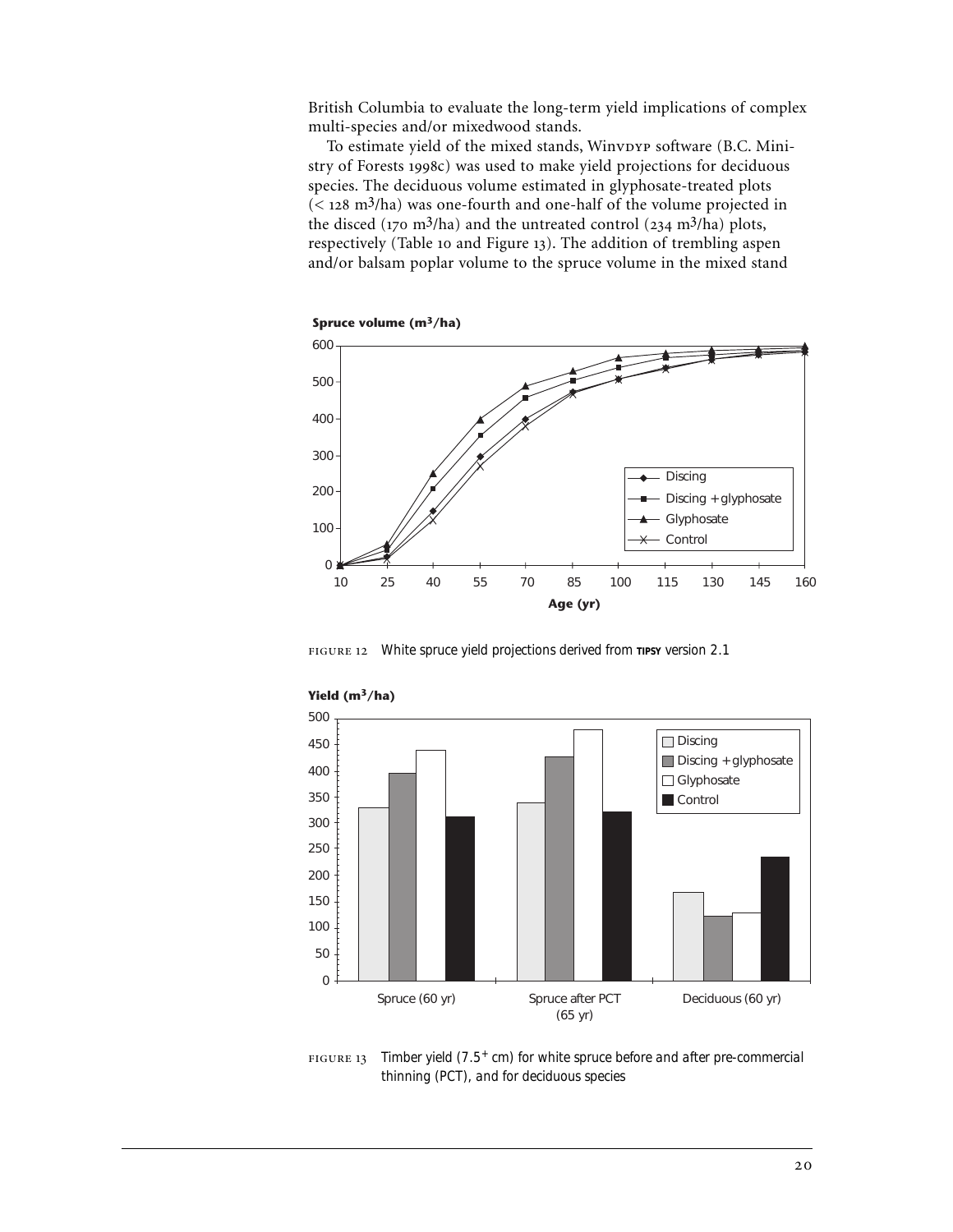British Columbia to evaluate the long-term yield implications of complex multi-species and/or mixedwood stands.

To estimate yield of the mixed stands, WinvDYP software (B.C. Ministry of Forests 1998c) was used to make yield projections for deciduous species. The deciduous volume estimated in glyphosate-treated plots  $( $128 \text{ m}^3/\text{ha}$ ) was one-fourth and one-half of the volume projected in$ the disced ( $170 \text{ m}^3/\text{ha}$ ) and the untreated control ( $234 \text{ m}^3/\text{ha}$ ) plots, respectively (Table 10 and Figure 13). The addition of trembling aspen and/or balsam poplar volume to the spruce volume in the mixed stand



*White spruce yield projections derived from TIPSY version 2.1*



**Yield (m3/ha)**

 *Timber yield (7.5+ cm) for white spruce before and after pre-commercial thinning (PCT), and for deciduous species*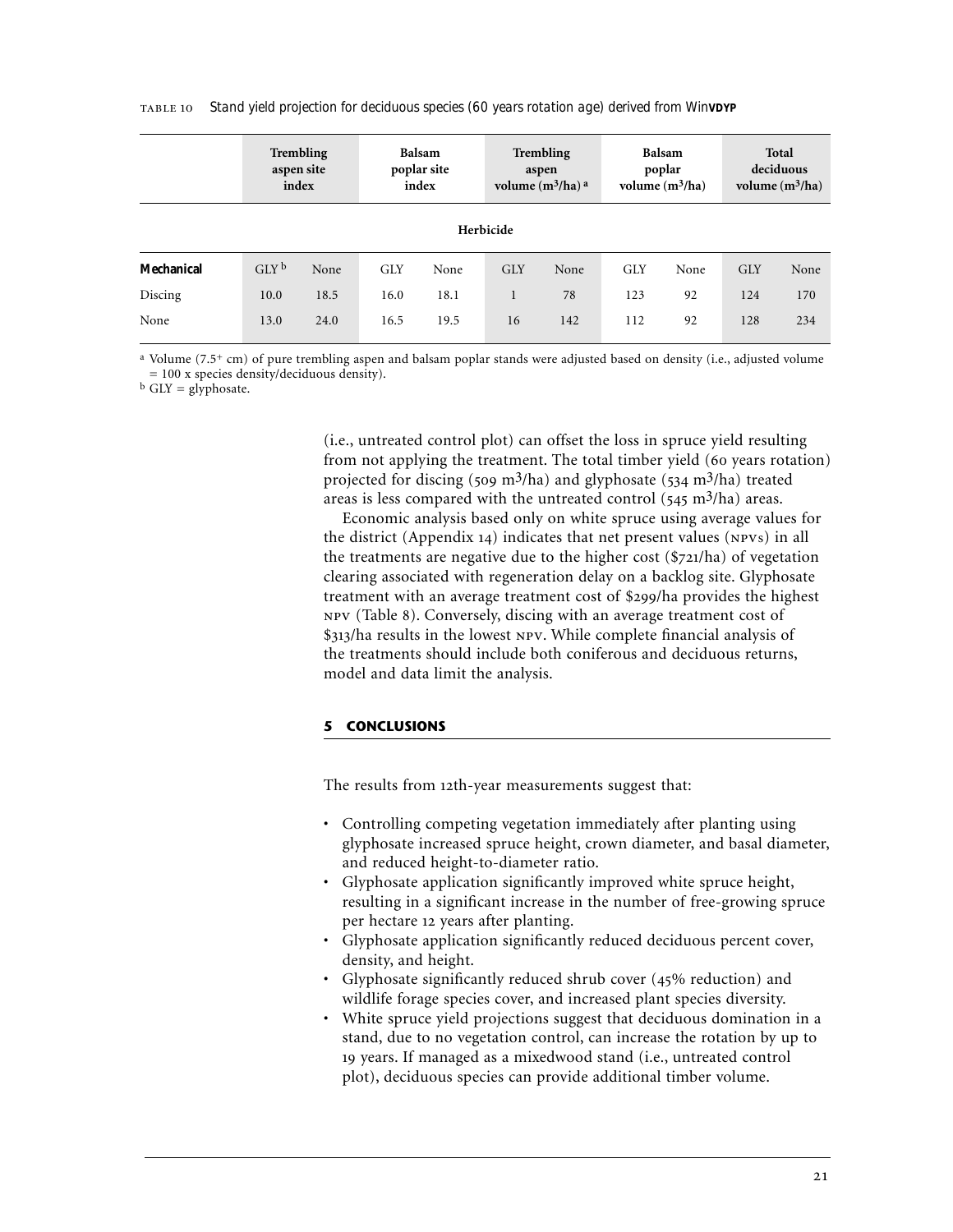|            | aspen site<br>index | <b>Trembling</b> |            | Balsam<br>poplar site<br>index |            | <b>Trembling</b><br>aspen<br>volume $(m^3/ha)$ <sup>a</sup> |            | Balsam<br>poplar<br>volume $(m^3/ha)$ | Total<br>deciduous<br>volume $(m^3/ha)$ |      |  |
|------------|---------------------|------------------|------------|--------------------------------|------------|-------------------------------------------------------------|------------|---------------------------------------|-----------------------------------------|------|--|
| Herbicide  |                     |                  |            |                                |            |                                                             |            |                                       |                                         |      |  |
| Mechanical | $GLY^b$             | None             | <b>GLY</b> | None                           | <b>GLY</b> | None                                                        | <b>GLY</b> | None                                  | <b>GLY</b>                              | None |  |
| Discing    | 10.0                | 18.5             | 16.0       | 18.1                           | 1          | 78                                                          | 123        | 92                                    | 124                                     | 170  |  |
| None       | 13.0                | 24.0             | 16.5       | 19.5                           | 16         | 142                                                         | 112        | 92                                    | 128                                     | 234  |  |

*Stand yield projection for deciduous species (60 years rotation age) derived from WinVDYP*

a Volume (7.5+ cm) of pure trembling aspen and balsam poplar stands were adjusted based on density (i.e., adjusted volume = 100 x species density/deciduous density).

 $b$  GLY = glyphosate.

(i.e., untreated control plot) can offset the loss in spruce yield resulting from not applying the treatment. The total timber yield (60 years rotation) projected for discing (509 m<sup>3</sup>/ha) and glyphosate (534 m<sup>3</sup>/ha) treated areas is less compared with the untreated control  $(545 \text{ m}^3/\text{ha})$  areas.

Economic analysis based only on white spruce using average values for the district (Appendix  $14$ ) indicates that net present values ( $NPVS$ ) in all the treatments are negative due to the higher cost  $(\frac{21}{h})$  of vegetation clearing associated with regeneration delay on a backlog site. Glyphosate treatment with an average treatment cost of \$299/ha provides the highest NPV (Table 8). Conversely, discing with an average treatment cost of \$313/ha results in the lowest NPV. While complete financial analysis of the treatments should include both coniferous and deciduous returns, model and data limit the analysis.

## **5 CONCLUSIONS**

The results from 12th-year measurements suggest that:

- Controlling competing vegetation immediately after planting using glyphosate increased spruce height, crown diameter, and basal diameter, and reduced height-to-diameter ratio.
- Glyphosate application significantly improved white spruce height, resulting in a significant increase in the number of free-growing spruce per hectare 12 years after planting.
- Glyphosate application significantly reduced deciduous percent cover, density, and height.
- Glyphosate significantly reduced shrub cover (45% reduction) and wildlife forage species cover, and increased plant species diversity.
- White spruce yield projections suggest that deciduous domination in a stand, due to no vegetation control, can increase the rotation by up to 19 years. If managed as a mixedwood stand (i.e., untreated control plot), deciduous species can provide additional timber volume.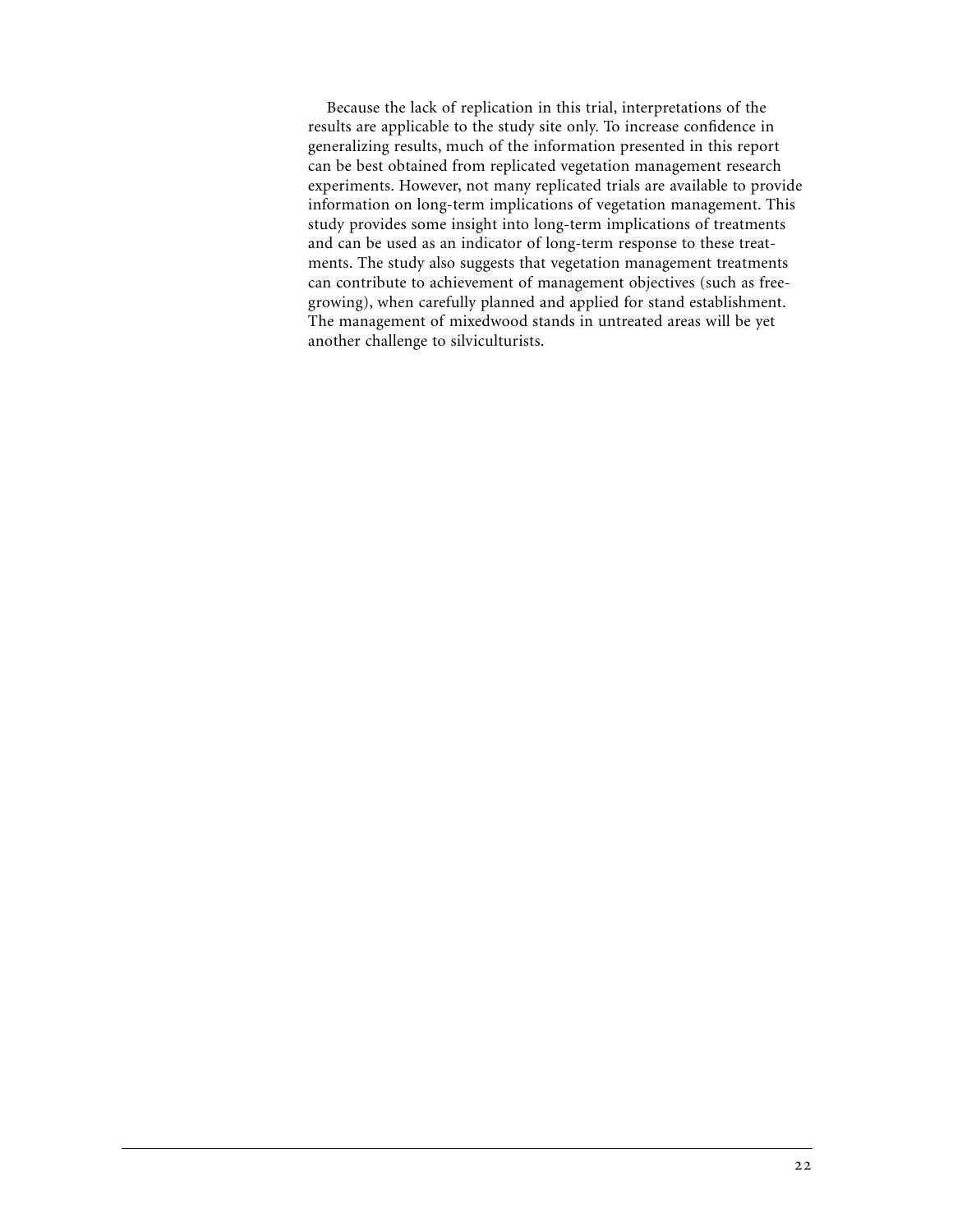Because the lack of replication in this trial, interpretations of the results are applicable to the study site only. To increase confidence in generalizing results, much of the information presented in this report can be best obtained from replicated vegetation management research experiments. However, not many replicated trials are available to provide information on long-term implications of vegetation management. This study provides some insight into long-term implications of treatments and can be used as an indicator of long-term response to these treatments. The study also suggests that vegetation management treatments can contribute to achievement of management objectives (such as freegrowing), when carefully planned and applied for stand establishment. The management of mixedwood stands in untreated areas will be yet another challenge to silviculturists.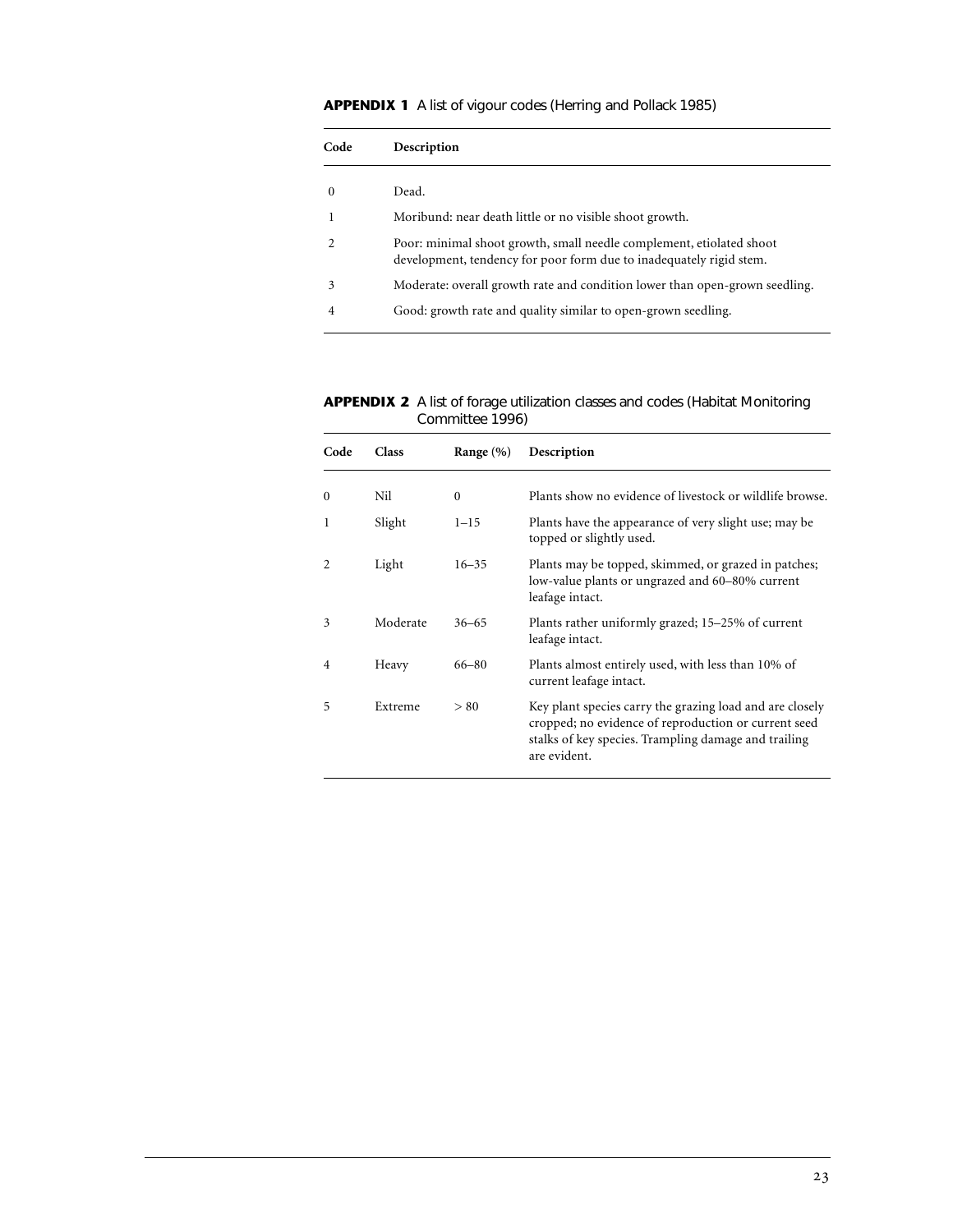# **APPENDIX 1** A list of vigour codes (Herring and Pollack 1985)

| Code     | Description                                                                                                                                 |
|----------|---------------------------------------------------------------------------------------------------------------------------------------------|
| $\Omega$ | Dead.                                                                                                                                       |
|          | Moribund: near death little or no visible shoot growth.                                                                                     |
|          | Poor: minimal shoot growth, small needle complement, etiolated shoot<br>development, tendency for poor form due to inadequately rigid stem. |
| 3        | Moderate: overall growth rate and condition lower than open-grown seedling.                                                                 |
| 4        | Good: growth rate and quality similar to open-grown seedling.                                                                               |
|          |                                                                                                                                             |

**APPENDIX 2** A list of forage utilization classes and codes (Habitat Monitoring Committee 1996)

| Code          | Class    | Range $(\% )$ | Description                                                                                                                                                                              |
|---------------|----------|---------------|------------------------------------------------------------------------------------------------------------------------------------------------------------------------------------------|
| $\mathbf{0}$  | Nil      | $\mathbf{0}$  | Plants show no evidence of livestock or wildlife browse.                                                                                                                                 |
| 1             | Slight   | $1 - 15$      | Plants have the appearance of very slight use; may be<br>topped or slightly used.                                                                                                        |
| $\mathcal{L}$ | Light    | $16 - 35$     | Plants may be topped, skimmed, or grazed in patches;<br>low-value plants or ungrazed and 60–80% current<br>leafage intact.                                                               |
| 3             | Moderate | $36 - 65$     | Plants rather uniformly grazed; 15–25% of current<br>leafage intact.                                                                                                                     |
| 4             | Heavy    | $66 - 80$     | Plants almost entirely used, with less than 10% of<br>current leafage intact.                                                                                                            |
| 5             | Extreme  | > 80          | Key plant species carry the grazing load and are closely<br>cropped; no evidence of reproduction or current seed<br>stalks of key species. Trampling damage and trailing<br>are evident. |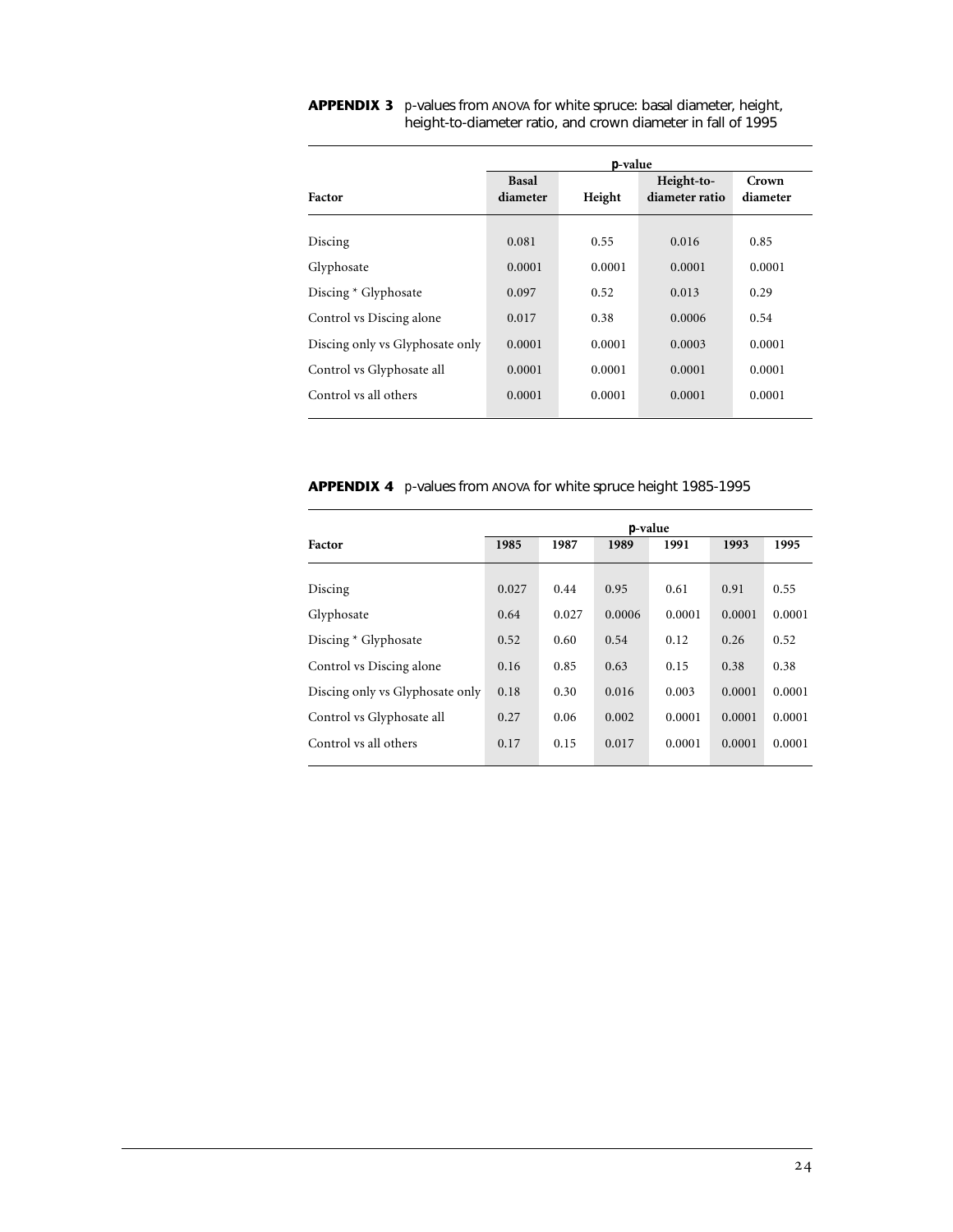|                                 | <i>p</i> -value          |        |                              |                   |  |  |  |  |  |  |
|---------------------------------|--------------------------|--------|------------------------------|-------------------|--|--|--|--|--|--|
| Factor                          | <b>Basal</b><br>diameter | Height | Height-to-<br>diameter ratio | Crown<br>diameter |  |  |  |  |  |  |
| Discing                         | 0.081                    | 0.55   | 0.016                        | 0.85              |  |  |  |  |  |  |
| Glyphosate                      | 0.0001                   | 0.0001 | 0.0001                       | 0.0001            |  |  |  |  |  |  |
| Discing * Glyphosate            | 0.097                    | 0.52   | 0.013                        | 0.29              |  |  |  |  |  |  |
| Control vs Discing alone        | 0.017                    | 0.38   | 0.0006                       | 0.54              |  |  |  |  |  |  |
| Discing only vs Glyphosate only | 0.0001                   | 0.0001 | 0.0003                       | 0.0001            |  |  |  |  |  |  |
| Control vs Glyphosate all       | 0.0001                   | 0.0001 | 0.0001                       | 0.0001            |  |  |  |  |  |  |
| Control vs all others           | 0.0001                   | 0.0001 | 0.0001                       | 0.0001            |  |  |  |  |  |  |

**APPENDIX 3** *p*-values from ANOVA for white spruce: basal diameter, height, height-to-diameter ratio, and crown diameter in fall of 1995

**APPENDIX 4** *p*-values from ANOVA for white spruce height 1985-1995

|                                 | <i>p</i> -value |       |        |        |        |        |  |  |  |
|---------------------------------|-----------------|-------|--------|--------|--------|--------|--|--|--|
| Factor                          | 1985            | 1987  | 1989   | 1991   | 1993   | 1995   |  |  |  |
| Discing                         | 0.027           | 0.44  | 0.95   | 0.61   | 0.91   | 0.55   |  |  |  |
| Glyphosate                      | 0.64            | 0.027 | 0.0006 | 0.0001 | 0.0001 | 0.0001 |  |  |  |
| Discing * Glyphosate            | 0.52            | 0.60  | 0.54   | 0.12   | 0.26   | 0.52   |  |  |  |
| Control vs Discing alone        | 0.16            | 0.85  | 0.63   | 0.15   | 0.38   | 0.38   |  |  |  |
| Discing only vs Glyphosate only | 0.18            | 0.30  | 0.016  | 0.003  | 0.0001 | 0.0001 |  |  |  |
| Control vs Glyphosate all       | 0.27            | 0.06  | 0.002  | 0.0001 | 0.0001 | 0.0001 |  |  |  |
| Control vs all others           | 0.17            | 0.15  | 0.017  | 0.0001 | 0.0001 | 0.0001 |  |  |  |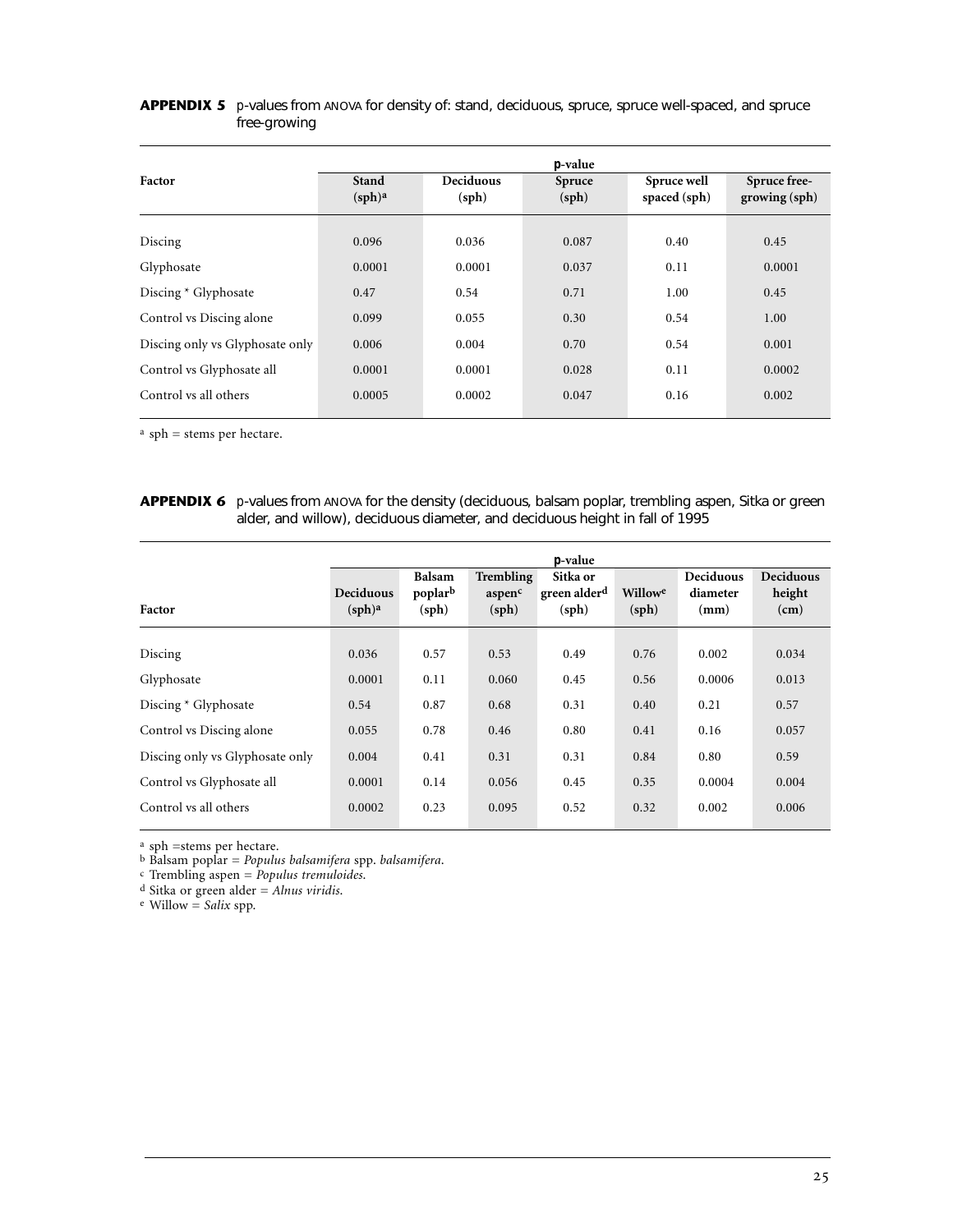## APPENDIX 5 *p*-values from ANOVA for density of: stand, deciduous, spruce, spruce well-spaced, and spruce free-growing

|                                 | <i>p</i> -value                    |                           |                 |                             |                                                   |  |  |  |  |  |
|---------------------------------|------------------------------------|---------------------------|-----------------|-----------------------------|---------------------------------------------------|--|--|--|--|--|
| Factor                          | <b>Stand</b><br>(sph) <sup>a</sup> | <b>Deciduous</b><br>(sph) | Spruce<br>(sph) | Spruce well<br>spaced (sph) | Spruce free-<br>$\gamma$ growing $(\mathrm{sph})$ |  |  |  |  |  |
| Discing                         | 0.096                              | 0.036                     | 0.087           | 0.40                        | 0.45                                              |  |  |  |  |  |
| Glyphosate                      | 0.0001                             | 0.0001                    | 0.037           | 0.11                        | 0.0001                                            |  |  |  |  |  |
| Discing * Glyphosate            | 0.47                               | 0.54                      | 0.71            | 1.00                        | 0.45                                              |  |  |  |  |  |
| Control vs Discing alone        | 0.099                              | 0.055                     | 0.30            | 0.54                        | 1.00                                              |  |  |  |  |  |
| Discing only vs Glyphosate only | 0.006                              | 0.004                     | 0.70            | 0.54                        | 0.001                                             |  |  |  |  |  |
| Control vs Glyphosate all       | 0.0001                             | 0.0001                    | 0.028           | 0.11                        | 0.0002                                            |  |  |  |  |  |
| Control vs all others           | 0.0005                             | 0.0002                    | 0.047           | 0.16                        | 0.002                                             |  |  |  |  |  |

a sph = stems per hectare.

APPENDIX 6 *p*-values from ANOVA for the density (deciduous, balsam poplar, trembling aspen, Sitka or green alder, and willow), deciduous diameter, and deciduous height in fall of 1995

|                                 |                                 | <i>p</i> -value                   |                              |                                               |                  |                                      |                                    |  |  |  |
|---------------------------------|---------------------------------|-----------------------------------|------------------------------|-----------------------------------------------|------------------|--------------------------------------|------------------------------------|--|--|--|
| Factor                          | Deciduous<br>(sph) <sup>a</sup> | <b>Balsam</b><br>poplarb<br>(sph) | Trembling<br>aspenc<br>(sph) | Sitka or<br>green alder <sup>d</sup><br>(sph) | Willowe<br>(sph) | <b>Deciduous</b><br>diameter<br>(mm) | <b>Deciduous</b><br>height<br>(cm) |  |  |  |
| Discing                         | 0.036                           | 0.57                              | 0.53                         | 0.49                                          | 0.76             | 0.002                                | 0.034                              |  |  |  |
| Glyphosate                      | 0.0001                          | 0.11                              | 0.060                        | 0.45                                          | 0.56             | 0.0006                               | 0.013                              |  |  |  |
| Discing * Glyphosate            | 0.54                            | 0.87                              | 0.68                         | 0.31                                          | 0.40             | 0.21                                 | 0.57                               |  |  |  |
| Control vs Discing alone        | 0.055                           | 0.78                              | 0.46                         | 0.80                                          | 0.41             | 0.16                                 | 0.057                              |  |  |  |
| Discing only vs Glyphosate only | 0.004                           | 0.41                              | 0.31                         | 0.31                                          | 0.84             | 0.80                                 | 0.59                               |  |  |  |
| Control vs Glyphosate all       | 0.0001                          | 0.14                              | 0.056                        | 0.45                                          | 0.35             | 0.0004                               | 0.004                              |  |  |  |
| Control vs all others           | 0.0002                          | 0.23                              | 0.095                        | 0.52                                          | 0.32             | 0.002                                | 0.006                              |  |  |  |

a sph =stems per hectare.

b Balsam poplar = *Populus balsamifera* spp. *balsamifera*.

c Trembling aspen = *Populus tremuloides*.

d Sitka or green alder = *Alnus viridis*.

e Willow = *Salix* spp.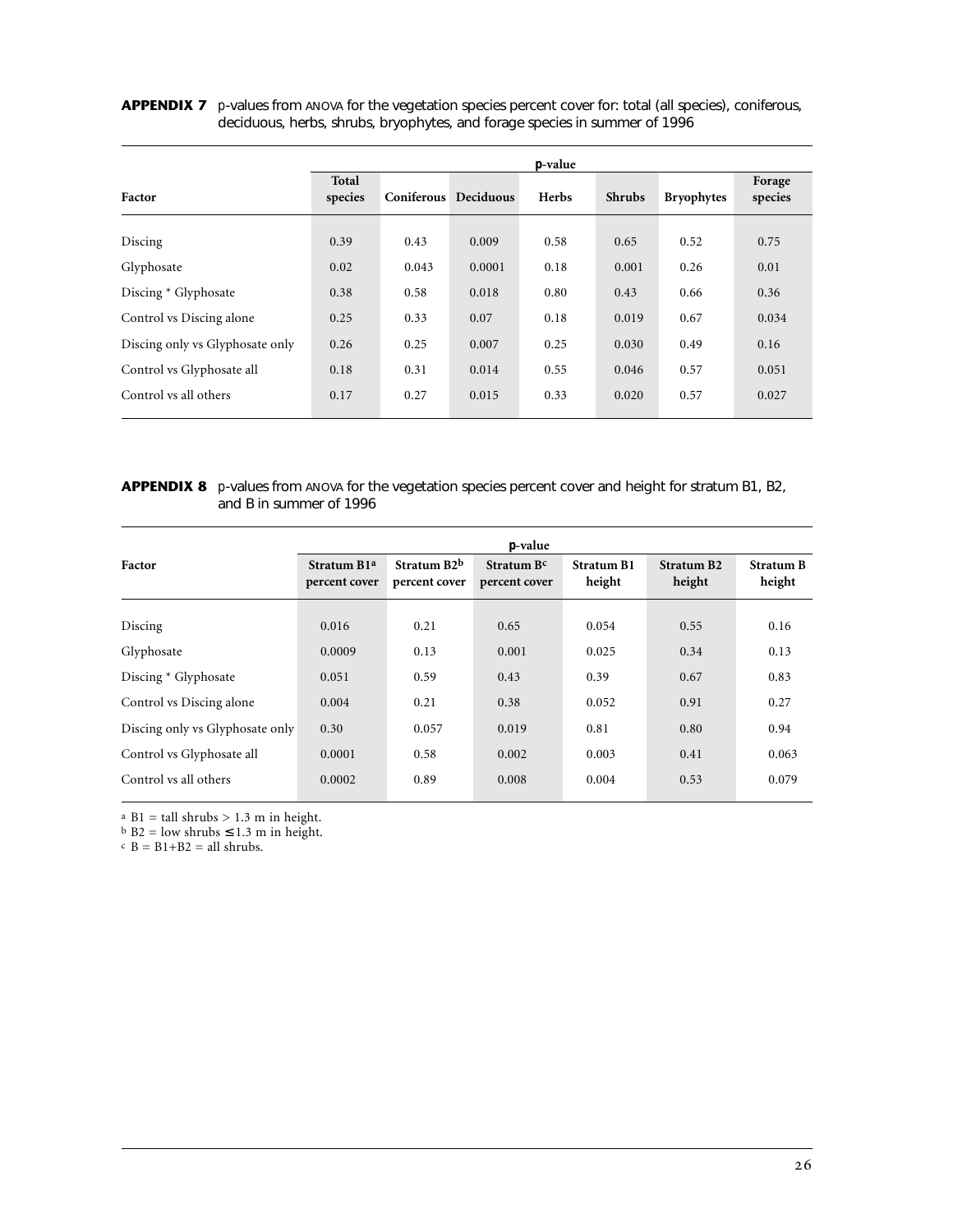## APPENDIX 7 *p*-values from ANOVA for the vegetation species percent cover for: total (all species), coniferous, deciduous, herbs, shrubs, bryophytes, and forage species in summer of 1996

|                                 | <i>p</i> -value  |       |                      |       |               |                   |                   |  |
|---------------------------------|------------------|-------|----------------------|-------|---------------|-------------------|-------------------|--|
| Factor                          | Total<br>species |       | Coniferous Deciduous | Herbs | <b>Shrubs</b> | <b>Bryophytes</b> | Forage<br>species |  |
| Discing                         | 0.39             | 0.43  | 0.009                | 0.58  | 0.65          | 0.52              | 0.75              |  |
| Glyphosate                      | 0.02             | 0.043 | 0.0001               | 0.18  | 0.001         | 0.26              | 0.01              |  |
| Discing * Glyphosate            | 0.38             | 0.58  | 0.018                | 0.80  | 0.43          | 0.66              | 0.36              |  |
| Control vs Discing alone        | 0.25             | 0.33  | 0.07                 | 0.18  | 0.019         | 0.67              | 0.034             |  |
| Discing only vs Glyphosate only | 0.26             | 0.25  | 0.007                | 0.25  | 0.030         | 0.49              | 0.16              |  |
| Control vs Glyphosate all       | 0.18             | 0.31  | 0.014                | 0.55  | 0.046         | 0.57              | 0.051             |  |
| Control vs all others           | 0.17             | 0.27  | 0.015                | 0.33  | 0.020         | 0.57              | 0.027             |  |

## **APPENDIX 8** *p*-values from ANOVA for the vegetation species percent cover and height for stratum B1, B2, and B in summer of 1996

|                                 | <i>p</i> -value                           |                                           |                             |                             |                                  |                            |  |  |  |  |
|---------------------------------|-------------------------------------------|-------------------------------------------|-----------------------------|-----------------------------|----------------------------------|----------------------------|--|--|--|--|
| Factor                          | Stratum B <sub>1</sub> a<br>percent cover | Stratum B <sub>2</sub> b<br>percent cover | Stratum Bc<br>percent cover | <b>Stratum B1</b><br>height | Stratum B <sub>2</sub><br>height | <b>Stratum B</b><br>height |  |  |  |  |
| Discing                         | 0.016                                     | 0.21                                      | 0.65                        | 0.054                       | 0.55                             | 0.16                       |  |  |  |  |
| Glyphosate                      | 0.0009                                    | 0.13                                      | 0.001                       | 0.025                       | 0.34                             | 0.13                       |  |  |  |  |
| Discing * Glyphosate            | 0.051                                     | 0.59                                      | 0.43                        | 0.39                        | 0.67                             | 0.83                       |  |  |  |  |
| Control vs Discing alone        | 0.004                                     | 0.21                                      | 0.38                        | 0.052                       | 0.91                             | 0.27                       |  |  |  |  |
| Discing only vs Glyphosate only | 0.30                                      | 0.057                                     | 0.019                       | 0.81                        | 0.80                             | 0.94                       |  |  |  |  |
| Control vs Glyphosate all       | 0.0001                                    | 0.58                                      | 0.002                       | 0.003                       | 0.41                             | 0.063                      |  |  |  |  |
| Control vs all others           | 0.0002                                    | 0.89                                      | 0.008                       | 0.004                       | 0.53                             | 0.079                      |  |  |  |  |

a B1 = tall shrubs > 1.3 m in height.

 $b$  B2 = low shrubs  $\leq 1.3$  m in height.

 $B = B1+B2 = all shrubs.$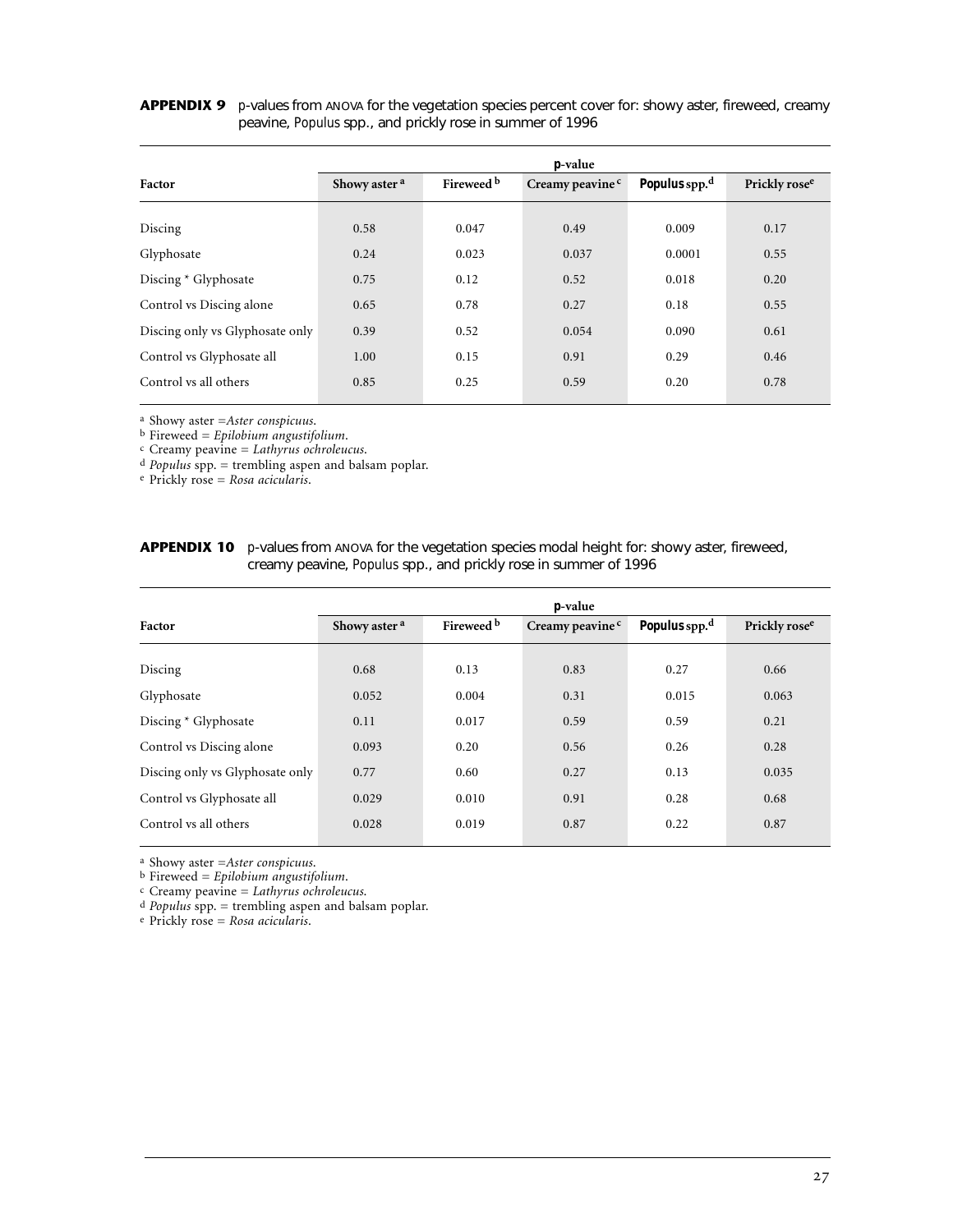## APPENDIX 9 *p*-values from ANOVA for the vegetation species percent cover for: showy aster, fireweed, creamy peavine, *Populus* spp., and prickly rose in summer of 1996

|                                 | <i>p</i> -value          |            |                             |                           |                           |  |
|---------------------------------|--------------------------|------------|-----------------------------|---------------------------|---------------------------|--|
| Factor                          | Showy aster <sup>a</sup> | Fireweed b | Creamy peavine <sup>c</sup> | Populus spp. <sup>d</sup> | Prickly rose <sup>e</sup> |  |
| Discing                         | 0.58                     | 0.047      | 0.49                        | 0.009                     | 0.17                      |  |
| Glyphosate                      | 0.24                     | 0.023      | 0.037                       | 0.0001                    | 0.55                      |  |
| Discing * Glyphosate            | 0.75                     | 0.12       | 0.52                        | 0.018                     | 0.20                      |  |
| Control vs Discing alone        | 0.65                     | 0.78       | 0.27                        | 0.18                      | 0.55                      |  |
| Discing only vs Glyphosate only | 0.39                     | 0.52       | 0.054                       | 0.090                     | 0.61                      |  |
| Control vs Glyphosate all       | 1.00                     | 0.15       | 0.91                        | 0.29                      | 0.46                      |  |
| Control vs all others           | 0.85                     | 0.25       | 0.59                        | 0.20                      | 0.78                      |  |

a Showy aster =*Aster conspicuus*.

b Fireweed = *Epilobium angustifolium*.

c Creamy peavine = *Lathyrus ochroleucus*.

d *Populus* spp. = trembling aspen and balsam poplar.

e Prickly rose = *Rosa acicularis*.

| <b>APPENDIX 10</b> <i>p</i> -values from ANOVA for the vegetation species modal height for: showy aster, fireweed, |
|--------------------------------------------------------------------------------------------------------------------|
| creamy peavine, <i>Populus</i> spp., and prickly rose in summer of 1996                                            |

|                                 | <i>p</i> -value          |            |                             |                           |                           |  |  |
|---------------------------------|--------------------------|------------|-----------------------------|---------------------------|---------------------------|--|--|
| Factor                          | Showy aster <sup>a</sup> | Fireweed b | Creamy peavine <sup>c</sup> | Populus spp. <sup>d</sup> | Prickly rose <sup>e</sup> |  |  |
| Discing                         | 0.68                     | 0.13       | 0.83                        | 0.27                      | 0.66                      |  |  |
| Glyphosate                      | 0.052                    | 0.004      | 0.31                        | 0.015                     | 0.063                     |  |  |
| Discing * Glyphosate            | 0.11                     | 0.017      | 0.59                        | 0.59                      | 0.21                      |  |  |
| Control vs Discing alone        | 0.093                    | 0.20       | 0.56                        | 0.26                      | 0.28                      |  |  |
| Discing only vs Glyphosate only | 0.77                     | 0.60       | 0.27                        | 0.13                      | 0.035                     |  |  |
| Control vs Glyphosate all       | 0.029                    | 0.010      | 0.91                        | 0.28                      | 0.68                      |  |  |
| Control vs all others           | 0.028                    | 0.019      | 0.87                        | 0.22                      | 0.87                      |  |  |

a Showy aster =*Aster conspicuus*.

b Fireweed = *Epilobium angustifolium*.

c Creamy peavine = *Lathyrus ochroleucus*.

d *Populus* spp. = trembling aspen and balsam poplar.

e Prickly rose = *Rosa acicularis*.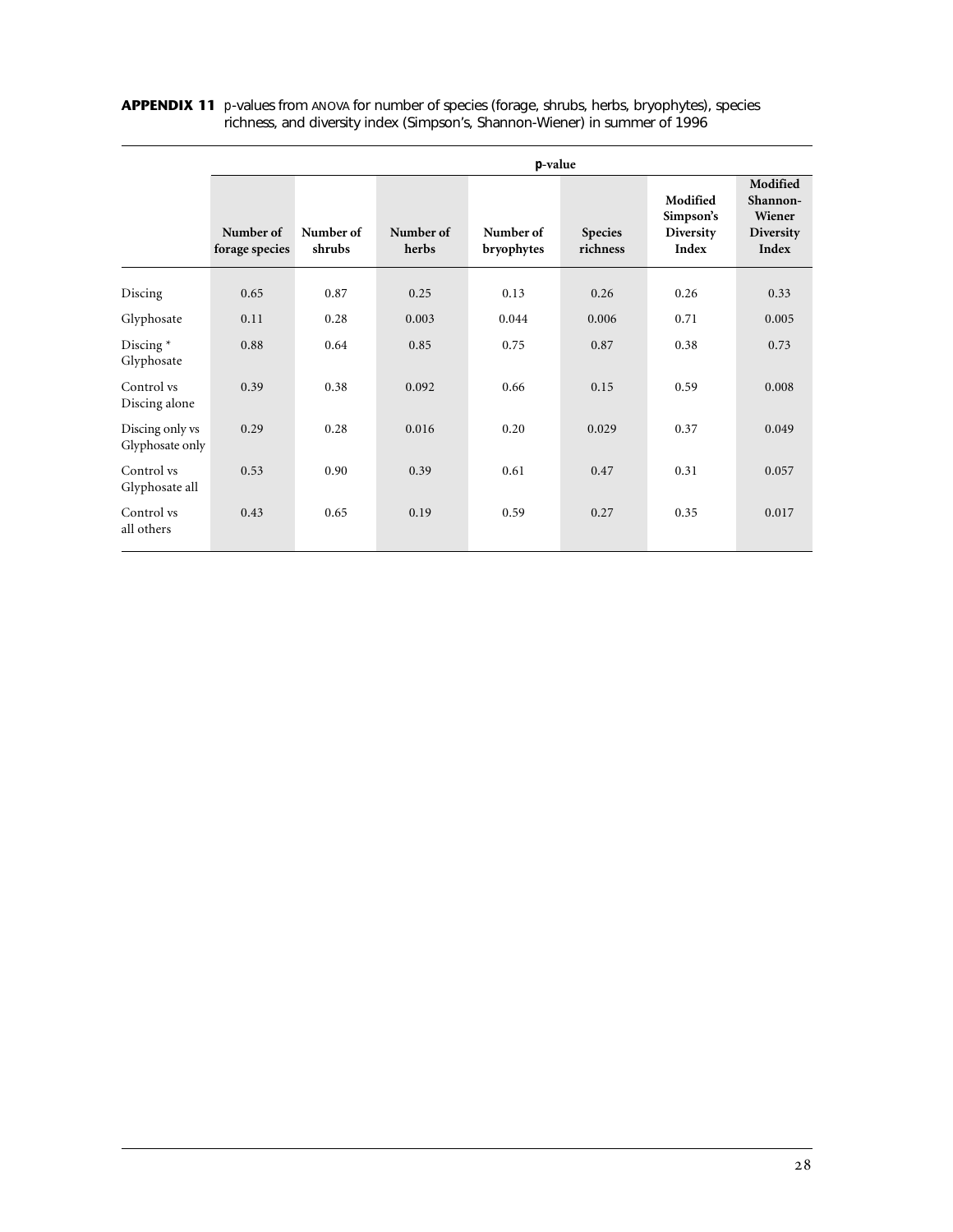|                                    | $p$ -value                  |                     |                    |                         |                            |                                             |                                                      |
|------------------------------------|-----------------------------|---------------------|--------------------|-------------------------|----------------------------|---------------------------------------------|------------------------------------------------------|
|                                    | Number of<br>forage species | Number of<br>shrubs | Number of<br>herbs | Number of<br>bryophytes | <b>Species</b><br>richness | Modified<br>Simpson's<br>Diversity<br>Index | Modified<br>Shannon-<br>Wiener<br>Diversity<br>Index |
| Discing                            | 0.65                        | 0.87                | 0.25               | 0.13                    | 0.26                       | 0.26                                        | 0.33                                                 |
| Glyphosate                         | 0.11                        | 0.28                | 0.003              | 0.044                   | 0.006                      | 0.71                                        | 0.005                                                |
| Discing $*$<br>Glyphosate          | 0.88                        | 0.64                | 0.85               | 0.75                    | 0.87                       | 0.38                                        | 0.73                                                 |
| Control vs<br>Discing alone        | 0.39                        | 0.38                | 0.092              | 0.66                    | 0.15                       | 0.59                                        | 0.008                                                |
| Discing only vs<br>Glyphosate only | 0.29                        | 0.28                | 0.016              | 0.20                    | 0.029                      | 0.37                                        | 0.049                                                |
| Control vs<br>Glyphosate all       | 0.53                        | 0.90                | 0.39               | 0.61                    | 0.47                       | 0.31                                        | 0.057                                                |
| Control vs<br>all others           | 0.43                        | 0.65                | 0.19               | 0.59                    | 0.27                       | 0.35                                        | 0.017                                                |

## **APPENDIX 11** *p*-values from ANOVA for number of species (forage, shrubs, herbs, bryophytes), species richness, and diversity index (Simpson's, Shannon-Wiener) in summer of 1996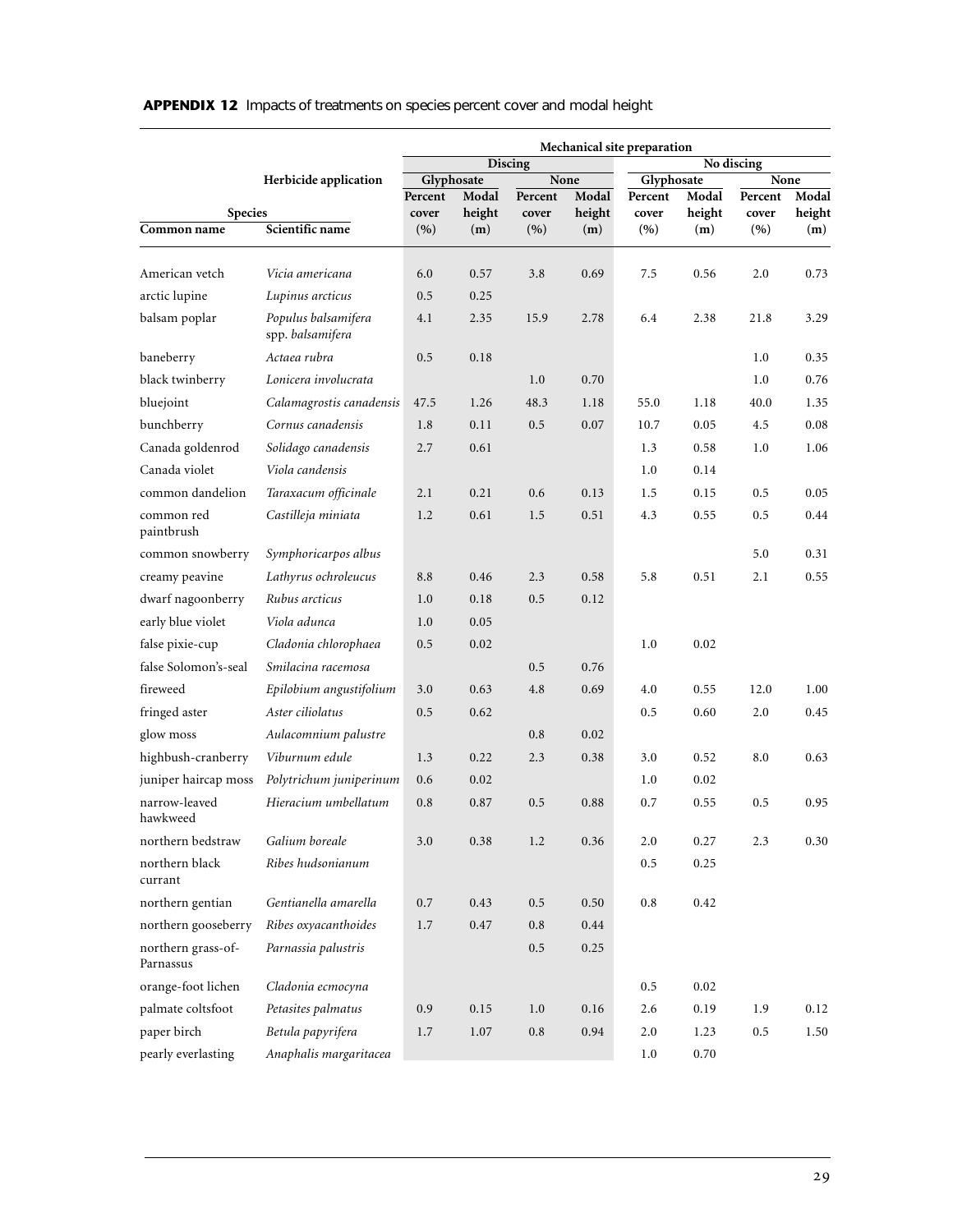|                                 |                                         | Mechanical site preparation |                     |         |               |                       |        |                 |        |
|---------------------------------|-----------------------------------------|-----------------------------|---------------------|---------|---------------|-----------------------|--------|-----------------|--------|
|                                 |                                         |                             | Discing             |         |               | No discing            |        |                 |        |
|                                 | Herbicide application                   | Percent                     | Glyphosate<br>Modal | Percent | None<br>Modal | Glyphosate<br>Percent | Modal  | None<br>Percent | Modal  |
| <b>Species</b>                  |                                         | cover                       | height              | cover   | height        | cover                 | height | cover           | height |
| Common name                     | Scientific name                         | (9)                         | (m)                 | (9)     | (m)           | (%)                   | (m)    | (9)             | (m)    |
| American vetch                  | Vicia americana                         | 6.0                         | 0.57                | 3.8     | 0.69          | 7.5                   | 0.56   | 2.0             | 0.73   |
| arctic lupine                   | Lupinus arcticus                        | 0.5                         | 0.25                |         |               |                       |        |                 |        |
| balsam poplar                   | Populus balsamifera<br>spp. balsamifera | 4.1                         | 2.35                | 15.9    | 2.78          | 6.4                   | 2.38   | 21.8            | 3.29   |
| baneberry                       | Actaea rubra                            | 0.5                         | 0.18                |         |               |                       |        | 1.0             | 0.35   |
| black twinberry                 | Lonicera involucrata                    |                             |                     | 1.0     | 0.70          |                       |        | 1.0             | 0.76   |
| bluejoint                       | Calamagrostis canadensis                | 47.5                        | 1.26                | 48.3    | 1.18          | 55.0                  | 1.18   | 40.0            | 1.35   |
| bunchberry                      | Cornus canadensis                       | 1.8                         | 0.11                | 0.5     | 0.07          | 10.7                  | 0.05   | 4.5             | 0.08   |
| Canada goldenrod                | Solidago canadensis                     | 2.7                         | 0.61                |         |               | 1.3                   | 0.58   | 1.0             | 1.06   |
| Canada violet                   | Viola candensis                         |                             |                     |         |               | 1.0                   | 0.14   |                 |        |
| common dandelion                | Taraxacum officinale                    | 2.1                         | 0.21                | 0.6     | 0.13          | 1.5                   | 0.15   | 0.5             | 0.05   |
| common red<br>paintbrush        | Castilleja miniata                      | 1.2                         | 0.61                | 1.5     | 0.51          | 4.3                   | 0.55   | 0.5             | 0.44   |
| common snowberry                | Symphoricarpos albus                    |                             |                     |         |               |                       |        | 5.0             | 0.31   |
| creamy peavine                  | Lathyrus ochroleucus                    | 8.8                         | 0.46                | 2.3     | 0.58          | 5.8                   | 0.51   | 2.1             | 0.55   |
| dwarf nagoonberry               | Rubus arcticus                          | 1.0                         | 0.18                | 0.5     | 0.12          |                       |        |                 |        |
| early blue violet               | Viola adunca                            | 1.0                         | 0.05                |         |               |                       |        |                 |        |
| false pixie-cup                 | Cladonia chlorophaea                    | 0.5                         | 0.02                |         |               | 1.0                   | 0.02   |                 |        |
| false Solomon's-seal            | Smilacina racemosa                      |                             |                     | 0.5     | 0.76          |                       |        |                 |        |
| fireweed                        | Epilobium angustifolium                 | 3.0                         | 0.63                | 4.8     | 0.69          | 4.0                   | 0.55   | 12.0            | 1.00   |
| fringed aster                   | Aster ciliolatus                        | 0.5                         | 0.62                |         |               | 0.5                   | 0.60   | 2.0             | 0.45   |
| glow moss                       | Aulacomnium palustre                    |                             |                     | 0.8     | 0.02          |                       |        |                 |        |
| highbush-cranberry              | Viburnum edule                          | 1.3                         | 0.22                | 2.3     | 0.38          | 3.0                   | 0.52   | 8.0             | 0.63   |
| juniper haircap moss            | Polytrichum juniperinum                 | 0.6                         | 0.02                |         |               | 1.0                   | 0.02   |                 |        |
| narrow-leaved<br>hawkweed       | Hieracium umbellatum                    | 0.8                         | 0.87                | 0.5     | 0.88          | 0.7                   | 0.55   | 0.5             | 0.95   |
| northern bedstraw               | Galium boreale                          | 3.0                         | 0.38                | 1.2     | 0.36          | 2.0                   | 0.27   | 2.3             | 0.30   |
| northern black<br>currant       | Ribes hudsonianum                       |                             |                     |         |               | $0.5\,$               | 0.25   |                 |        |
| northern gentian                | Gentianella amarella                    | 0.7                         | 0.43                | 0.5     | 0.50          | 0.8                   | 0.42   |                 |        |
| northern gooseberry             | Ribes oxyacanthoides                    | 1.7                         | 0.47                | 0.8     | 0.44          |                       |        |                 |        |
| northern grass-of-<br>Parnassus | Parnassia palustris                     |                             |                     | $0.5\,$ | 0.25          |                       |        |                 |        |
| orange-foot lichen              | Cladonia ecmocyna                       |                             |                     |         |               | 0.5                   | 0.02   |                 |        |
| palmate coltsfoot               | Petasites palmatus                      | 0.9                         | 0.15                | 1.0     | 0.16          | 2.6                   | 0.19   | 1.9             | 0.12   |
| paper birch                     | Betula papyrifera                       | 1.7                         | 1.07                | 0.8     | 0.94          | 2.0                   | 1.23   | 0.5             | 1.50   |
| pearly everlasting              | Anaphalis margaritacea                  |                             |                     |         |               | 1.0                   | 0.70   |                 |        |

# **APPENDIX 12** Impacts of treatments on species percent cover and modal height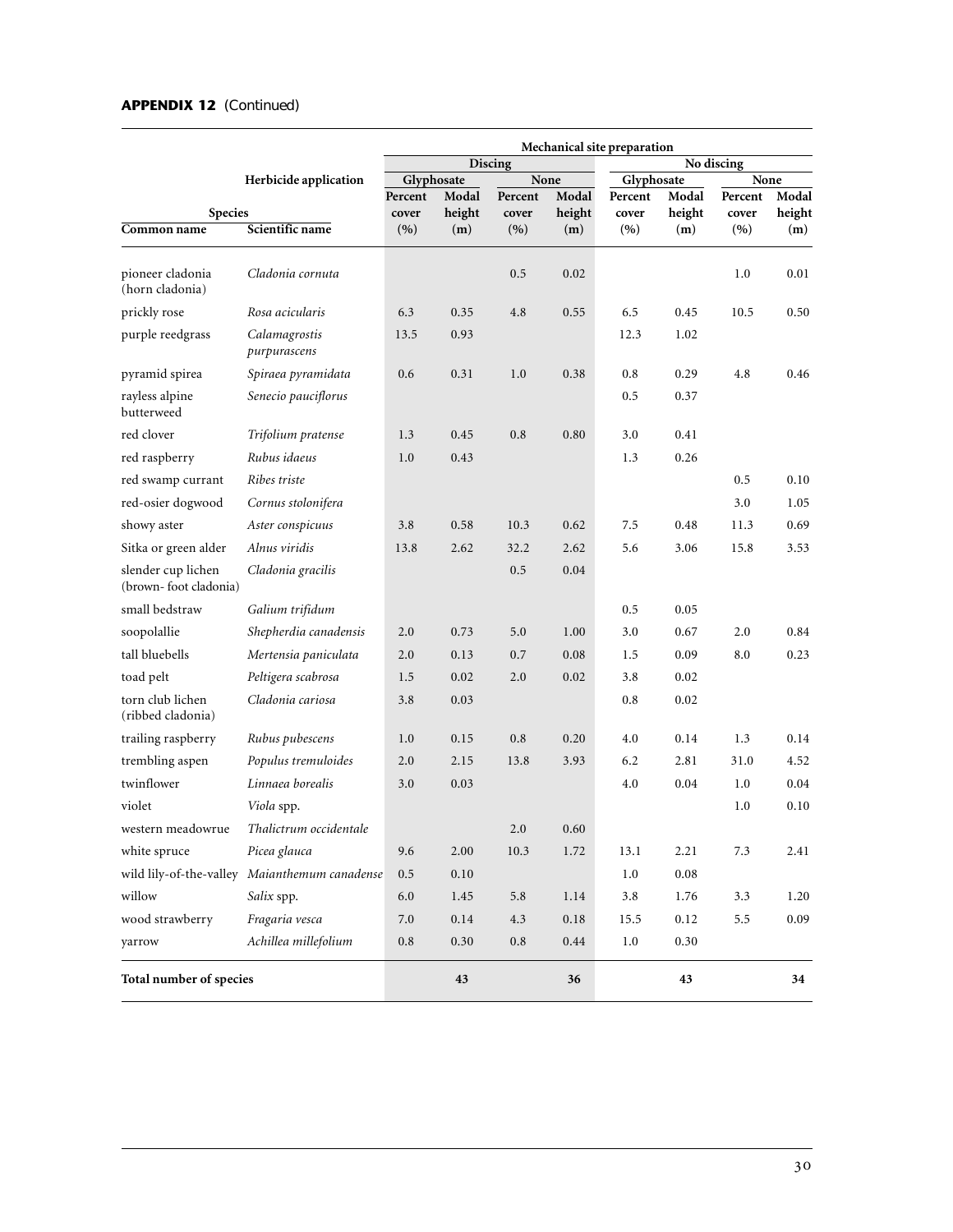# **APPENDIX 12** (Continued)

|                                             | Mechanical site preparation                   |                  |          |           |               |                  |          |                  |        |
|---------------------------------------------|-----------------------------------------------|------------------|----------|-----------|---------------|------------------|----------|------------------|--------|
|                                             |                                               |                  |          | Discing   |               | No discing       |          |                  |        |
|                                             | Herbicide application                         | Glyphosate       | Modal    | Percent   | None<br>Modal | Glyphosate       | Modal    | None             | Modal  |
| <b>Species</b>                              |                                               | Percent<br>cover | height   | cover     | height        | Percent<br>cover | height   | Percent<br>cover | height |
| Common name                                 | Scientific name                               | (9)              | (m)      | (9)       | (m)           | (9)              | (m)      | (9)              | (m)    |
| pioneer cladonia<br>(horn cladonia)         | Cladonia cornuta                              |                  |          | 0.5       | 0.02          |                  |          | 1.0              | 0.01   |
| prickly rose                                | Rosa acicularis                               | 6.3              | 0.35     | 4.8       | 0.55          | 6.5              | 0.45     | 10.5             | 0.50   |
| purple reedgrass                            | Calamagrostis<br>purpurascens                 | 13.5             | 0.93     |           |               | 12.3             | 1.02     |                  |        |
| pyramid spirea                              | Spiraea pyramidata                            | 0.6              | 0.31     | 1.0       | 0.38          | 0.8              | 0.29     | 4.8              | 0.46   |
| rayless alpine<br>butterweed                | Senecio pauciflorus                           |                  |          |           |               | 0.5              | 0.37     |                  |        |
| red clover                                  | Trifolium pratense                            | 1.3              | 0.45     | 0.8       | 0.80          | 3.0              | 0.41     |                  |        |
| red raspberry                               | Rubus idaeus                                  | 1.0              | 0.43     |           |               | 1.3              | 0.26     |                  |        |
| red swamp currant                           | Ribes triste                                  |                  |          |           |               |                  |          | 0.5              | 0.10   |
| red-osier dogwood                           | Cornus stolonifera                            |                  |          |           |               |                  |          | 3.0              | 1.05   |
| showy aster                                 | Aster conspicuus                              | 3.8              | 0.58     | 10.3      | 0.62          | 7.5              | 0.48     | 11.3             | 0.69   |
| Sitka or green alder                        | Alnus viridis                                 | 13.8             | 2.62     | 32.2      | 2.62          | 5.6              | 3.06     | 15.8             | 3.53   |
| slender cup lichen<br>(brown-foot cladonia) | Cladonia gracilis                             |                  |          | 0.5       | 0.04          |                  |          |                  |        |
| small bedstraw                              | Galium trifidum                               |                  |          |           |               | 0.5              | 0.05     |                  |        |
| soopolallie                                 | Shepherdia canadensis                         | 2.0              | 0.73     | 5.0       | 1.00          | 3.0              | 0.67     | 2.0              | 0.84   |
| tall bluebells                              | Mertensia paniculata                          | 2.0              | 0.13     | 0.7       | 0.08          | 1.5              | 0.09     | 8.0              | 0.23   |
| toad pelt                                   | Peltigera scabrosa                            | 1.5              | 0.02     | 2.0       | 0.02          | 3.8              | 0.02     |                  |        |
| torn club lichen<br>(ribbed cladonia)       | Cladonia cariosa                              | 3.8              | 0.03     |           |               | 0.8              | 0.02     |                  |        |
| trailing raspberry                          | Rubus pubescens                               | 1.0              | 0.15     | 0.8       | 0.20          | 4.0              | 0.14     | 1.3              | 0.14   |
| trembling aspen                             | Populus tremuloides                           | 2.0              | 2.15     | 13.8      | 3.93          | 6.2              | 2.81     | 31.0             | 4.52   |
| twinflower                                  | Linnaea borealis                              | 3.0              | 0.03     |           |               | 4.0              | 0.04     | 1.0              | 0.04   |
| violet                                      | Viola spp.                                    |                  |          |           |               |                  |          | $1.0\,$          | 0.10   |
| western meadowrue                           | Thalictrum occidentale                        |                  |          | 2.0       | 0.60          |                  |          |                  |        |
| white spruce                                | Picea glauca                                  | 9.6              | 2.00     | 10.3      | 1.72          | 13.1             | 2.21     | 7.3              | 2.41   |
|                                             | wild lily-of-the-valley Maianthemum canadense | 0.5              | $0.10\,$ |           |               | $1.0\,$          | $0.08\,$ |                  |        |
| willow                                      | Salix spp.                                    | 6.0              | 1.45     | 5.8       | 1.14          | 3.8              | 1.76     | 3.3              | 1.20   |
| wood strawberry                             | Fragaria vesca                                | 7.0              | $0.14\,$ | $4.3\,$   | $0.18\,$      | 15.5             | 0.12     | 5.5              | 0.09   |
| yarrow                                      | Achillea millefolium                          | $\rm 0.8$        | 0.30     | $\rm 0.8$ | 0.44          | 1.0              | 0.30     |                  |        |
| Total number of species                     |                                               |                  | 43       |           | 36            |                  | 43       |                  | 34     |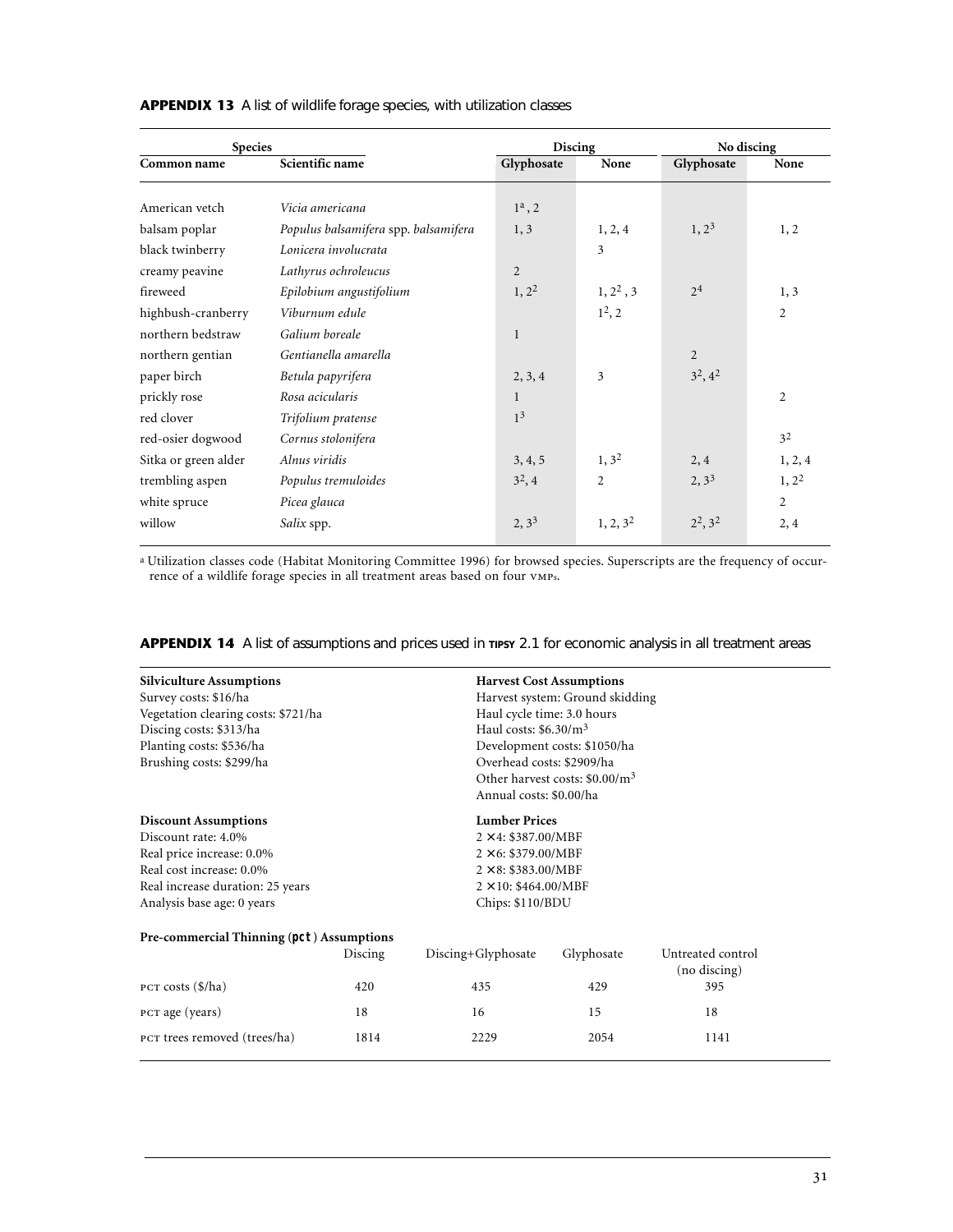| <b>Species</b>       |                                      | <b>Discing</b> |                | No discing     |                |  |
|----------------------|--------------------------------------|----------------|----------------|----------------|----------------|--|
| Common name          | Scientific name                      | Glyphosate     | None           | Glyphosate     | None           |  |
|                      |                                      |                |                |                |                |  |
| American vetch       | Vicia americana                      | $1^a$ , 2      |                |                |                |  |
| balsam poplar        | Populus balsamifera spp. balsamifera | 1, 3           | 1, 2, 4        | $1, 2^3$       | 1, 2           |  |
| black twinberry      | Lonicera involucrata                 |                | 3              |                |                |  |
| creamy peavine       | Lathyrus ochroleucus                 | 2              |                |                |                |  |
| fireweed             | Epilobium angustifolium              | $1, 2^2$       | $1, 2^2, 3$    | 2 <sup>4</sup> | 1, 3           |  |
| highbush-cranberry   | Viburnum edule                       |                | $1^2, 2$       |                | $\overline{2}$ |  |
| northern bedstraw    | Galium boreale                       | 1              |                |                |                |  |
| northern gentian     | Gentianella amarella                 |                |                | $\overline{2}$ |                |  |
| paper birch          | Betula papyrifera                    | 2, 3, 4        | 3              | $3^2, 4^2$     |                |  |
| prickly rose         | Rosa acicularis                      | 1              |                |                | $\overline{2}$ |  |
| red clover           | Trifolium pratense                   | 1 <sup>3</sup> |                |                |                |  |
| red-osier dogwood    | Cornus stolonifera                   |                |                |                | 3 <sup>2</sup> |  |
| Sitka or green alder | Alnus viridis                        | 3, 4, 5        | $1, 3^2$       | 2, 4           | 1, 2, 4        |  |
| trembling aspen      | Populus tremuloides                  | $3^2, 4$       | $\overline{2}$ | $2, 3^3$       | $1, 2^2$       |  |
| white spruce         | Picea glauca                         |                |                |                | $\overline{c}$ |  |
| willow               | Salix spp.                           | $2, 3^3$       | $1, 2, 3^2$    | $2^2$ , $3^2$  | 2, 4           |  |

APPENDIX 13 A list of wildlife forage species, with utilization classes

<sup>a</sup> Utilization classes code (Habitat Monitoring Committee 1996) for browsed species. Superscripts are the frequency of occur-<br>rence of a wildlife forage species in all treatment areas based on four vmps.

| <b>Silviculture Assumptions</b>           |                             |                              | <b>Harvest Cost Assumptions</b>  |                                   |  |  |  |
|-------------------------------------------|-----------------------------|------------------------------|----------------------------------|-----------------------------------|--|--|--|
| Survey costs: \$16/ha                     |                             |                              | Harvest system: Ground skidding  |                                   |  |  |  |
| Vegetation clearing costs: \$721/ha       |                             | Haul cycle time: 3.0 hours   |                                  |                                   |  |  |  |
| Discing costs: \$313/ha                   |                             | Haul costs: $$6.30/m3$       |                                  |                                   |  |  |  |
| Planting costs: \$536/ha                  |                             |                              | Development costs: \$1050/ha     |                                   |  |  |  |
| Brushing costs: \$299/ha                  |                             | Overhead costs: \$2909/ha    |                                  |                                   |  |  |  |
|                                           |                             |                              | Other harvest costs: $$0.00/m^3$ |                                   |  |  |  |
|                                           |                             | Annual costs: \$0.00/ha      |                                  |                                   |  |  |  |
| <b>Discount Assumptions</b>               |                             | <b>Lumber Prices</b>         |                                  |                                   |  |  |  |
| Discount rate: 4.0%                       | $2 \times 4$ : \$387.00/MBF |                              |                                  |                                   |  |  |  |
| Real price increase: 0.0%                 | $2 \times 6$ : \$379.00/MBF |                              |                                  |                                   |  |  |  |
| Real cost increase: 0.0%                  |                             | $2 \times 8$ : \$383.00/MBF  |                                  |                                   |  |  |  |
| Real increase duration: 25 years          |                             | $2 \times 10$ : \$464.00/MBF |                                  |                                   |  |  |  |
| Analysis base age: 0 years                |                             | Chips: \$110/BDU             |                                  |                                   |  |  |  |
| Pre-commercial Thinning (pct) Assumptions |                             |                              |                                  |                                   |  |  |  |
|                                           | Discing                     | Discing+Glyphosate           | Glyphosate                       | Untreated control<br>(no discing) |  |  |  |
| PCT costs $(\frac{1}{2})$ ha)             | 420                         | 435                          | 429                              | 395                               |  |  |  |
| PCT age (years)                           | 18                          | 16                           | 15                               | 18                                |  |  |  |
| PCT trees removed (trees/ha)              | 1814                        | 2229                         | 2054                             | 1141                              |  |  |  |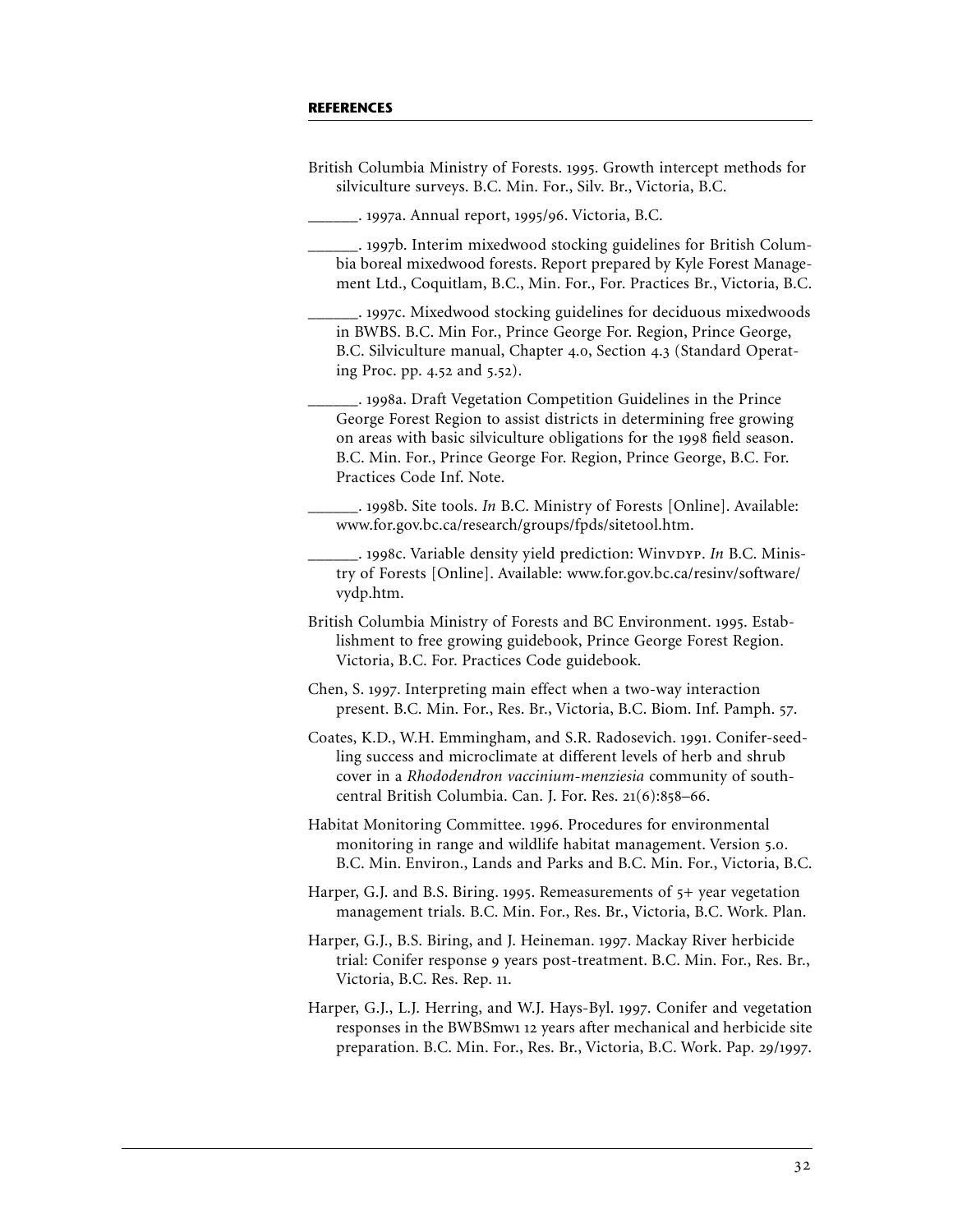# **REFERENCES**

| British Columbia Ministry of Forests. 1995. Growth intercept methods for<br>silviculture surveys. B.C. Min. For., Silv. Br., Victoria, B.C.                                                                                                                                                                             |
|-------------------------------------------------------------------------------------------------------------------------------------------------------------------------------------------------------------------------------------------------------------------------------------------------------------------------|
| ___. 1997a. Annual report, 1995/96. Victoria, B.C.                                                                                                                                                                                                                                                                      |
| __. 1997b. Interim mixedwood stocking guidelines for British Colum-<br>bia boreal mixedwood forests. Report prepared by Kyle Forest Manage-<br>ment Ltd., Coquitlam, B.C., Min. For., For. Practices Br., Victoria, B.C.                                                                                                |
| __. 1997c. Mixedwood stocking guidelines for deciduous mixedwoods<br>in BWBS. B.C. Min For., Prince George For. Region, Prince George,<br>B.C. Silviculture manual, Chapter 4.0, Section 4.3 (Standard Operat-<br>ing Proc. pp. 4.52 and 5.52).                                                                         |
| __. 1998a. Draft Vegetation Competition Guidelines in the Prince<br>George Forest Region to assist districts in determining free growing<br>on areas with basic silviculture obligations for the 1998 field season.<br>B.C. Min. For., Prince George For. Region, Prince George, B.C. For.<br>Practices Code Inf. Note. |
| . 1998b. Site tools. In B.C. Ministry of Forests [Online]. Available:<br>www.for.gov.bc.ca/research/groups/fpds/sitetool.htm.                                                                                                                                                                                           |
| -. 1998c. Variable density yield prediction: WinvDYP. In B.C. Minis-<br>try of Forests [Online]. Available: www.for.gov.bc.ca/resinv/software/<br>vydp.htm.                                                                                                                                                             |
| British Columbia Ministry of Forests and BC Environment. 1995. Estab-<br>lishment to free growing guidebook, Prince George Forest Region.<br>Victoria, B.C. For. Practices Code guidebook.                                                                                                                              |
| Chen, S. 1997. Interpreting main effect when a two-way interaction<br>present. B.C. Min. For., Res. Br., Victoria, B.C. Biom. Inf. Pamph. 57.                                                                                                                                                                           |
| Coates, K.D., W.H. Emmingham, and S.R. Radosevich. 1991. Conifer-seed-<br>ling success and microclimate at different levels of herb and shrub<br>cover in a Rhododendron vaccinium-menziesia community of south-<br>central British Columbia. Can. J. For. Res. 21(6):858-66.                                           |
| Habitat Monitoring Committee. 1996. Procedures for environmental<br>monitoring in range and wildlife habitat management. Version 5.0.<br>B.C. Min. Environ., Lands and Parks and B.C. Min. For., Victoria, B.C.                                                                                                         |
| Harper, G.J. and B.S. Biring. 1995. Remeasurements of 5+ year vegetation<br>management trials. B.C. Min. For., Res. Br., Victoria, B.C. Work. Plan.                                                                                                                                                                     |
| Harper, G.J., B.S. Biring, and J. Heineman. 1997. Mackay River herbicide<br>trial: Conifer response 9 years post-treatment. B.C. Min. For., Res. Br.,<br>Victoria, B.C. Res. Rep. 11.                                                                                                                                   |
| Harper, G.J., L.J. Herring, and W.J. Hays-Byl. 1997. Conifer and vegetation<br>responses in the BWBSmw1 12 years after mechanical and herbicide site<br>preparation. B.C. Min. For., Res. Br., Victoria, B.C. Work. Pap. 29/1997.                                                                                       |
|                                                                                                                                                                                                                                                                                                                         |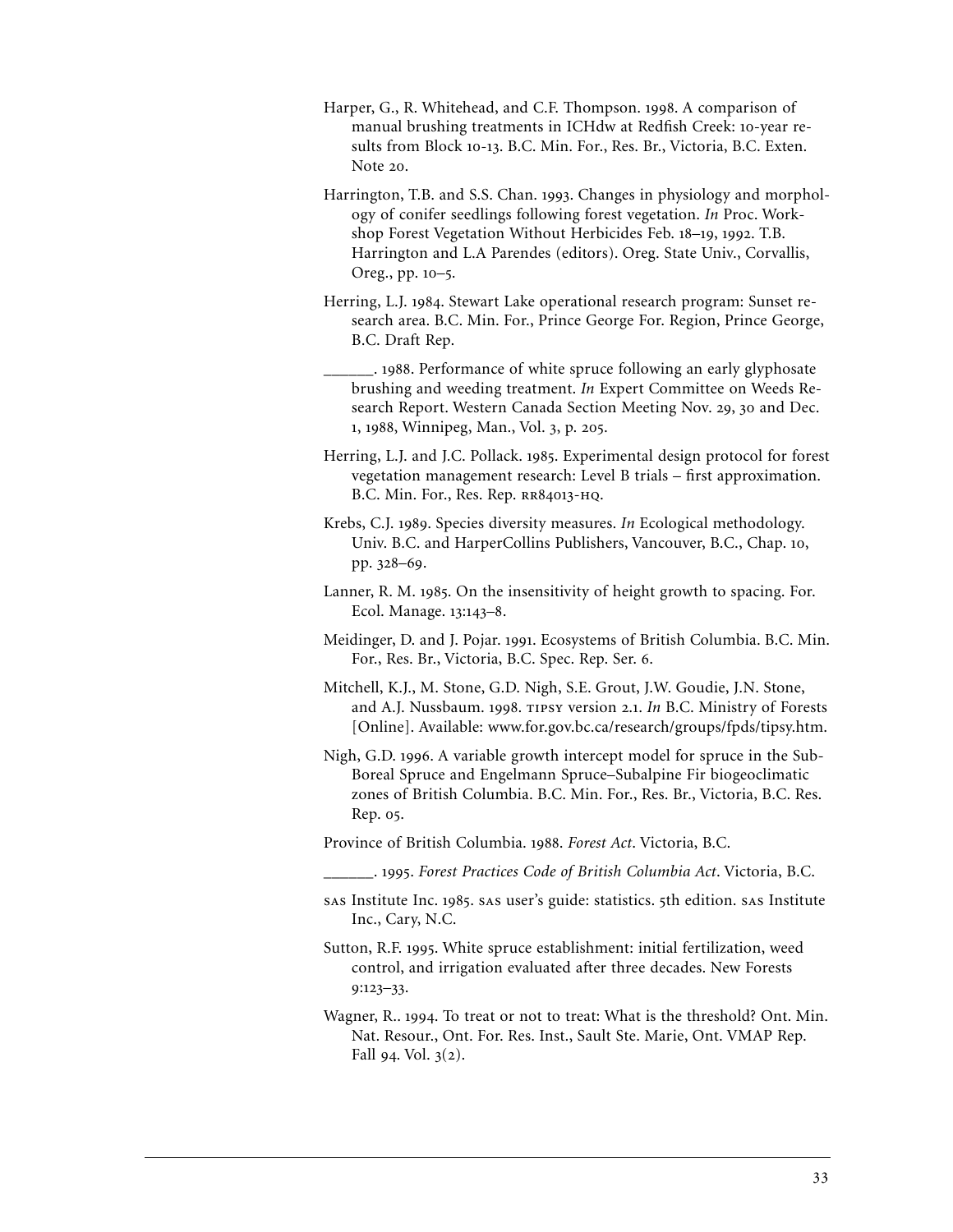- Harper, G., R. Whitehead, and C.F. Thompson. 1998. A comparison of manual brushing treatments in ICHdw at Redfish Creek: 10-year results from Block 10-13. B.C. Min. For., Res. Br., Victoria, B.C. Exten. Note 20.
- Harrington, T.B. and S.S. Chan. 1993. Changes in physiology and morphology of conifer seedlings following forest vegetation. *In* Proc. Workshop Forest Vegetation Without Herbicides Feb. 18-19, 1992. T.B. Harrington and L.A Parendes (editors). Oreg. State Univ., Corvallis, Oreg., pp. 10-5.
- Herring, L.J. 1984. Stewart Lake operational research program: Sunset research area. B.C. Min. For., Prince George For. Region, Prince George, B.C. Draft Rep.
- . 1988. Performance of white spruce following an early glyphosate brushing and weeding treatment. *In* Expert Committee on Weeds Research Report. Western Canada Section Meeting Nov. 29, 30 and Dec. 1, 1988, Winnipeg, Man., Vol. 3, p. 205.
- Herring, L.J. and J.C. Pollack. 1985. Experimental design protocol for forest vegetation management research: Level B trials – first approximation. B.C. Min. For., Res. Rep. RR84013-HQ.
- Krebs, C.J. 1989. Species diversity measures. *In* Ecological methodology. Univ. B.C. and HarperCollins Publishers, Vancouver, B.C., Chap. 10, pp. 328-69.
- Lanner, R. M. 1985. On the insensitivity of height growth to spacing. For. Ecol. Manage. 13:143-8.
- Meidinger, D. and J. Pojar. 1991. Ecosystems of British Columbia. B.C. Min. For., Res. Br., Victoria, B.C. Spec. Rep. Ser. 6.
- Mitchell, K.J., M. Stone, G.D. Nigh, S.E. Grout, J.W. Goudie, J.N. Stone, and A.J. Nussbaum. 1998. TIPSY version 2.1. In B.C. Ministry of Forests [Online]. Available: www.for.gov.bc.ca/research/groups/fpds/tipsy.htm.
- Nigh, G.D. 1996. A variable growth intercept model for spruce in the Sub-Boreal Spruce and Engelmann Spruce–Subalpine Fir biogeoclimatic zones of British Columbia. B.C. Min. For., Res. Br., Victoria, B.C. Res. Rep. 05.
- Province of British Columbia. 1988. Forest Act. Victoria, B.C.
- \_\_\_\_\_\_. . *Forest Practices Code of British Columbia Act*. Victoria, B.C.
- sas Institute Inc. 1985. sas user's guide: statistics. 5th edition. sas Institute Inc., Cary, N.C.
- Sutton, R.F. 1995. White spruce establishment: initial fertilization, weed control, and irrigation evaluated after three decades. New Forests  $9:123-33.$
- Wagner, R.. 1994. To treat or not to treat: What is the threshold? Ont. Min. Nat. Resour., Ont. For. Res. Inst., Sault Ste. Marie, Ont. VMAP Rep. Fall 94. Vol.  $3(2)$ .